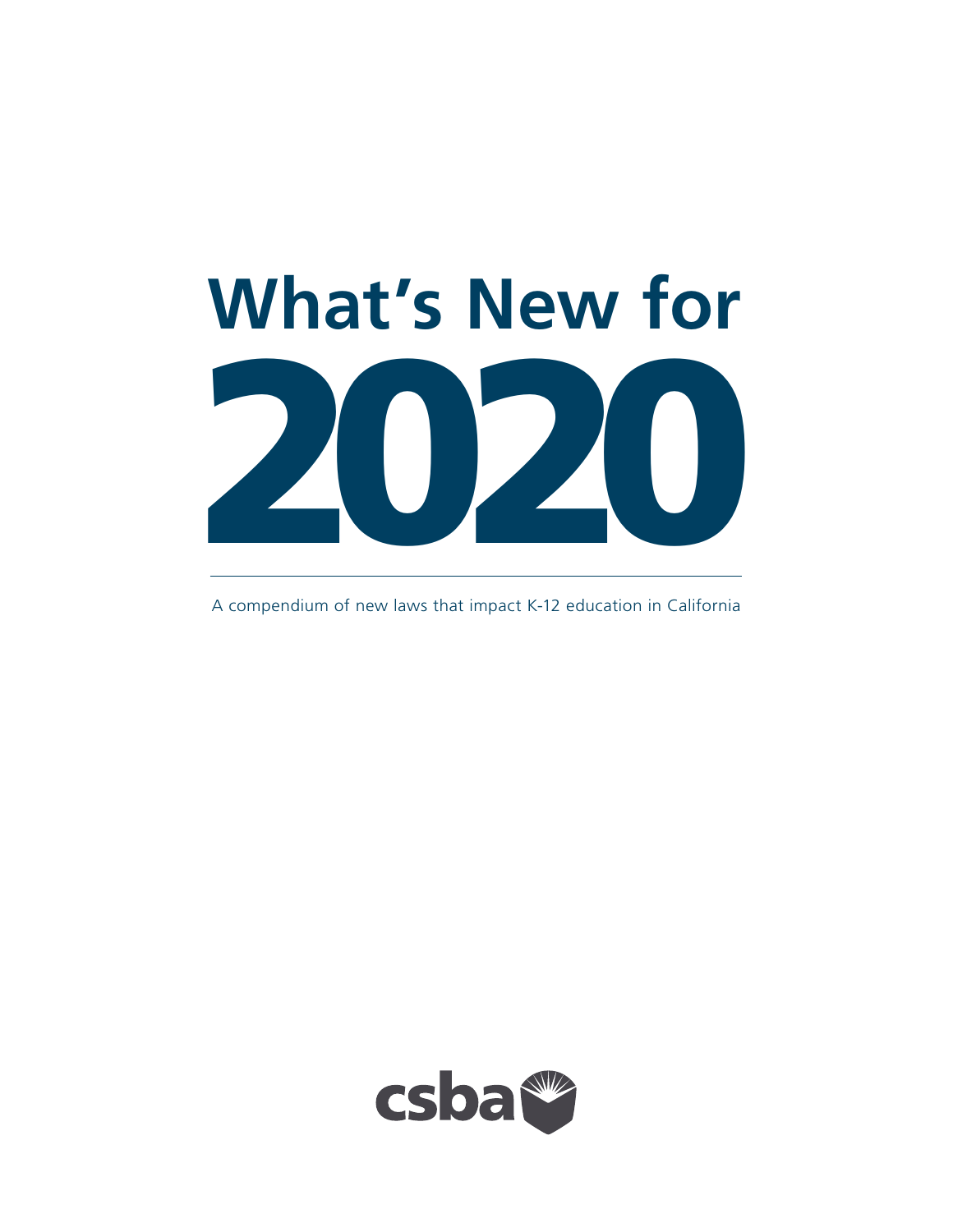

A compendium of new laws that impact K-12 education in California

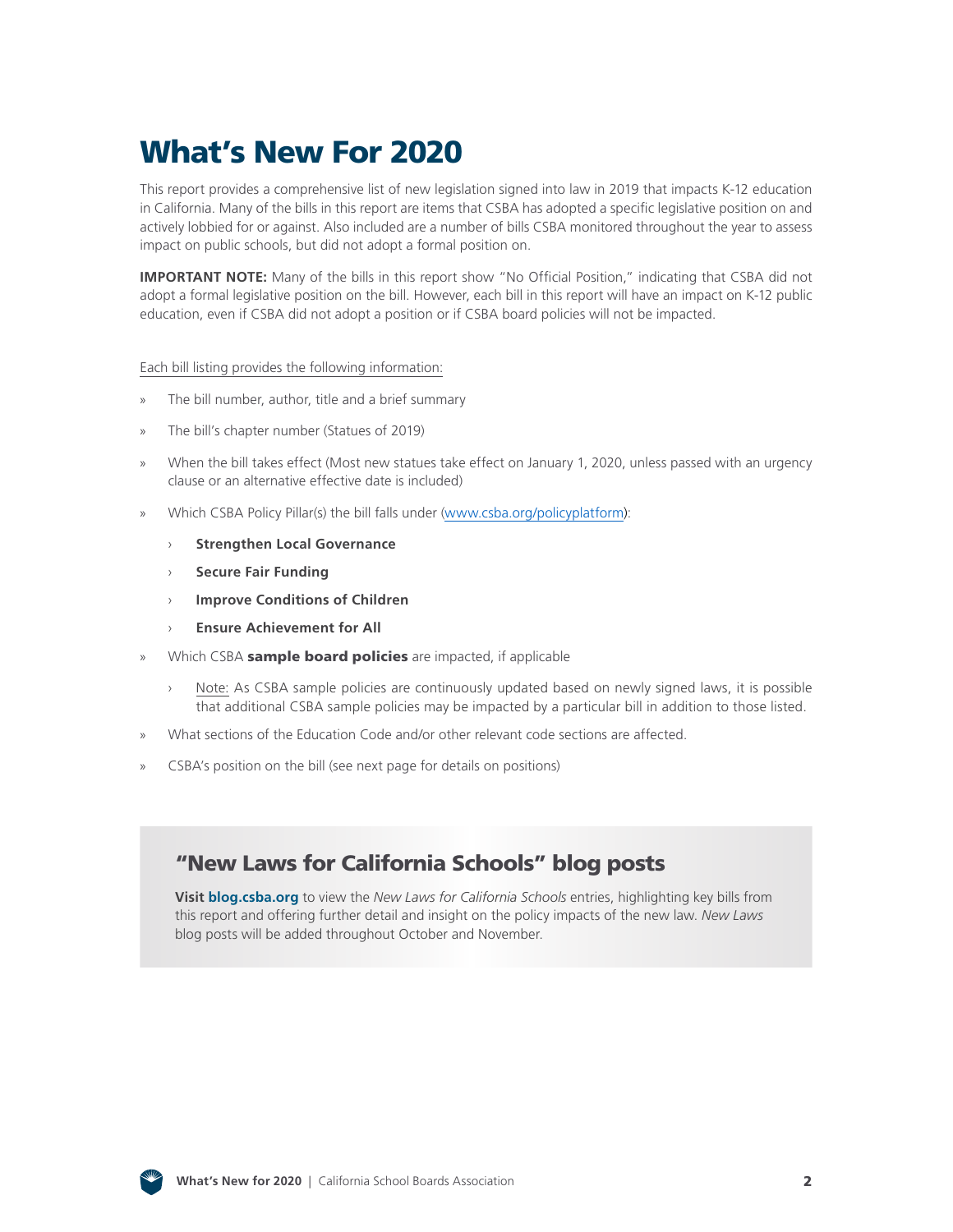# What's New For 2020

This report provides a comprehensive list of new legislation signed into law in 2019 that impacts K-12 education in California. Many of the bills in this report are items that CSBA has adopted a specific legislative position on and actively lobbied for or against. Also included are a number of bills CSBA monitored throughout the year to assess impact on public schools, but did not adopt a formal position on.

**IMPORTANT NOTE:** Many of the bills in this report show "No Official Position," indicating that CSBA did not adopt a formal legislative position on the bill. However, each bill in this report will have an impact on K-12 public education, even if CSBA did not adopt a position or if CSBA board policies will not be impacted.

#### Each bill listing provides the following information:

- » The bill number, author, title and a brief summary
- » The bill's chapter number (Statues of 2019)
- » When the bill takes effect (Most new statues take effect on January 1, 2020, unless passed with an urgency clause or an alternative effective date is included)
- » Which CSBA Policy Pillar(s) the bill falls under ([www.csba.org/policyplatform\)](www.csba.org/policyplatform):
	- › **Strengthen Local Governance**
	- › **Secure Fair Funding**
	- › **Improve Conditions of Children**
	- **Ensure Achievement for All**
- Which CSBA sample board policies are impacted, if applicable
	- › Note: As CSBA sample policies are continuously updated based on newly signed laws, it is possible that additional CSBA sample policies may be impacted by a particular bill in addition to those listed.
- » What sections of the Education Code and/or other relevant code sections are affected.
- » CSBA's position on the bill (see next page for details on positions)

## "New Laws for California Schools" blog posts

**Visit [blog.csba.org](http://blog.csba.org/)** to view the *New Laws for California Schools* entries, highlighting key bills from this report and offering further detail and insight on the policy impacts of the new law. *New Laws* blog posts will be added throughout October and November.

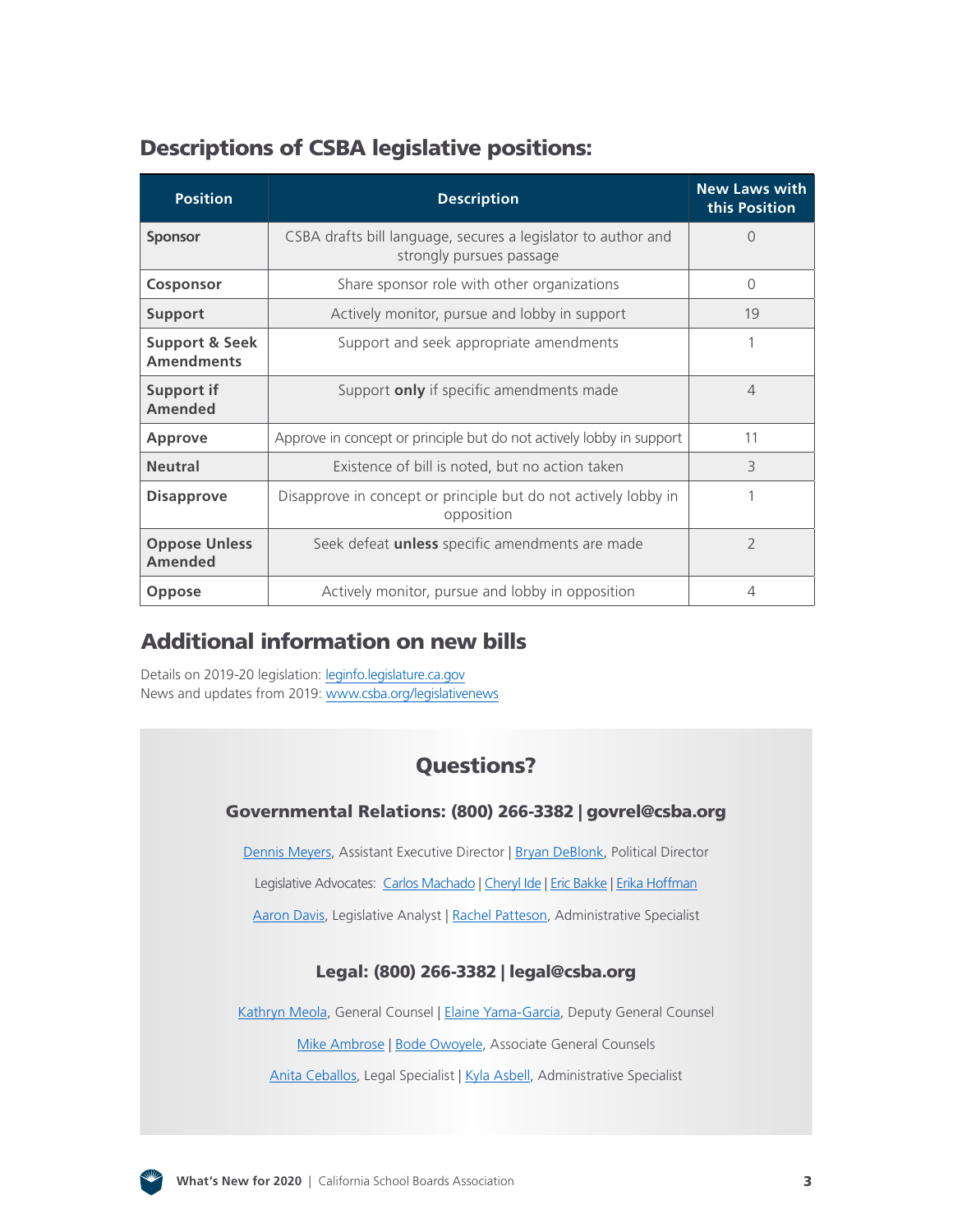## Descriptions of CSBA legislative positions:

| <b>Position</b>                                | <b>Description</b>                                                                        | <b>New Laws with</b><br>this Position |
|------------------------------------------------|-------------------------------------------------------------------------------------------|---------------------------------------|
| <b>Sponsor</b>                                 | CSBA drafts bill language, secures a legislator to author and<br>strongly pursues passage | $\Omega$                              |
| Cosponsor                                      | Share sponsor role with other organizations                                               | $\Omega$                              |
| <b>Support</b>                                 | Actively monitor, pursue and lobby in support                                             | 19                                    |
| <b>Support &amp; Seek</b><br><b>Amendments</b> | Support and seek appropriate amendments                                                   |                                       |
| <b>Support if</b><br><b>Amended</b>            | Support only if specific amendments made                                                  | $\overline{4}$                        |
| <b>Approve</b>                                 | Approve in concept or principle but do not actively lobby in support                      | 11                                    |
| <b>Neutral</b>                                 | Existence of bill is noted, but no action taken                                           | 3                                     |
| <b>Disapprove</b>                              | Disapprove in concept or principle but do not actively lobby in<br>opposition             |                                       |
| <b>Oppose Unless</b><br><b>Amended</b>         | Seek defeat <i>unless</i> specific amendments are made                                    | $\overline{\phantom{a}}$              |
| <b>Oppose</b>                                  | Actively monitor, pursue and lobby in opposition                                          | 4                                     |

## Additional information on new bills

Details on 2019-20 legislation: [leginfo.legislature.ca.gov](http://leginfo.legislature.ca.gov/) News and updates from 2019: [www.csba.org/legislativenews](http://www.csba.org/legislativenews)

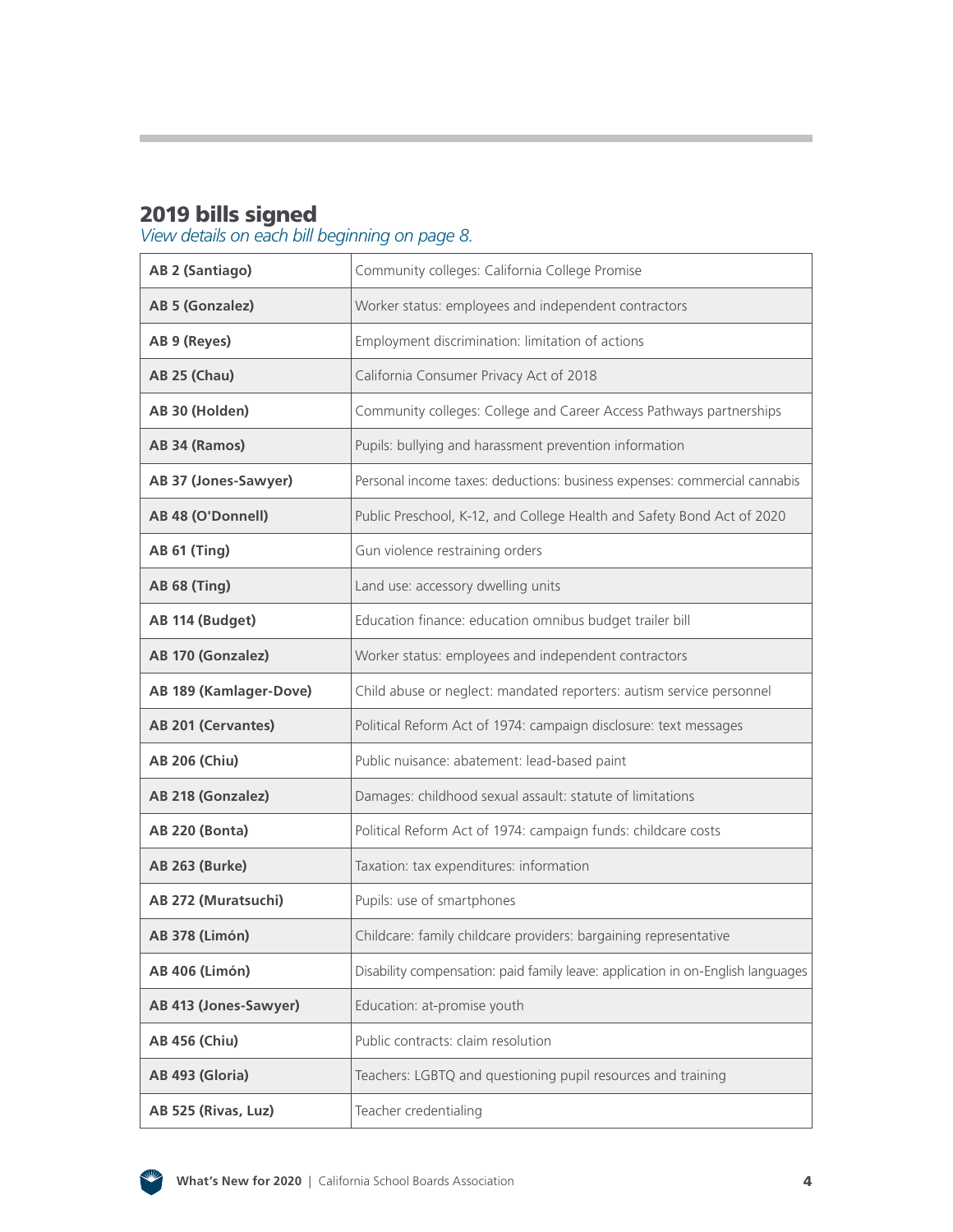## 2019 bills signed

#### *View details on each bill beginning on page 8.*

| AB 2 (Santiago)        | Community colleges: California College Promise                                  |
|------------------------|---------------------------------------------------------------------------------|
| AB 5 (Gonzalez)        | Worker status: employees and independent contractors                            |
| AB 9 (Reyes)           | Employment discrimination: limitation of actions                                |
| <b>AB 25 (Chau)</b>    | California Consumer Privacy Act of 2018                                         |
| AB 30 (Holden)         | Community colleges: College and Career Access Pathways partnerships             |
| AB 34 (Ramos)          | Pupils: bullying and harassment prevention information                          |
| AB 37 (Jones-Sawyer)   | Personal income taxes: deductions: business expenses: commercial cannabis       |
| AB 48 (O'Donnell)      | Public Preschool, K-12, and College Health and Safety Bond Act of 2020          |
| <b>AB 61 (Ting)</b>    | Gun violence restraining orders                                                 |
| <b>AB 68 (Ting)</b>    | Land use: accessory dwelling units                                              |
| AB 114 (Budget)        | Education finance: education omnibus budget trailer bill                        |
| AB 170 (Gonzalez)      | Worker status: employees and independent contractors                            |
| AB 189 (Kamlager-Dove) | Child abuse or neglect: mandated reporters: autism service personnel            |
| AB 201 (Cervantes)     | Political Reform Act of 1974: campaign disclosure: text messages                |
| <b>AB 206 (Chiu)</b>   | Public nuisance: abatement: lead-based paint                                    |
| AB 218 (Gonzalez)      | Damages: childhood sexual assault: statute of limitations                       |
| <b>AB 220 (Bonta)</b>  | Political Reform Act of 1974: campaign funds: childcare costs                   |
| <b>AB 263 (Burke)</b>  | Taxation: tax expenditures: information                                         |
| AB 272 (Muratsuchi)    | Pupils: use of smartphones                                                      |
| <b>AB 378 (Limón)</b>  | Childcare: family childcare providers: bargaining representative                |
| <b>AB 406 (Limón)</b>  | Disability compensation: paid family leave: application in on-English languages |
| AB 413 (Jones-Sawyer)  | Education: at-promise youth                                                     |
| <b>AB 456 (Chiu)</b>   | Public contracts: claim resolution                                              |
| AB 493 (Gloria)        | Teachers: LGBTQ and questioning pupil resources and training                    |
| AB 525 (Rivas, Luz)    | Teacher credentialing                                                           |

![](_page_3_Picture_3.jpeg)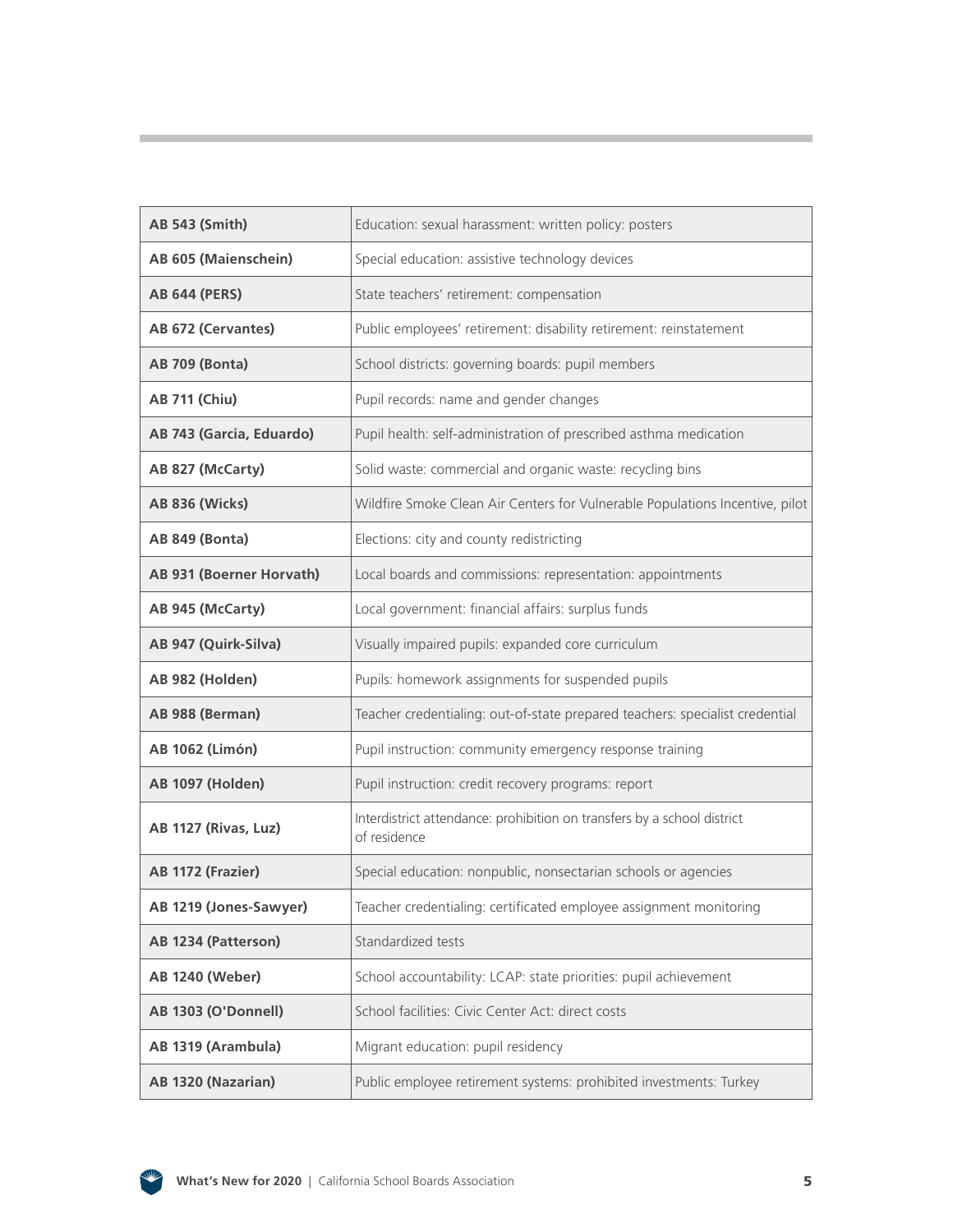| <b>AB 543 (Smith)</b>           | Education: sexual harassment: written policy: posters                                   |
|---------------------------------|-----------------------------------------------------------------------------------------|
| AB 605 (Maienschein)            | Special education: assistive technology devices                                         |
| <b>AB 644 (PERS)</b>            | State teachers' retirement: compensation                                                |
| AB 672 (Cervantes)              | Public employees' retirement: disability retirement: reinstatement                      |
| <b>AB 709 (Bonta)</b>           | School districts: governing boards: pupil members                                       |
| <b>AB 711 (Chiu)</b>            | Pupil records: name and gender changes                                                  |
| AB 743 (Garcia, Eduardo)        | Pupil health: self-administration of prescribed asthma medication                       |
| AB 827 (McCarty)                | Solid waste: commercial and organic waste: recycling bins                               |
| <b>AB 836 (Wicks)</b>           | Wildfire Smoke Clean Air Centers for Vulnerable Populations Incentive, pilot            |
| AB 849 (Bonta)                  | Elections: city and county redistricting                                                |
| <b>AB 931 (Boerner Horvath)</b> | Local boards and commissions: representation: appointments                              |
| AB 945 (McCarty)                | Local government: financial affairs: surplus funds                                      |
| AB 947 (Quirk-Silva)            | Visually impaired pupils: expanded core curriculum                                      |
| AB 982 (Holden)                 | Pupils: homework assignments for suspended pupils                                       |
| AB 988 (Berman)                 | Teacher credentialing: out-of-state prepared teachers: specialist credential            |
| <b>AB 1062 (Limón)</b>          | Pupil instruction: community emergency response training                                |
| <b>AB 1097 (Holden)</b>         | Pupil instruction: credit recovery programs: report                                     |
| AB 1127 (Rivas, Luz)            | Interdistrict attendance: prohibition on transfers by a school district<br>of residence |
| AB 1172 (Frazier)               | Special education: nonpublic, nonsectarian schools or agencies                          |
| AB 1219 (Jones-Sawyer)          | Teacher credentialing: certificated employee assignment monitoring                      |
| AB 1234 (Patterson)             | Standardized tests                                                                      |
| <b>AB 1240 (Weber)</b>          | School accountability: LCAP: state priorities: pupil achievement                        |
| AB 1303 (O'Donnell)             | School facilities: Civic Center Act: direct costs                                       |
| AB 1319 (Arambula)              | Migrant education: pupil residency                                                      |
| AB 1320 (Nazarian)              | Public employee retirement systems: prohibited investments: Turkey                      |

![](_page_4_Picture_1.jpeg)

Ì.

and the state of the state

and the control of the control of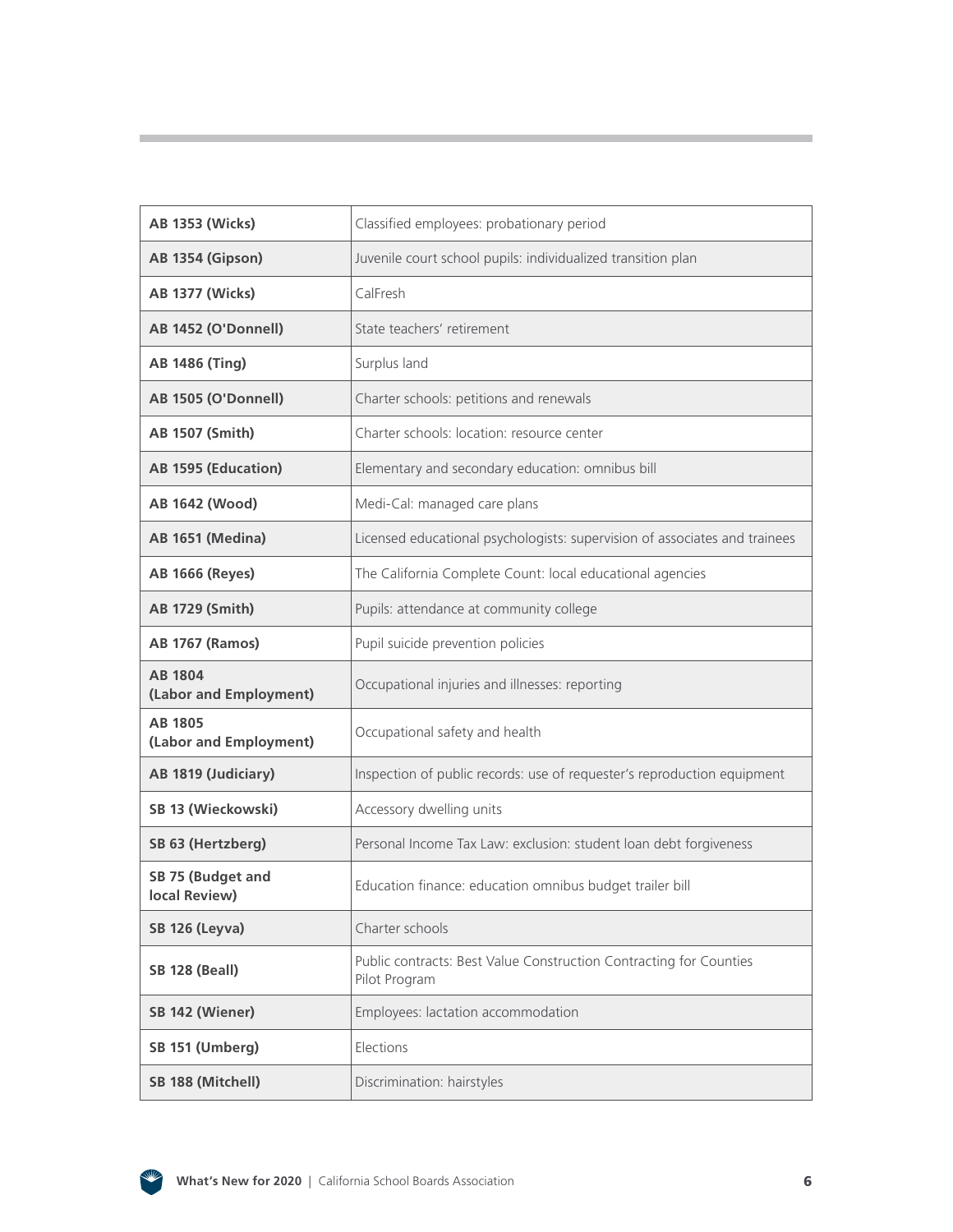| <b>AB 1353 (Wicks)</b>                   | Classified employees: probationary period                                           |
|------------------------------------------|-------------------------------------------------------------------------------------|
| AB 1354 (Gipson)                         | Juvenile court school pupils: individualized transition plan                        |
| <b>AB 1377 (Wicks)</b>                   | CalFresh                                                                            |
| AB 1452 (O'Donnell)                      | State teachers' retirement                                                          |
| <b>AB 1486 (Ting)</b>                    | Surplus land                                                                        |
| AB 1505 (O'Donnell)                      | Charter schools: petitions and renewals                                             |
| <b>AB 1507 (Smith)</b>                   | Charter schools: location: resource center                                          |
| AB 1595 (Education)                      | Elementary and secondary education: omnibus bill                                    |
| AB 1642 (Wood)                           | Medi-Cal: managed care plans                                                        |
| <b>AB 1651 (Medina)</b>                  | Licensed educational psychologists: supervision of associates and trainees          |
| <b>AB 1666 (Reyes)</b>                   | The California Complete Count: local educational agencies                           |
| <b>AB 1729 (Smith)</b>                   | Pupils: attendance at community college                                             |
| <b>AB 1767 (Ramos)</b>                   | Pupil suicide prevention policies                                                   |
| <b>AB 1804</b><br>(Labor and Employment) | Occupational injuries and illnesses: reporting                                      |
| <b>AB 1805</b><br>(Labor and Employment) | Occupational safety and health                                                      |
| AB 1819 (Judiciary)                      | Inspection of public records: use of requester's reproduction equipment             |
| SB 13 (Wieckowski)                       | Accessory dwelling units                                                            |
| SB 63 (Hertzberg)                        | Personal Income Tax Law: exclusion: student loan debt forgiveness                   |
| SB 75 (Budget and<br>local Review)       | Education finance: education omnibus budget trailer bill                            |
| <b>SB 126 (Leyva)</b>                    | Charter schools                                                                     |
| <b>SB 128 (Beall)</b>                    | Public contracts: Best Value Construction Contracting for Counties<br>Pilot Program |
| SB 142 (Wiener)                          | Employees: lactation accommodation                                                  |
| SB 151 (Umberg)                          | Elections                                                                           |
| SB 188 (Mitchell)                        | Discrimination: hairstyles                                                          |

![](_page_5_Picture_1.jpeg)

Ì.

and the state of the state of

**Contract Contract Contract**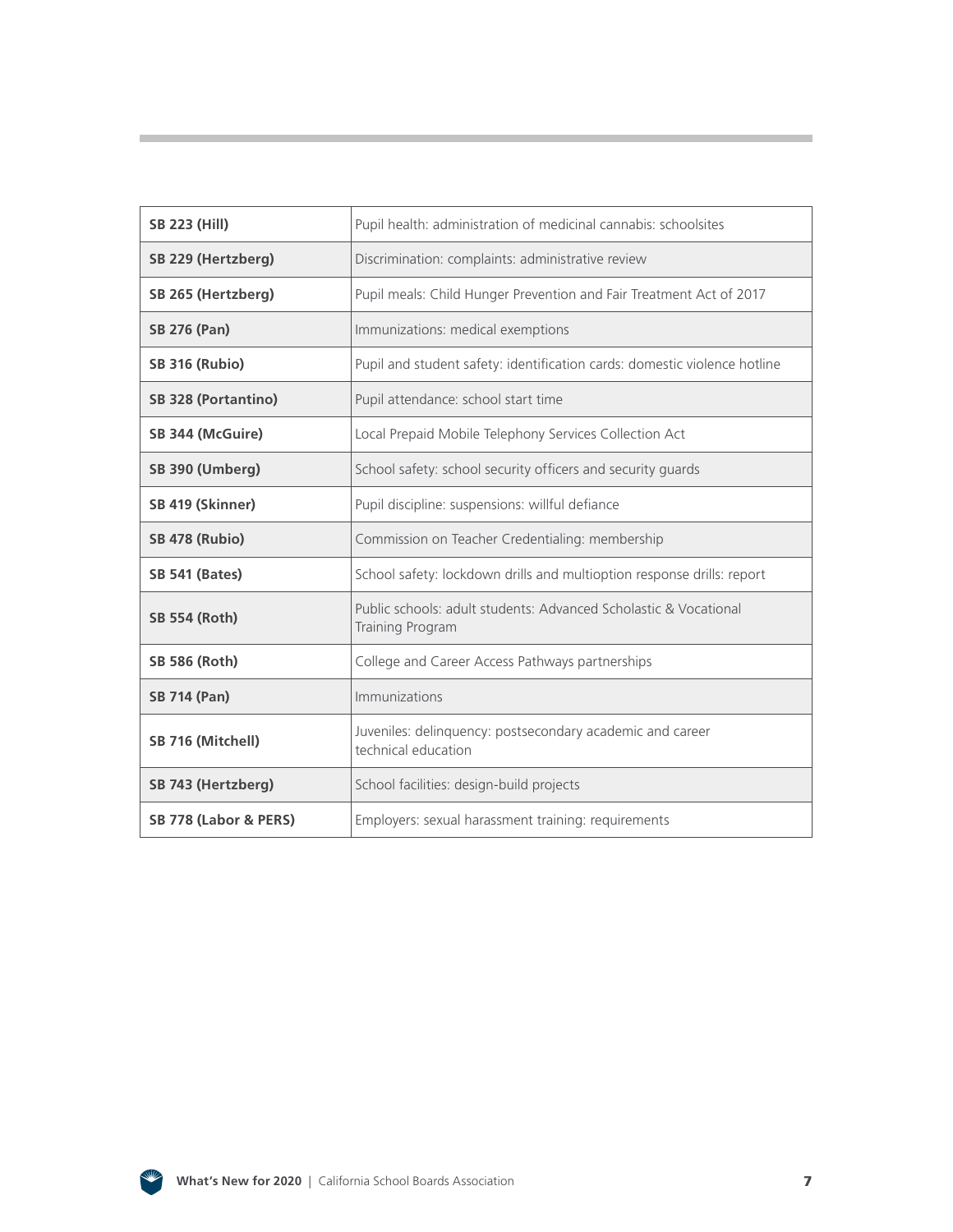| <b>SB 223 (Hill)</b>       | Pupil health: administration of medicinal cannabis: schoolsites                      |
|----------------------------|--------------------------------------------------------------------------------------|
| SB 229 (Hertzberg)         | Discrimination: complaints: administrative review                                    |
| SB 265 (Hertzberg)         | Pupil meals: Child Hunger Prevention and Fair Treatment Act of 2017                  |
| <b>SB 276 (Pan)</b>        | Immunizations: medical exemptions                                                    |
| <b>SB 316 (Rubio)</b>      | Pupil and student safety: identification cards: domestic violence hotline            |
| <b>SB 328 (Portantino)</b> | Pupil attendance: school start time                                                  |
| SB 344 (McGuire)           | Local Prepaid Mobile Telephony Services Collection Act                               |
| SB 390 (Umberg)            | School safety: school security officers and security guards                          |
| SB 419 (Skinner)           | Pupil discipline: suspensions: willful defiance                                      |
| <b>SB 478 (Rubio)</b>      | Commission on Teacher Credentialing: membership                                      |
| <b>SB 541 (Bates)</b>      | School safety: lockdown drills and multioption response drills: report               |
| <b>SB 554 (Roth)</b>       | Public schools: adult students: Advanced Scholastic & Vocational<br>Training Program |
| <b>SB 586 (Roth)</b>       | College and Career Access Pathways partnerships                                      |
| <b>SB 714 (Pan)</b>        | Immunizations                                                                        |
| SB 716 (Mitchell)          | Juveniles: delinquency: postsecondary academic and career<br>technical education     |
| SB 743 (Hertzberg)         | School facilities: design-build projects                                             |
| SB 778 (Labor & PERS)      | Employers: sexual harassment training: requirements                                  |

![](_page_6_Picture_1.jpeg)

Ì.

**Contract Contract Contract**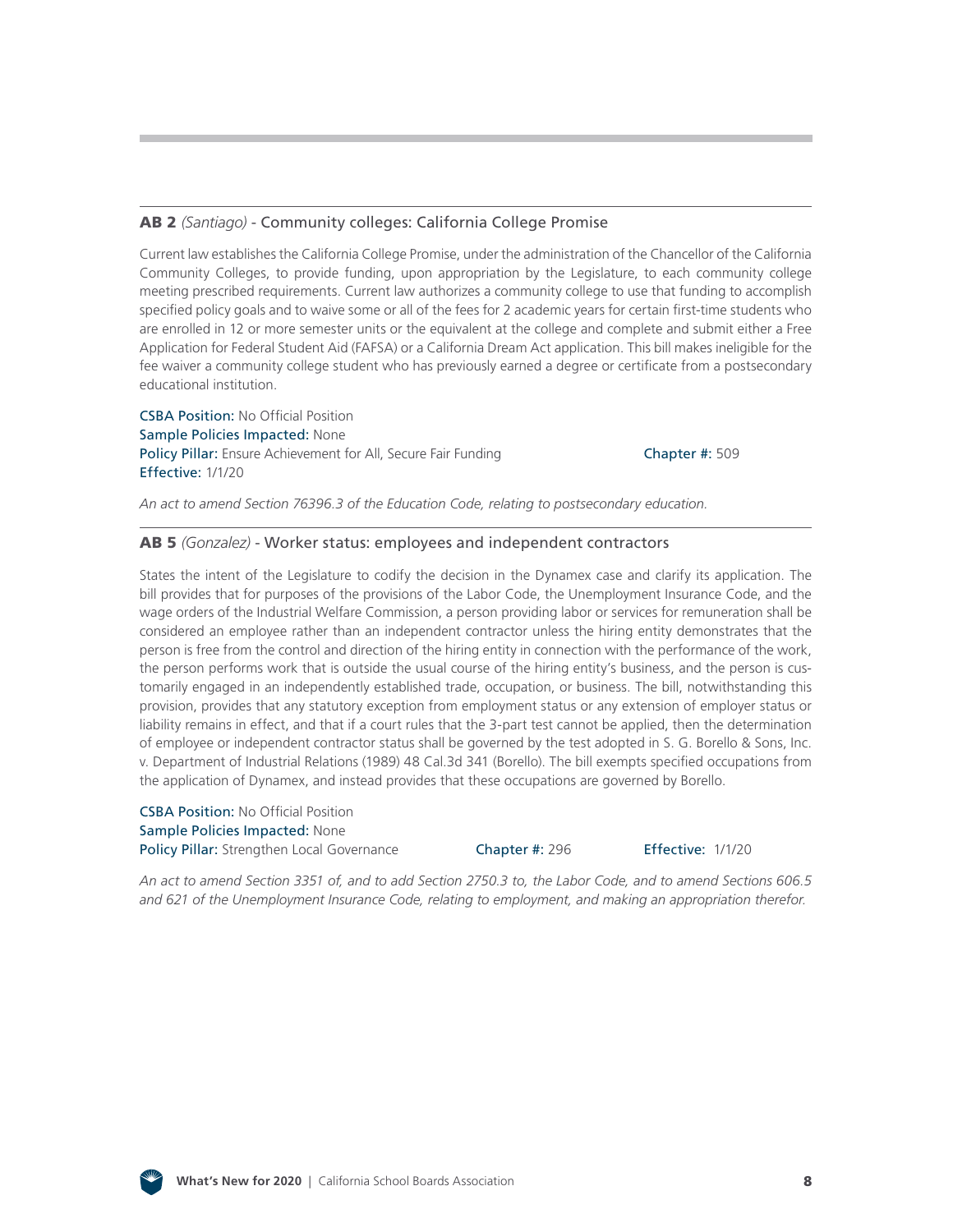#### AB 2 *(Santiago)* [- Community colleges: California College Promise](http://leginfo.legislature.ca.gov/faces/billNavClient.xhtml?bill_id=201920200AB2)

Current law establishes the California College Promise, under the administration of the Chancellor of the California Community Colleges, to provide funding, upon appropriation by the Legislature, to each community college meeting prescribed requirements. Current law authorizes a community college to use that funding to accomplish specified policy goals and to waive some or all of the fees for 2 academic years for certain first-time students who are enrolled in 12 or more semester units or the equivalent at the college and complete and submit either a Free Application for Federal Student Aid (FAFSA) or a California Dream Act application. This bill makes ineligible for the fee waiver a community college student who has previously earned a degree or certificate from a postsecondary educational institution.

CSBA Position: No Official Position Sample Policies Impacted: None Policy Pillar: Ensure Achievement for All, Secure Fair Funding Chapter #: 509 Effective: 1/1/20

*An act to amend Section 76396.3 of the Education Code, relating to postsecondary education.*

#### AB 5 *(Gonzalez)* [- Worker status: employees and independent contractors](http://leginfo.legislature.ca.gov/faces/billNavClient.xhtml?bill_id=201920200AB5)

States the intent of the Legislature to codify the decision in the Dynamex case and clarify its application. The bill provides that for purposes of the provisions of the Labor Code, the Unemployment Insurance Code, and the wage orders of the Industrial Welfare Commission, a person providing labor or services for remuneration shall be considered an employee rather than an independent contractor unless the hiring entity demonstrates that the person is free from the control and direction of the hiring entity in connection with the performance of the work, the person performs work that is outside the usual course of the hiring entity's business, and the person is customarily engaged in an independently established trade, occupation, or business. The bill, notwithstanding this provision, provides that any statutory exception from employment status or any extension of employer status or liability remains in effect, and that if a court rules that the 3-part test cannot be applied, then the determination of employee or independent contractor status shall be governed by the test adopted in S. G. Borello & Sons, Inc. v. Department of Industrial Relations (1989) 48 Cal.3d 341 (Borello). The bill exempts specified occupations from the application of Dynamex, and instead provides that these occupations are governed by Borello.

CSBA Position: No Official Position Sample Policies Impacted: None Policy Pillar: Strengthen Local Governance **Chapter #: 296 Effective: 1/1/20** 

*An act to amend Section 3351 of, and to add Section 2750.3 to, the Labor Code, and to amend Sections 606.5 and 621 of the Unemployment Insurance Code, relating to employment, and making an appropriation therefor.*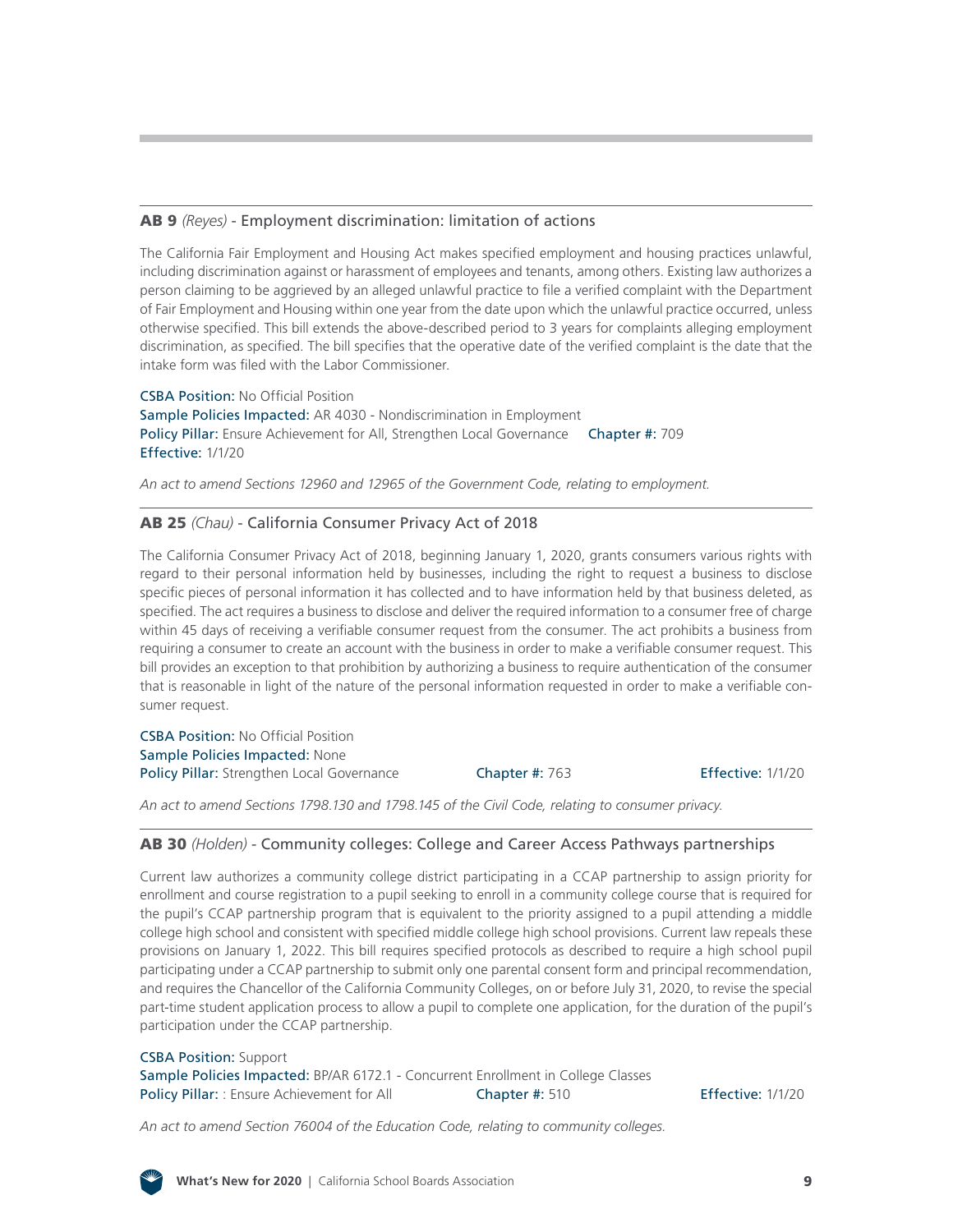#### AB 9 *(Reyes)* [- Employment discrimination: limitation of actions](http://leginfo.legislature.ca.gov/faces/billNavClient.xhtml?bill_id=201920200AB9)

The California Fair Employment and Housing Act makes specified employment and housing practices unlawful, including discrimination against or harassment of employees and tenants, among others. Existing law authorizes a person claiming to be aggrieved by an alleged unlawful practice to file a verified complaint with the Department of Fair Employment and Housing within one year from the date upon which the unlawful practice occurred, unless otherwise specified. This bill extends the above-described period to 3 years for complaints alleging employment discrimination, as specified. The bill specifies that the operative date of the verified complaint is the date that the intake form was filed with the Labor Commissioner.

CSBA Position: No Official Position Sample Policies Impacted: AR 4030 - Nondiscrimination in Employment Policy Pillar: Ensure Achievement for All, Strengthen Local Governance Chapter #: 709 Effective: 1/1/20

*An act to amend Sections 12960 and 12965 of the Government Code, relating to employment.*

#### AB 25 *(Chau)* [- California Consumer Privacy Act of 2018](http://leginfo.legislature.ca.gov/faces/billNavClient.xhtml?bill_id=201920200AB25)

The California Consumer Privacy Act of 2018, beginning January 1, 2020, grants consumers various rights with regard to their personal information held by businesses, including the right to request a business to disclose specific pieces of personal information it has collected and to have information held by that business deleted, as specified. The act requires a business to disclose and deliver the required information to a consumer free of charge within 45 days of receiving a verifiable consumer request from the consumer. The act prohibits a business from requiring a consumer to create an account with the business in order to make a verifiable consumer request. This bill provides an exception to that prohibition by authorizing a business to require authentication of the consumer that is reasonable in light of the nature of the personal information requested in order to make a verifiable consumer request.

CSBA Position: No Official Position Sample Policies Impacted: None Policy Pillar: Strengthen Local Governance Chapter #: 763 Effective: 1/1/20

*An act to amend Sections 1798.130 and 1798.145 of the Civil Code, relating to consumer privacy.*

#### AB 30 *(Holden)* [- Community colleges: College and Career Access Pathways partnerships](http://leginfo.legislature.ca.gov/faces/billNavClient.xhtml?bill_id=201920200AB30)

Current law authorizes a community college district participating in a CCAP partnership to assign priority for enrollment and course registration to a pupil seeking to enroll in a community college course that is required for the pupil's CCAP partnership program that is equivalent to the priority assigned to a pupil attending a middle college high school and consistent with specified middle college high school provisions. Current law repeals these provisions on January 1, 2022. This bill requires specified protocols as described to require a high school pupil participating under a CCAP partnership to submit only one parental consent form and principal recommendation, and requires the Chancellor of the California Community Colleges, on or before July 31, 2020, to revise the special part-time student application process to allow a pupil to complete one application, for the duration of the pupil's participation under the CCAP partnership.

CSBA Position: Support Sample Policies Impacted: BP/AR 6172.1 - Concurrent Enrollment in College Classes Policy Pillar: : Ensure Achievement for All Chapter #: 510 Effective: 1/1/20

*An act to amend Section 76004 of the Education Code, relating to community colleges.*

![](_page_8_Picture_15.jpeg)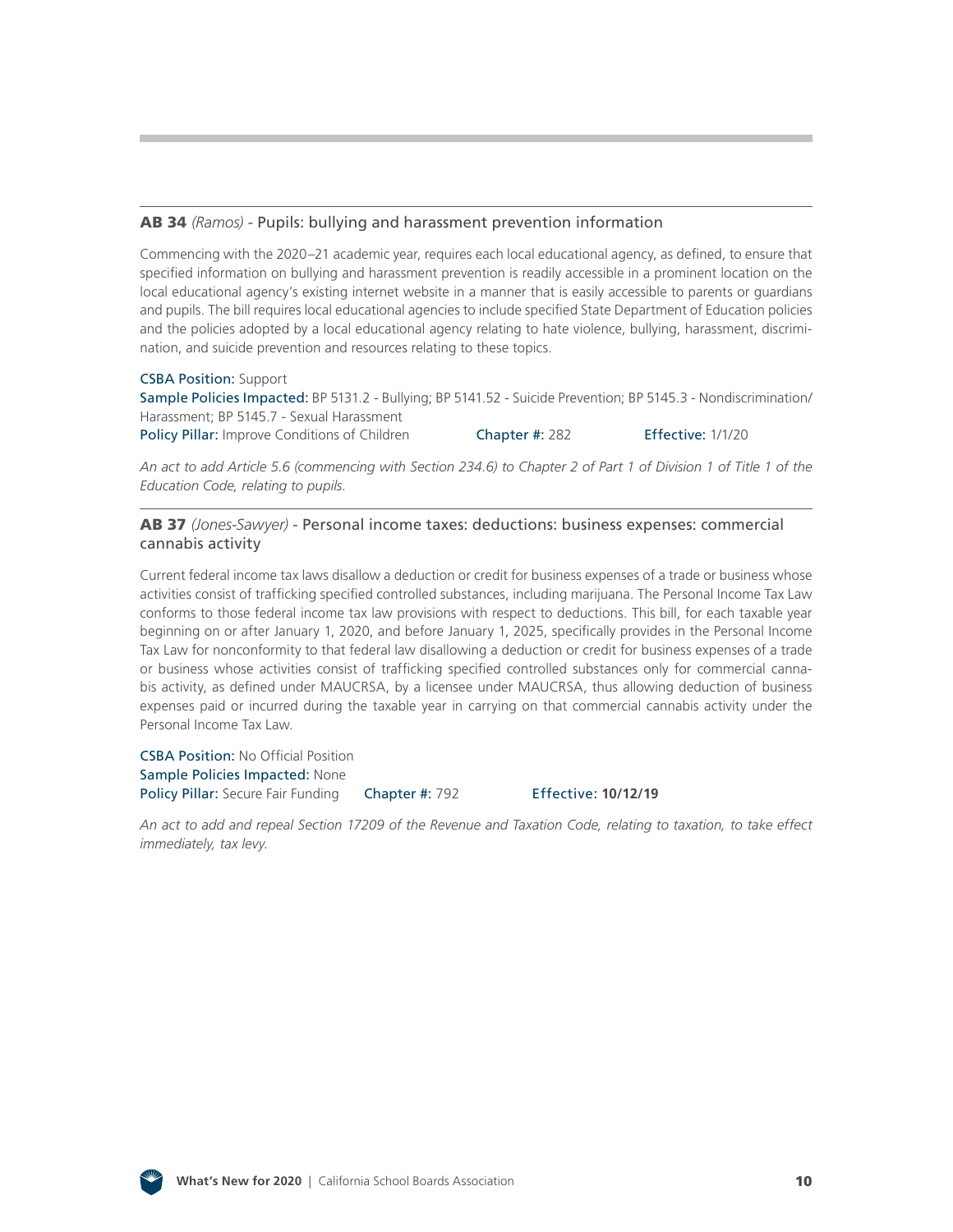#### AB 34 *(Ramos)* [- Pupils: bullying and harassment prevention information](http://leginfo.legislature.ca.gov/faces/billNavClient.xhtml?bill_id=201920200AB34)

Commencing with the 2020–21 academic year, requires each local educational agency, as defined, to ensure that specified information on bullying and harassment prevention is readily accessible in a prominent location on the local educational agency's existing internet website in a manner that is easily accessible to parents or guardians and pupils. The bill requires local educational agencies to include specified State Department of Education policies and the policies adopted by a local educational agency relating to hate violence, bullying, harassment, discrimination, and suicide prevention and resources relating to these topics.

#### CSBA Position: Support

Sample Policies Impacted: BP 5131.2 - Bullying; BP 5141.52 - Suicide Prevention; BP 5145.3 - Nondiscrimination/ Harassment; BP 5145.7 - Sexual Harassment

Policy Pillar: Improve Conditions of Children Chapter #: 282 Effective: 1/1/20

*An act to add Article 5.6 (commencing with Section 234.6) to Chapter 2 of Part 1 of Division 1 of Title 1 of the Education Code, relating to pupils.*

#### AB 37 *(Jones-Sawyer)* [- Personal income taxes: deductions: business expenses: commercial](http://leginfo.legislature.ca.gov/faces/billNavClient.xhtml?bill_id=201920200AB37)  cannabis activity

Current federal income tax laws disallow a deduction or credit for business expenses of a trade or business whose activities consist of trafficking specified controlled substances, including marijuana. The Personal Income Tax Law conforms to those federal income tax law provisions with respect to deductions. This bill, for each taxable year beginning on or after January 1, 2020, and before January 1, 2025, specifically provides in the Personal Income Tax Law for nonconformity to that federal law disallowing a deduction or credit for business expenses of a trade or business whose activities consist of trafficking specified controlled substances only for commercial cannabis activity, as defined under MAUCRSA, by a licensee under MAUCRSA, thus allowing deduction of business expenses paid or incurred during the taxable year in carrying on that commercial cannabis activity under the Personal Income Tax Law.

CSBA Position: No Official Position Sample Policies Impacted: None Policy Pillar: Secure Fair Funding Chapter #: 792 Effective: 10/12/19

*An act to add and repeal Section 17209 of the Revenue and Taxation Code, relating to taxation, to take effect immediately, tax levy.*

![](_page_9_Figure_13.jpeg)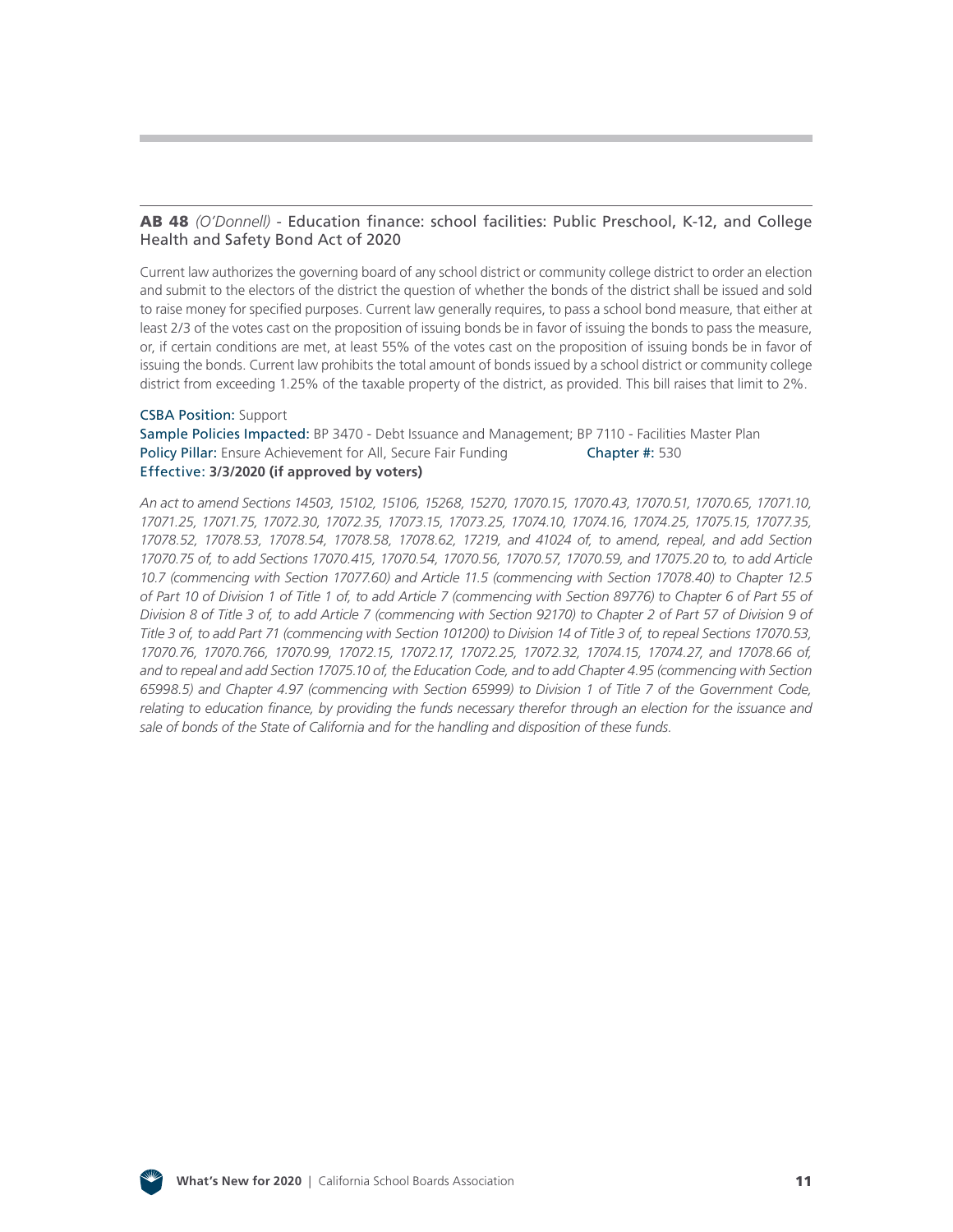#### AB 48 *(O'Donnell)* [- Education finance: school facilities: Public Preschool, K-12, and College](http://leginfo.legislature.ca.gov/faces/billNavClient.xhtml?bill_id=201920200AB48) Health and Safety Bond Act of 2020

Current law authorizes the governing board of any school district or community college district to order an election and submit to the electors of the district the question of whether the bonds of the district shall be issued and sold to raise money for specified purposes. Current law generally requires, to pass a school bond measure, that either at least 2/3 of the votes cast on the proposition of issuing bonds be in favor of issuing the bonds to pass the measure, or, if certain conditions are met, at least 55% of the votes cast on the proposition of issuing bonds be in favor of issuing the bonds. Current law prohibits the total amount of bonds issued by a school district or community college district from exceeding 1.25% of the taxable property of the district, as provided. This bill raises that limit to 2%.

#### CSBA Position: Support

Sample Policies Impacted: BP 3470 - Debt Issuance and Management; BP 7110 - Facilities Master Plan Policy Pillar: Ensure Achievement for All, Secure Fair Funding **Chapter #: 530** Effective: **3/3/2020 (if approved by voters)**

*An act to amend Sections 14503, 15102, 15106, 15268, 15270, 17070.15, 17070.43, 17070.51, 17070.65, 17071.10, 17071.25, 17071.75, 17072.30, 17072.35, 17073.15, 17073.25, 17074.10, 17074.16, 17074.25, 17075.15, 17077.35, 17078.52, 17078.53, 17078.54, 17078.58, 17078.62, 17219, and 41024 of, to amend, repeal, and add Section 17070.75 of, to add Sections 17070.415, 17070.54, 17070.56, 17070.57, 17070.59, and 17075.20 to, to add Article 10.7 (commencing with Section 17077.60) and Article 11.5 (commencing with Section 17078.40) to Chapter 12.5 of Part 10 of Division 1 of Title 1 of, to add Article 7 (commencing with Section 89776) to Chapter 6 of Part 55 of Division 8 of Title 3 of, to add Article 7 (commencing with Section 92170) to Chapter 2 of Part 57 of Division 9 of Title 3 of, to add Part 71 (commencing with Section 101200) to Division 14 of Title 3 of, to repeal Sections 17070.53, 17070.76, 17070.766, 17070.99, 17072.15, 17072.17, 17072.25, 17072.32, 17074.15, 17074.27, and 17078.66 of, and to repeal and add Section 17075.10 of, the Education Code, and to add Chapter 4.95 (commencing with Section 65998.5) and Chapter 4.97 (commencing with Section 65999) to Division 1 of Title 7 of the Government Code, relating to education finance, by providing the funds necessary therefor through an election for the issuance and sale of bonds of the State of California and for the handling and disposition of these funds.*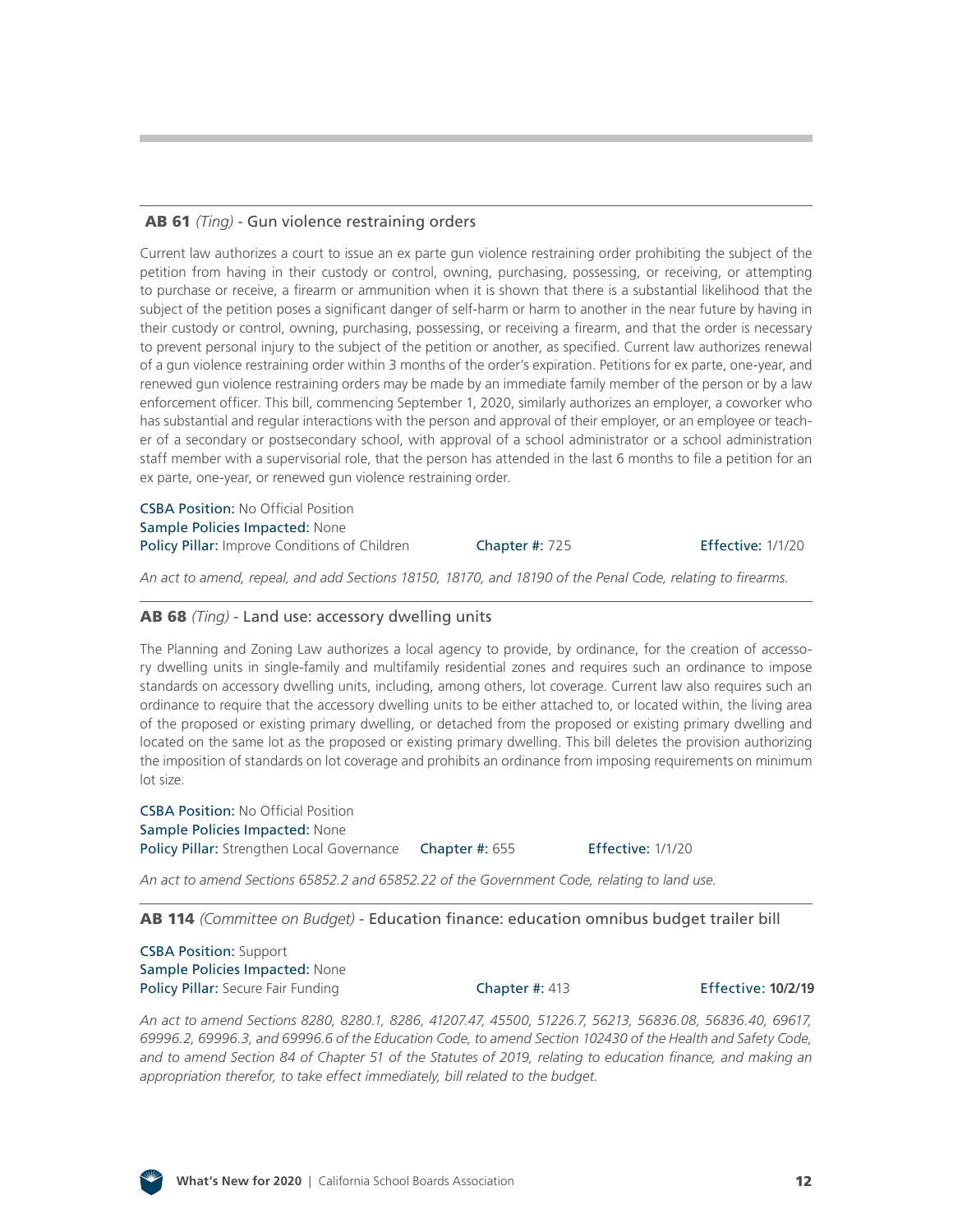### AB 61 *(Ting)* [- Gun violence restraining orders](http://leginfo.legislature.ca.gov/faces/billNavClient.xhtml?bill_id=201920200AB61)

Current law authorizes a court to issue an ex parte gun violence restraining order prohibiting the subject of the petition from having in their custody or control, owning, purchasing, possessing, or receiving, or attempting to purchase or receive, a firearm or ammunition when it is shown that there is a substantial likelihood that the subject of the petition poses a significant danger of self-harm or harm to another in the near future by having in their custody or control, owning, purchasing, possessing, or receiving a firearm, and that the order is necessary to prevent personal injury to the subject of the petition or another, as specified. Current law authorizes renewal of a gun violence restraining order within 3 months of the order's expiration. Petitions for ex parte, one-year, and renewed gun violence restraining orders may be made by an immediate family member of the person or by a law enforcement officer. This bill, commencing September 1, 2020, similarly authorizes an employer, a coworker who has substantial and regular interactions with the person and approval of their employer, or an employee or teacher of a secondary or postsecondary school, with approval of a school administrator or a school administration staff member with a supervisorial role, that the person has attended in the last 6 months to file a petition for an ex parte, one-year, or renewed gun violence restraining order.

CSBA Position: No Official Position Sample Policies Impacted: None Policy Pillar: Improve Conditions of Children Chapter #: 725 Effective: 1/1/20

*An act to amend, repeal, and add Sections 18150, 18170, and 18190 of the Penal Code, relating to firearms.*

#### AB 68 *(Ting)* [- Land use: accessory dwelling units](http://leginfo.legislature.ca.gov/faces/billNavClient.xhtml?bill_id=201920200AB68)

The Planning and Zoning Law authorizes a local agency to provide, by ordinance, for the creation of accessory dwelling units in single-family and multifamily residential zones and requires such an ordinance to impose standards on accessory dwelling units, including, among others, lot coverage. Current law also requires such an ordinance to require that the accessory dwelling units to be either attached to, or located within, the living area of the proposed or existing primary dwelling, or detached from the proposed or existing primary dwelling and located on the same lot as the proposed or existing primary dwelling. This bill deletes the provision authorizing the imposition of standards on lot coverage and prohibits an ordinance from imposing requirements on minimum lot size.

CSBA Position: No Official Position Sample Policies Impacted: None Policy Pillar: Strengthen Local Governance Chapter #: 655 Effective: 1/1/20

*An act to amend Sections 65852.2 and 65852.22 of the Government Code, relating to land use.*

AB 114 *(Committee on Budget)* [- Education finance: education omnibus budget trailer bill](http://leginfo.legislature.ca.gov/faces/billNavClient.xhtml?bill_id=201920200AB114) 

CSBA Position: Support Sample Policies Impacted: None Policy Pillar: Secure Fair Funding Chapter #: 413 Effective: **10/2/19**

*An act to amend Sections 8280, 8280.1, 8286, 41207.47, 45500, 51226.7, 56213, 56836.08, 56836.40, 69617, 69996.2, 69996.3, and 69996.6 of the Education Code, to amend Section 102430 of the Health and Safety Code, and to amend Section 84 of Chapter 51 of the Statutes of 2019, relating to education finance, and making an appropriation therefor, to take effect immediately, bill related to the budget.*

![](_page_11_Picture_17.jpeg)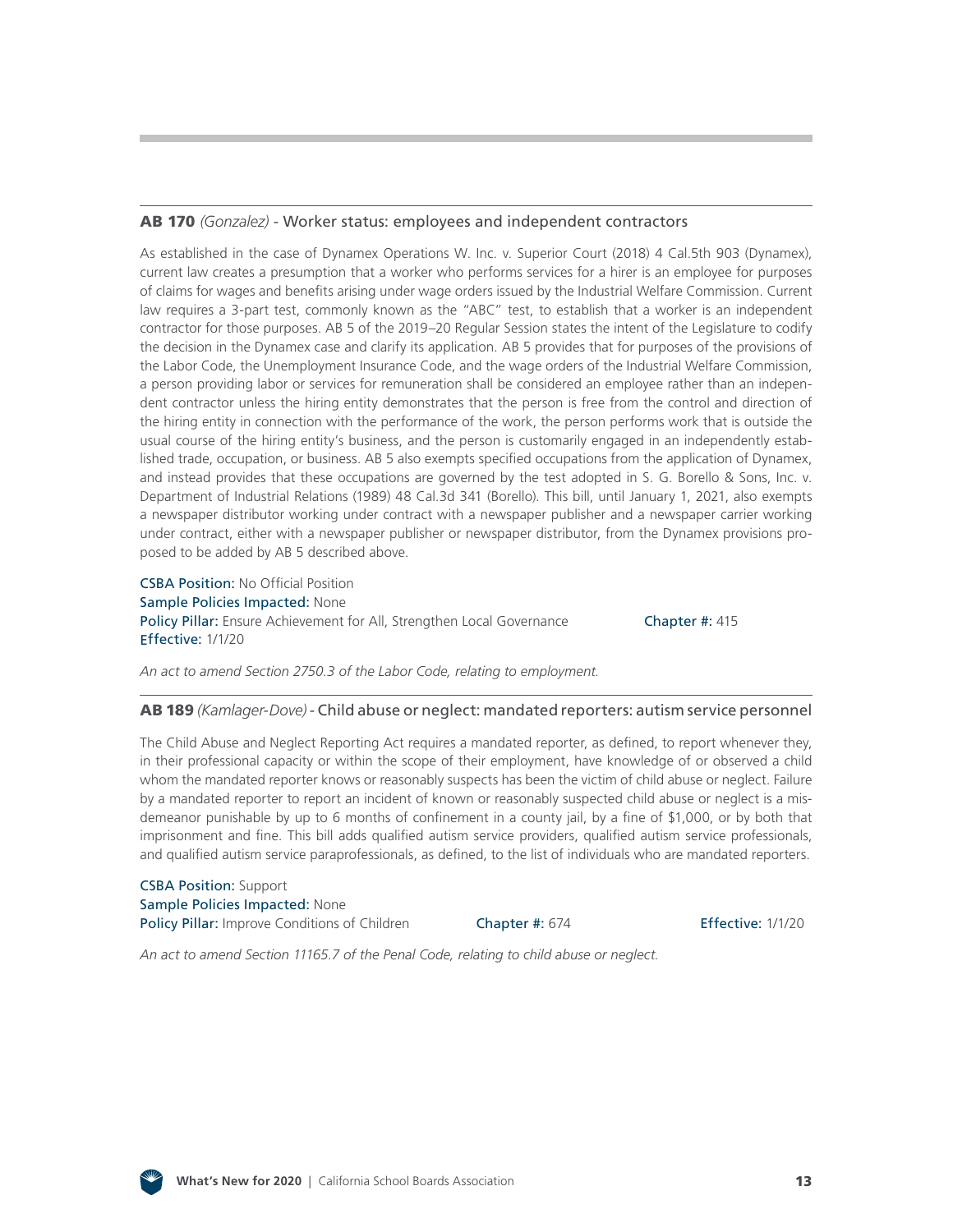#### AB 170 *(Gonzalez)* [- Worker status: employees and independent contractors](http://leginfo.legislature.ca.gov/faces/billNavClient.xhtml?bill_id=201920200AB170)

As established in the case of Dynamex Operations W. Inc. v. Superior Court (2018) 4 Cal.5th 903 (Dynamex), current law creates a presumption that a worker who performs services for a hirer is an employee for purposes of claims for wages and benefits arising under wage orders issued by the Industrial Welfare Commission. Current law requires a 3-part test, commonly known as the "ABC" test, to establish that a worker is an independent contractor for those purposes. AB 5 of the 2019–20 Regular Session states the intent of the Legislature to codify the decision in the Dynamex case and clarify its application. AB 5 provides that for purposes of the provisions of the Labor Code, the Unemployment Insurance Code, and the wage orders of the Industrial Welfare Commission, a person providing labor or services for remuneration shall be considered an employee rather than an independent contractor unless the hiring entity demonstrates that the person is free from the control and direction of the hiring entity in connection with the performance of the work, the person performs work that is outside the usual course of the hiring entity's business, and the person is customarily engaged in an independently established trade, occupation, or business. AB 5 also exempts specified occupations from the application of Dynamex, and instead provides that these occupations are governed by the test adopted in S. G. Borello & Sons, Inc. v. Department of Industrial Relations (1989) 48 Cal.3d 341 (Borello). This bill, until January 1, 2021, also exempts a newspaper distributor working under contract with a newspaper publisher and a newspaper carrier working under contract, either with a newspaper publisher or newspaper distributor, from the Dynamex provisions proposed to be added by AB 5 described above.

CSBA Position: No Official Position Sample Policies Impacted: None Policy Pillar: Ensure Achievement for All, Strengthen Local Governance Chapter #: 415 Effective: 1/1/20

*An act to amend Section 2750.3 of the Labor Code, relating to employment.*

#### AB 189 *(Kamlager-Dove)* [- Child abuse or neglect: mandated reporters: autism service personnel](http://leginfo.legislature.ca.gov/faces/billNavClient.xhtml?bill_id=201920200AB189)

The Child Abuse and Neglect Reporting Act requires a mandated reporter, as defined, to report whenever they, in their professional capacity or within the scope of their employment, have knowledge of or observed a child whom the mandated reporter knows or reasonably suspects has been the victim of child abuse or neglect. Failure by a mandated reporter to report an incident of known or reasonably suspected child abuse or neglect is a misdemeanor punishable by up to 6 months of confinement in a county jail, by a fine of \$1,000, or by both that imprisonment and fine. This bill adds qualified autism service providers, qualified autism service professionals, and qualified autism service paraprofessionals, as defined, to the list of individuals who are mandated reporters.

CSBA Position: Support Sample Policies Impacted: None Policy Pillar: Improve Conditions of Children Chapter #: 674 Effective: 1/1/20

*An act to amend Section 11165.7 of the Penal Code, relating to child abuse or neglect.*

![](_page_12_Picture_11.jpeg)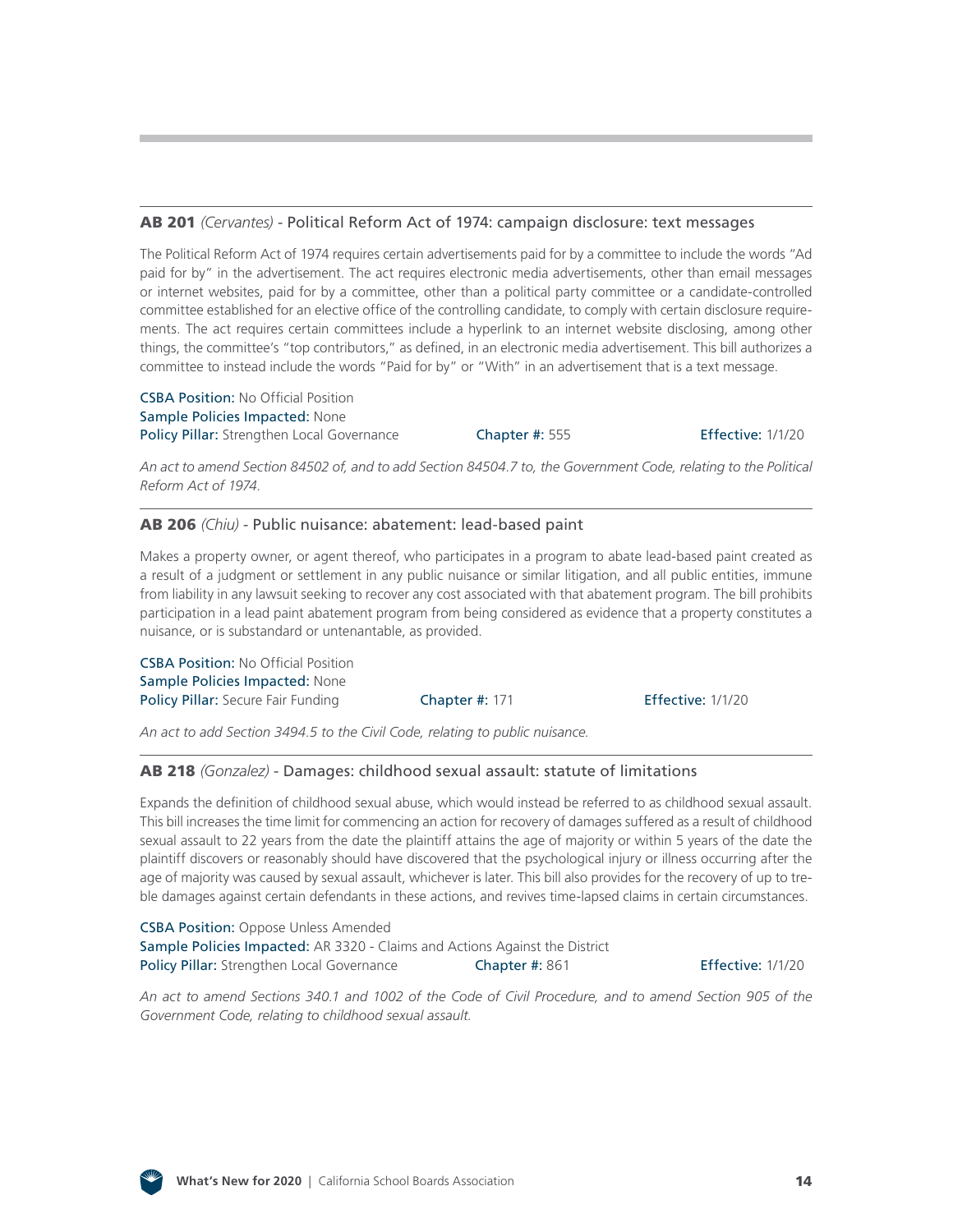#### AB 201 *(Cervantes)* [- Political Reform Act of 1974: campaign disclosure: text messages](http://leginfo.legislature.ca.gov/faces/billNavClient.xhtml?bill_id=201920200AB201)

The Political Reform Act of 1974 requires certain advertisements paid for by a committee to include the words "Ad paid for by" in the advertisement. The act requires electronic media advertisements, other than email messages or internet websites, paid for by a committee, other than a political party committee or a candidate-controlled committee established for an elective office of the controlling candidate, to comply with certain disclosure requirements. The act requires certain committees include a hyperlink to an internet website disclosing, among other things, the committee's "top contributors," as defined, in an electronic media advertisement. This bill authorizes a committee to instead include the words "Paid for by" or "With" in an advertisement that is a text message.

CSBA Position: No Official Position Sample Policies Impacted: None Policy Pillar: Strengthen Local Governance Chapter #: 555 Effective: 1/1/20

*An act to amend Section 84502 of, and to add Section 84504.7 to, the Government Code, relating to the Political Reform Act of 1974.*

#### AB 206 *(Chiu)* [- Public nuisance: abatement: lead-based paint](http://leginfo.legislature.ca.gov/faces/billNavClient.xhtml?bill_id=201920200AB206)

Makes a property owner, or agent thereof, who participates in a program to abate lead-based paint created as a result of a judgment or settlement in any public nuisance or similar litigation, and all public entities, immune from liability in any lawsuit seeking to recover any cost associated with that abatement program. The bill prohibits participation in a lead paint abatement program from being considered as evidence that a property constitutes a nuisance, or is substandard or untenantable, as provided.

CSBA Position: No Official Position Sample Policies Impacted: None Policy Pillar: Secure Fair Funding **Chapter #: 171 Effective: 1/1/20** 

*An act to add Section 3494.5 to the Civil Code, relating to public nuisance.*

#### AB 218 *(Gonzalez)* [- Damages: childhood sexual assault: statute of limitations](http://leginfo.legislature.ca.gov/faces/billNavClient.xhtml?bill_id=201920200AB218)

Expands the definition of childhood sexual abuse, which would instead be referred to as childhood sexual assault. This bill increases the time limit for commencing an action for recovery of damages suffered as a result of childhood sexual assault to 22 years from the date the plaintiff attains the age of majority or within 5 years of the date the plaintiff discovers or reasonably should have discovered that the psychological injury or illness occurring after the age of majority was caused by sexual assault, whichever is later. This bill also provides for the recovery of up to treble damages against certain defendants in these actions, and revives time-lapsed claims in certain circumstances.

**CSBA Position:** Oppose Unless Amended Sample Policies Impacted: AR 3320 - Claims and Actions Against the District Policy Pillar: Strengthen Local Governance Chapter #: 861

Effective: 1/1/20

*An act to amend Sections 340.1 and 1002 of the Code of Civil Procedure, and to amend Section 905 of the Government Code, relating to childhood sexual assault.*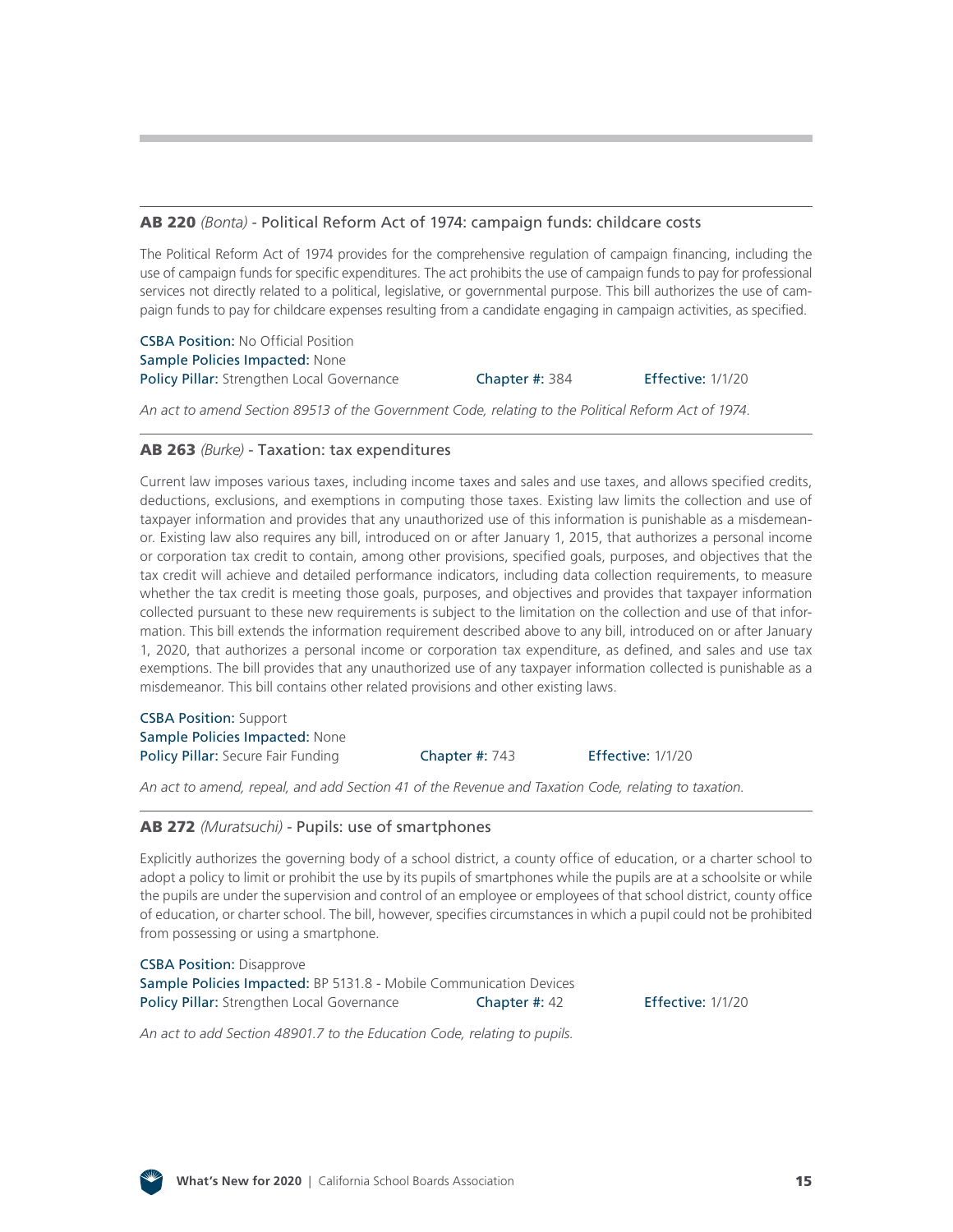#### AB 220 *(Bonta)* [- Political Reform Act of 1974: campaign funds: childcare costs](http://leginfo.legislature.ca.gov/faces/billNavClient.xhtml?bill_id=201920200AB220)

The Political Reform Act of 1974 provides for the comprehensive regulation of campaign financing, including the use of campaign funds for specific expenditures. The act prohibits the use of campaign funds to pay for professional services not directly related to a political, legislative, or governmental purpose. This bill authorizes the use of campaign funds to pay for childcare expenses resulting from a candidate engaging in campaign activities, as specified.

CSBA Position: No Official Position Sample Policies Impacted: None Policy Pillar: Strengthen Local Governance **Chapter #: 384** Effective: 1/1/20

*An act to amend Section 89513 of the Government Code, relating to the Political Reform Act of 1974.*

#### AB 263 *(Burke)* [- Taxation: tax expenditures](http://leginfo.legislature.ca.gov/faces/billNavClient.xhtml?bill_id=201920200AB263)

Current law imposes various taxes, including income taxes and sales and use taxes, and allows specified credits, deductions, exclusions, and exemptions in computing those taxes. Existing law limits the collection and use of taxpayer information and provides that any unauthorized use of this information is punishable as a misdemeanor. Existing law also requires any bill, introduced on or after January 1, 2015, that authorizes a personal income or corporation tax credit to contain, among other provisions, specified goals, purposes, and objectives that the tax credit will achieve and detailed performance indicators, including data collection requirements, to measure whether the tax credit is meeting those goals, purposes, and objectives and provides that taxpayer information collected pursuant to these new requirements is subject to the limitation on the collection and use of that information. This bill extends the information requirement described above to any bill, introduced on or after January 1, 2020, that authorizes a personal income or corporation tax expenditure, as defined, and sales and use tax exemptions. The bill provides that any unauthorized use of any taxpayer information collected is punishable as a misdemeanor. This bill contains other related provisions and other existing laws.

CSBA Position: Support Sample Policies Impacted: None Policy Pillar: Secure Fair Funding **Chapter #: 743** Effective: 1/1/20

*An act to amend, repeal, and add Section 41 of the Revenue and Taxation Code, relating to taxation.*

#### AB 272 *(Muratsuchi)* [- Pupils: use of smartphones](http://leginfo.legislature.ca.gov/faces/billNavClient.xhtml?bill_id=201920200AB272)

Explicitly authorizes the governing body of a school district, a county office of education, or a charter school to adopt a policy to limit or prohibit the use by its pupils of smartphones while the pupils are at a schoolsite or while the pupils are under the supervision and control of an employee or employees of that school district, county office of education, or charter school. The bill, however, specifies circumstances in which a pupil could not be prohibited from possessing or using a smartphone.

CSBA Position: Disapprove Sample Policies Impacted: BP 5131.8 - Mobile Communication Devices Policy Pillar: Strengthen Local Governance Chapter #: 42 Effective: 1/1/20

*An act to add Section 48901.7 to the Education Code, relating to pupils.*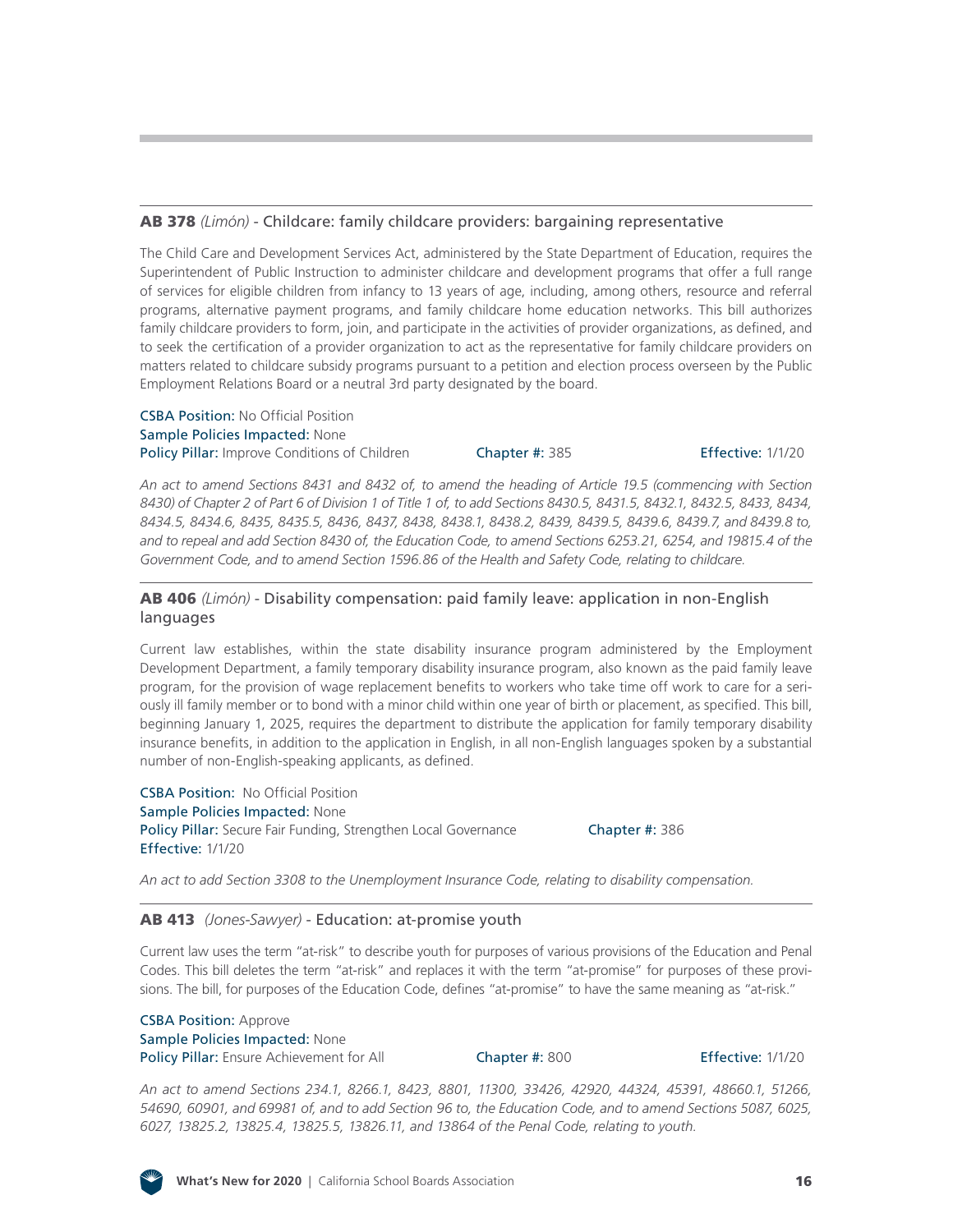CSBA Position: Approve Sample Policies Impacted: None Policy Pillar: Ensure Achievement for All Chapter #: 800 Effective: 1/1/20

**What's New for 2020** | California School Boards Association 16

#### AB 378 *(Limón)* [- Childcare: family childcare providers: bargaining representative](http://leginfo.legislature.ca.gov/faces/billNavClient.xhtml?bill_id=201920200AB378)

The Child Care and Development Services Act, administered by the State Department of Education, requires the Superintendent of Public Instruction to administer childcare and development programs that offer a full range of services for eligible children from infancy to 13 years of age, including, among others, resource and referral programs, alternative payment programs, and family childcare home education networks. This bill authorizes family childcare providers to form, join, and participate in the activities of provider organizations, as defined, and to seek the certification of a provider organization to act as the representative for family childcare providers on matters related to childcare subsidy programs pursuant to a petition and election process overseen by the Public Employment Relations Board or a neutral 3rd party designated by the board.

#### CSBA Position: No Official Position Sample Policies Impacted: None Policy Pillar: Improve Conditions of Children Chapter #: 385 Effective: 1/1/20

*An act to amend Sections 8431 and 8432 of, to amend the heading of Article 19.5 (commencing with Section 8430) of Chapter 2 of Part 6 of Division 1 of Title 1 of, to add Sections 8430.5, 8431.5, 8432.1, 8432.5, 8433, 8434, 8434.5, 8434.6, 8435, 8435.5, 8436, 8437, 8438, 8438.1, 8438.2, 8439, 8439.5, 8439.6, 8439.7, and 8439.8 to, and to repeal and add Section 8430 of, the Education Code, to amend Sections 6253.21, 6254, and 19815.4 of the Government Code, and to amend Section 1596.86 of the Health and Safety Code, relating to childcare.*

#### AB 406 *(Limón)* [- Disability compensation: paid family leave: application in non-English](http://leginfo.legislature.ca.gov/faces/billNavClient.xhtml?bill_id=201920200AB406) languages

Current law establishes, within the state disability insurance program administered by the Employment Development Department, a family temporary disability insurance program, also known as the paid family leave program, for the provision of wage replacement benefits to workers who take time off work to care for a seriously ill family member or to bond with a minor child within one year of birth or placement, as specified. This bill, beginning January 1, 2025, requires the department to distribute the application for family temporary disability insurance benefits, in addition to the application in English, in all non-English languages spoken by a substantial number of non-English-speaking applicants, as defined.

CSBA Position: No Official Position Sample Policies Impacted: None Policy Pillar: Secure Fair Funding, Strengthen Local Governance Chapter #: 386 Effective: 1/1/20

*An act to add Section 3308 to the Unemployment Insurance Code, relating to disability compensation.*

### AB 413 *(Jones-Sawyer)* [- Education: at-promise youth](http://leginfo.legislature.ca.gov/faces/billNavClient.xhtml?bill_id=201920200AB413)

Current law uses the term "at-risk" to describe youth for purposes of various provisions of the Education and Penal Codes. This bill deletes the term "at-risk" and replaces it with the term "at-promise" for purposes of these provisions. The bill, for purposes of the Education Code, defines "at-promise" to have the same meaning as "at-risk."

*An act to amend Sections 234.1, 8266.1, 8423, 8801, 11300, 33426, 42920, 44324, 45391, 48660.1, 51266, 54690, 60901, and 69981 of, and to add Section 96 to, the Education Code, and to amend Sections 5087, 6025,* 

*6027, 13825.2, 13825.4, 13825.5, 13826.11, and 13864 of the Penal Code, relating to youth.*

![](_page_15_Picture_18.jpeg)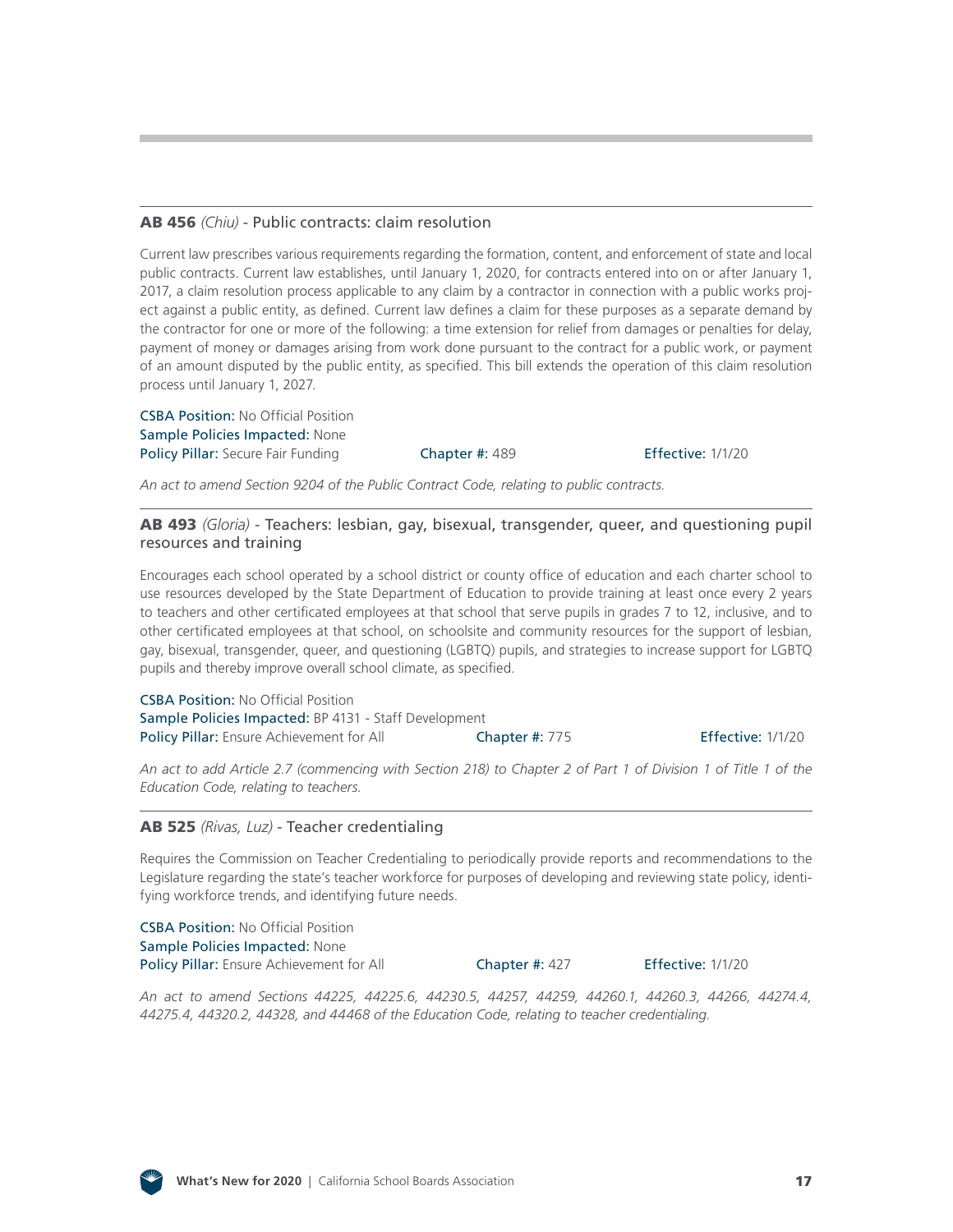#### AB 456 *(Chiu)* [- Public contracts: claim resolution](http://leginfo.legislature.ca.gov/faces/billNavClient.xhtml?bill_id=201920200AB456)

Current law prescribes various requirements regarding the formation, content, and enforcement of state and local public contracts. Current law establishes, until January 1, 2020, for contracts entered into on or after January 1, 2017, a claim resolution process applicable to any claim by a contractor in connection with a public works project against a public entity, as defined. Current law defines a claim for these purposes as a separate demand by the contractor for one or more of the following: a time extension for relief from damages or penalties for delay, payment of money or damages arising from work done pursuant to the contract for a public work, or payment of an amount disputed by the public entity, as specified. This bill extends the operation of this claim resolution process until January 1, 2027.

CSBA Position: No Official Position Sample Policies Impacted: None Policy Pillar: Secure Fair Funding **Chapter #: 489 Fffective: 1/1/20** 

*An act to amend Section 9204 of the Public Contract Code, relating to public contracts.*

#### AB 493 *(Gloria)* [- Teachers: lesbian, gay, bisexual, transgender, queer, and questioning pupil](http://leginfo.legislature.ca.gov/faces/billNavClient.xhtml?bill_id=201920200AB493) resources and training

Encourages each school operated by a school district or county office of education and each charter school to use resources developed by the State Department of Education to provide training at least once every 2 years to teachers and other certificated employees at that school that serve pupils in grades 7 to 12, inclusive, and to other certificated employees at that school, on schoolsite and community resources for the support of lesbian, gay, bisexual, transgender, queer, and questioning (LGBTQ) pupils, and strategies to increase support for LGBTQ pupils and thereby improve overall school climate, as specified.

CSBA Position: No Official Position Sample Policies Impacted: BP 4131 - Staff Development Policy Pillar: Ensure Achievement for All Chapter #: 775 Ffective: 1/1/20

*An act to add Article 2.7 (commencing with Section 218) to Chapter 2 of Part 1 of Division 1 of Title 1 of the Education Code, relating to teachers.*

#### AB 525 *(Rivas, Luz)* [- Teacher credentialing](http://leginfo.legislature.ca.gov/faces/billNavClient.xhtml?bill_id=201920200AB525)

Requires the Commission on Teacher Credentialing to periodically provide reports and recommendations to the Legislature regarding the state's teacher workforce for purposes of developing and reviewing state policy, identifying workforce trends, and identifying future needs.

CSBA Position: No Official Position Sample Policies Impacted: None Policy Pillar: Ensure Achievement for All **Chapter #: 427** Effective: 1/1/20

*An act to amend Sections 44225, 44225.6, 44230.5, 44257, 44259, 44260.1, 44260.3, 44266, 44274.4, 44275.4, 44320.2, 44328, and 44468 of the Education Code, relating to teacher credentialing.*

![](_page_16_Picture_17.jpeg)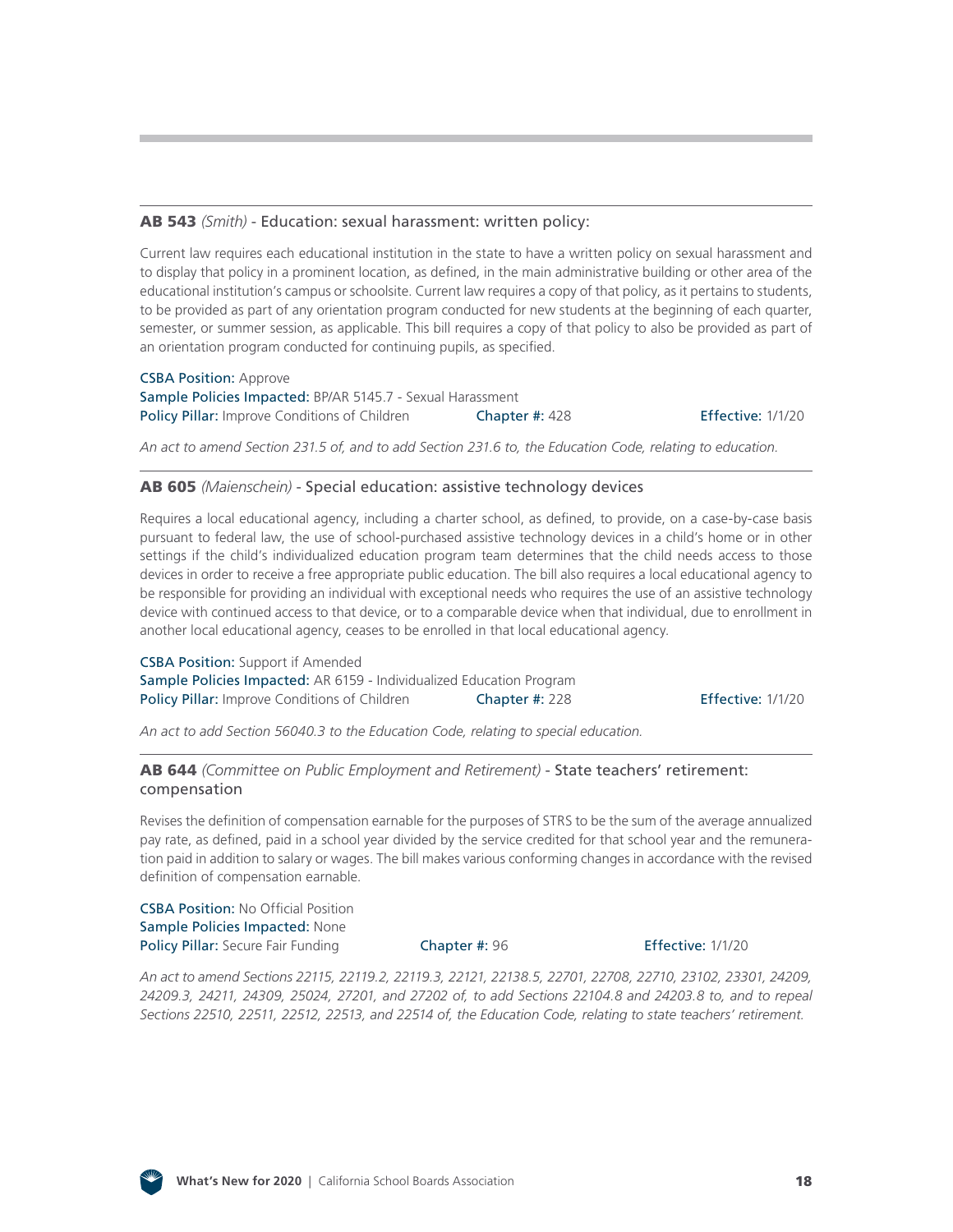#### AB 543 *(Smith)* [- Education: sexual harassment: written policy:](http://leginfo.legislature.ca.gov/faces/billNavClient.xhtml?bill_id=201920200AB543)

Current law requires each educational institution in the state to have a written policy on sexual harassment and to display that policy in a prominent location, as defined, in the main administrative building or other area of the educational institution's campus or schoolsite. Current law requires a copy of that policy, as it pertains to students, to be provided as part of any orientation program conducted for new students at the beginning of each quarter, semester, or summer session, as applicable. This bill requires a copy of that policy to also be provided as part of an orientation program conducted for continuing pupils, as specified.

CSBA Position: Approve Sample Policies Impacted: BP/AR 5145.7 - Sexual Harassment Policy Pillar: Improve Conditions of Children Chapter #: 428 Effective: 1/1/20

*An act to amend Section 231.5 of, and to add Section 231.6 to, the Education Code, relating to education.*

#### AB 605 *(Maienschein)* [- Special education: assistive technology devices](http://leginfo.legislature.ca.gov/faces/billNavClient.xhtml?bill_id=201920200AB605)

Requires a local educational agency, including a charter school, as defined, to provide, on a case-by-case basis pursuant to federal law, the use of school-purchased assistive technology devices in a child's home or in other settings if the child's individualized education program team determines that the child needs access to those devices in order to receive a free appropriate public education. The bill also requires a local educational agency to be responsible for providing an individual with exceptional needs who requires the use of an assistive technology device with continued access to that device, or to a comparable device when that individual, due to enrollment in another local educational agency, ceases to be enrolled in that local educational agency.

CSBA Position: Support if Amended Sample Policies Impacted: AR 6159 - Individualized Education Program Policy Pillar: Improve Conditions of Children Chapter #: 228 Effective: 1/1/20

*An act to add Section 56040.3 to the Education Code, relating to special education.*

#### AB 644 *[\(Committee on Public Employment and Retirement\)](http://leginfo.legislature.ca.gov/faces/billNavClient.xhtml?bill_id=201920200AB644)* - State teachers' retirement: compensation

Revises the definition of compensation earnable for the purposes of STRS to be the sum of the average annualized pay rate, as defined, paid in a school year divided by the service credited for that school year and the remuneration paid in addition to salary or wages. The bill makes various conforming changes in accordance with the revised definition of compensation earnable.

CSBA Position: No Official Position Sample Policies Impacted: None Policy Pillar: Secure Fair Funding **Chapter #: 96 Effective: 1/1/20** Effective: 1/1/20

*An act to amend Sections 22115, 22119.2, 22119.3, 22121, 22138.5, 22701, 22708, 22710, 23102, 23301, 24209, 24209.3, 24211, 24309, 25024, 27201, and 27202 of, to add Sections 22104.8 and 24203.8 to, and to repeal Sections 22510, 22511, 22512, 22513, and 22514 of, the Education Code, relating to state teachers' retirement.*

![](_page_17_Picture_16.jpeg)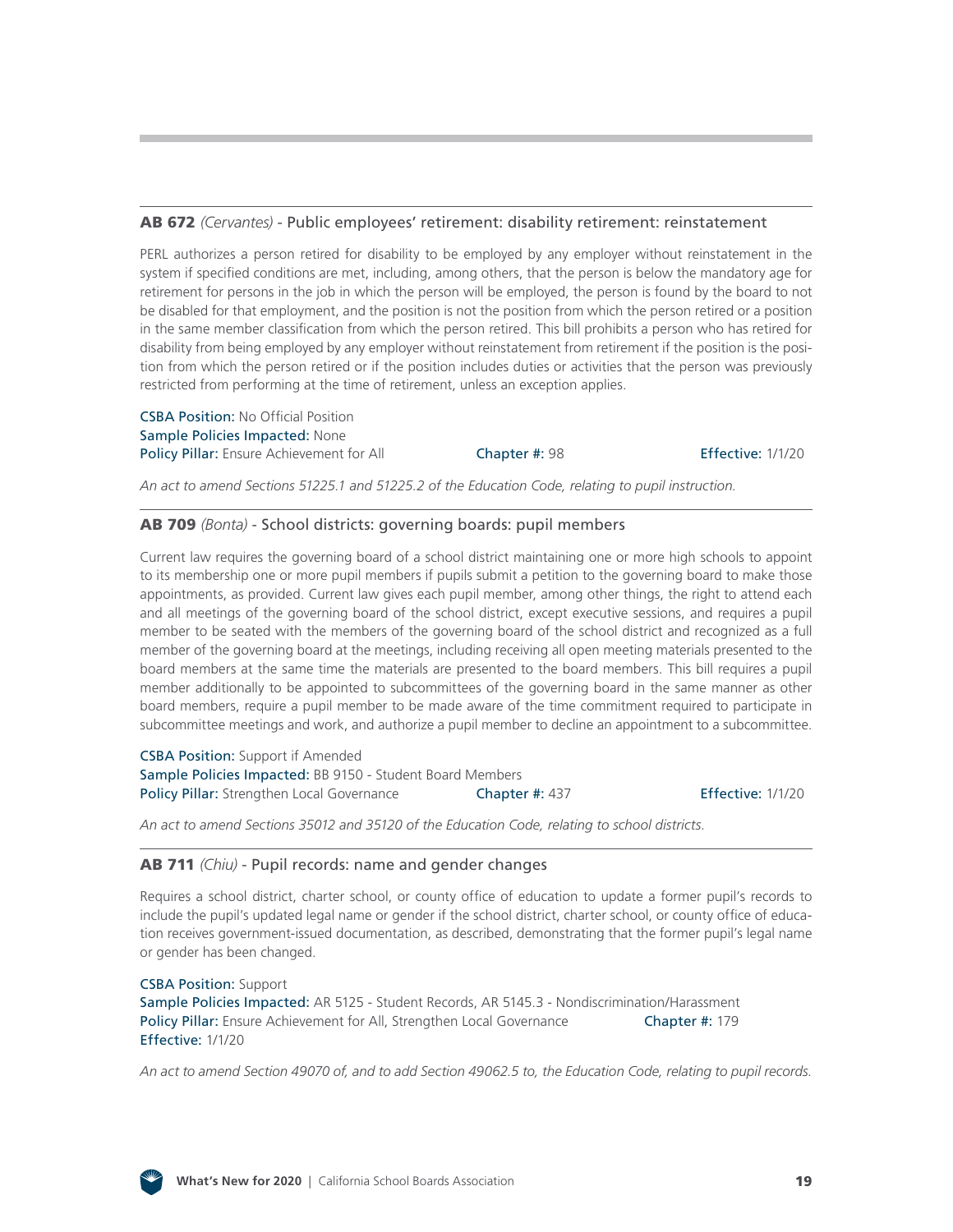#### AB 672 *(Cervantes)* [- Public employees' retirement: disability retirement: reinstatement](http://leginfo.legislature.ca.gov/faces/billNavClient.xhtml?bill_id=201920200AB672)

PERL authorizes a person retired for disability to be employed by any employer without reinstatement in the system if specified conditions are met, including, among others, that the person is below the mandatory age for retirement for persons in the job in which the person will be employed, the person is found by the board to not be disabled for that employment, and the position is not the position from which the person retired or a position in the same member classification from which the person retired. This bill prohibits a person who has retired for disability from being employed by any employer without reinstatement from retirement if the position is the position from which the person retired or if the position includes duties or activities that the person was previously restricted from performing at the time of retirement, unless an exception applies.

CSBA Position: No Official Position Sample Policies Impacted: None Policy Pillar: Ensure Achievement for All Chapter #: 98 Effective: 1/1/20

*An act to amend Sections 51225.1 and 51225.2 of the Education Code, relating to pupil instruction.*

#### AB 709 *(Bonta)* [- School districts: governing boards: pupil members](http://leginfo.legislature.ca.gov/faces/billNavClient.xhtml?bill_id=201920200AB709)

Current law requires the governing board of a school district maintaining one or more high schools to appoint to its membership one or more pupil members if pupils submit a petition to the governing board to make those appointments, as provided. Current law gives each pupil member, among other things, the right to attend each and all meetings of the governing board of the school district, except executive sessions, and requires a pupil member to be seated with the members of the governing board of the school district and recognized as a full member of the governing board at the meetings, including receiving all open meeting materials presented to the board members at the same time the materials are presented to the board members. This bill requires a pupil member additionally to be appointed to subcommittees of the governing board in the same manner as other board members, require a pupil member to be made aware of the time commitment required to participate in subcommittee meetings and work, and authorize a pupil member to decline an appointment to a subcommittee.

CSBA Position: Support if Amended Sample Policies Impacted: BB 9150 - Student Board Members Policy Pillar: Strengthen Local Governance Chapter #: 437 Effective: 1/1/20

*An act to amend Sections 35012 and 35120 of the Education Code, relating to school districts.*

### AB 711 *(Chiu)* [- Pupil records: name and gender changes](http://leginfo.legislature.ca.gov/faces/billNavClient.xhtml?bill_id=201920200AB711)

Requires a school district, charter school, or county office of education to update a former pupil's records to include the pupil's updated legal name or gender if the school district, charter school, or county office of education receives government-issued documentation, as described, demonstrating that the former pupil's legal name or gender has been changed.

CSBA Position: Support Sample Policies Impacted: AR 5125 - Student Records, AR 5145.3 - Nondiscrimination/Harassment Policy Pillar: Ensure Achievement for All, Strengthen Local Governance **Chapter #:** 179 Effective: 1/1/20

*An act to amend Section 49070 of, and to add Section 49062.5 to, the Education Code, relating to pupil records.*

![](_page_18_Picture_14.jpeg)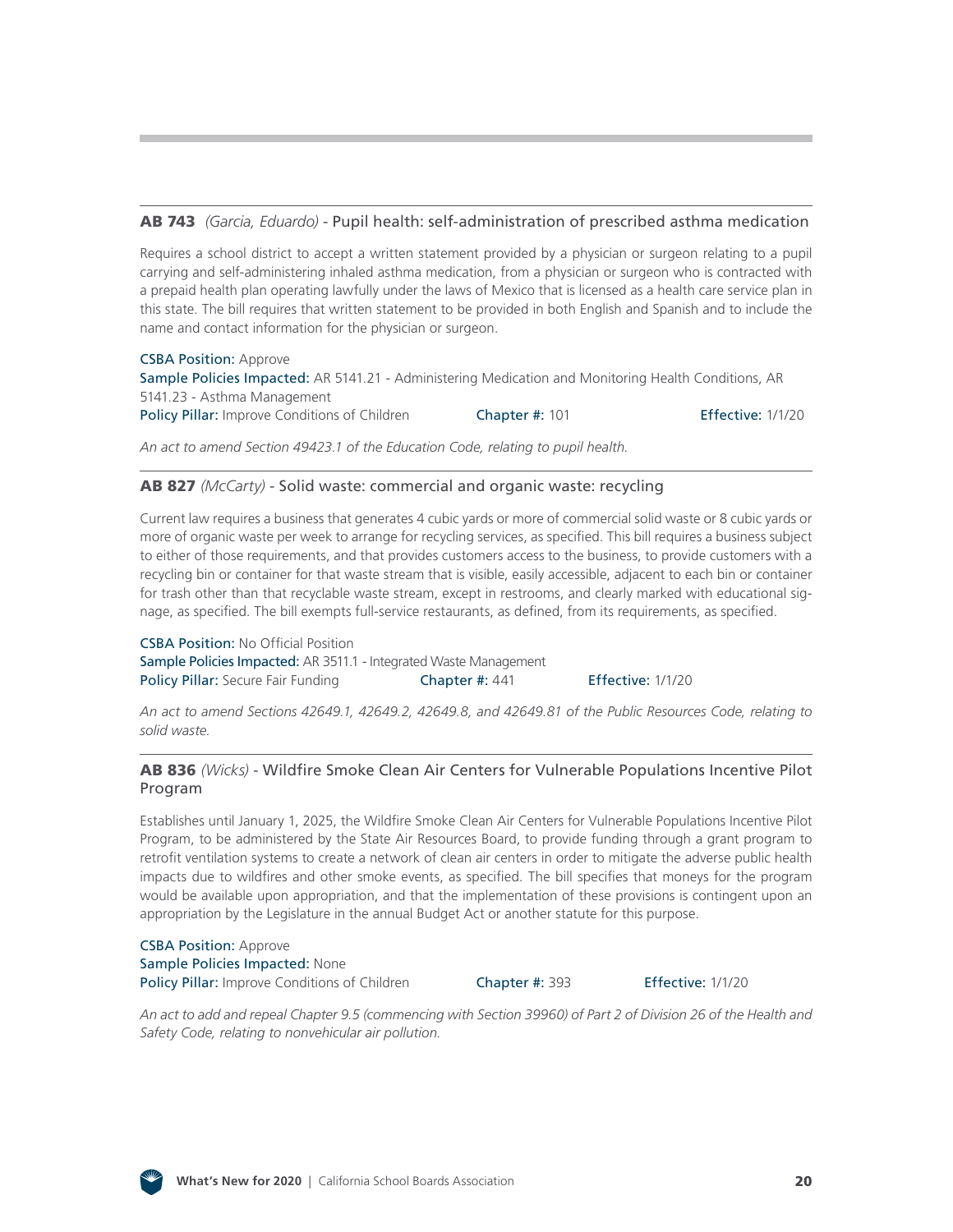#### AB 743 *(Garcia, Eduardo)* [- Pupil health: self-administration of prescribed asthma medication](http://leginfo.legislature.ca.gov/faces/billNavClient.xhtml?bill_id=201920200AB743)

Requires a school district to accept a written statement provided by a physician or surgeon relating to a pupil carrying and self-administering inhaled asthma medication, from a physician or surgeon who is contracted with a prepaid health plan operating lawfully under the laws of Mexico that is licensed as a health care service plan in this state. The bill requires that written statement to be provided in both English and Spanish and to include the name and contact information for the physician or surgeon.

CSBA Position: Approve Sample Policies Impacted: AR 5141.21 - Administering Medication and Monitoring Health Conditions, AR 5141.23 - Asthma Management Policy Pillar: Improve Conditions of Children Chapter #: 101 Effective: 1/1/20

*An act to amend Section 49423.1 of the Education Code, relating to pupil health.*

#### AB 827 *(McCarty)* [- Solid waste: commercial and organic waste: recycling](http://leginfo.legislature.ca.gov/faces/billNavClient.xhtml?bill_id=201920200AB827)

Current law requires a business that generates 4 cubic yards or more of commercial solid waste or 8 cubic yards or more of organic waste per week to arrange for recycling services, as specified. This bill requires a business subject to either of those requirements, and that provides customers access to the business, to provide customers with a recycling bin or container for that waste stream that is visible, easily accessible, adjacent to each bin or container for trash other than that recyclable waste stream, except in restrooms, and clearly marked with educational signage, as specified. The bill exempts full-service restaurants, as defined, from its requirements, as specified.

CSBA Position: No Official Position Sample Policies Impacted: AR 3511.1 - Integrated Waste Management Policy Pillar: Secure Fair Funding **Chapter #: 441** Effective: 1/1/20

*An act to amend Sections 42649.1, 42649.2, 42649.8, and 42649.81 of the Public Resources Code, relating to solid waste.*

#### AB 836 *(Wicks)* [- Wildfire Smoke Clean Air Centers for Vulnerable Populations Incentive Pilot](http://leginfo.legislature.ca.gov/faces/billNavClient.xhtml?bill_id=201920200AB836)  Program

Establishes until January 1, 2025, the Wildfire Smoke Clean Air Centers for Vulnerable Populations Incentive Pilot Program, to be administered by the State Air Resources Board, to provide funding through a grant program to retrofit ventilation systems to create a network of clean air centers in order to mitigate the adverse public health impacts due to wildfires and other smoke events, as specified. The bill specifies that moneys for the program would be available upon appropriation, and that the implementation of these provisions is contingent upon an appropriation by the Legislature in the annual Budget Act or another statute for this purpose.

CSBA Position: Approve Sample Policies Impacted: None Policy Pillar: Improve Conditions of Children Chapter #: 393 Effective: 1/1/20

*An act to add and repeal Chapter 9.5 (commencing with Section 39960) of Part 2 of Division 26 of the Health and Safety Code, relating to nonvehicular air pollution.*

![](_page_19_Picture_15.jpeg)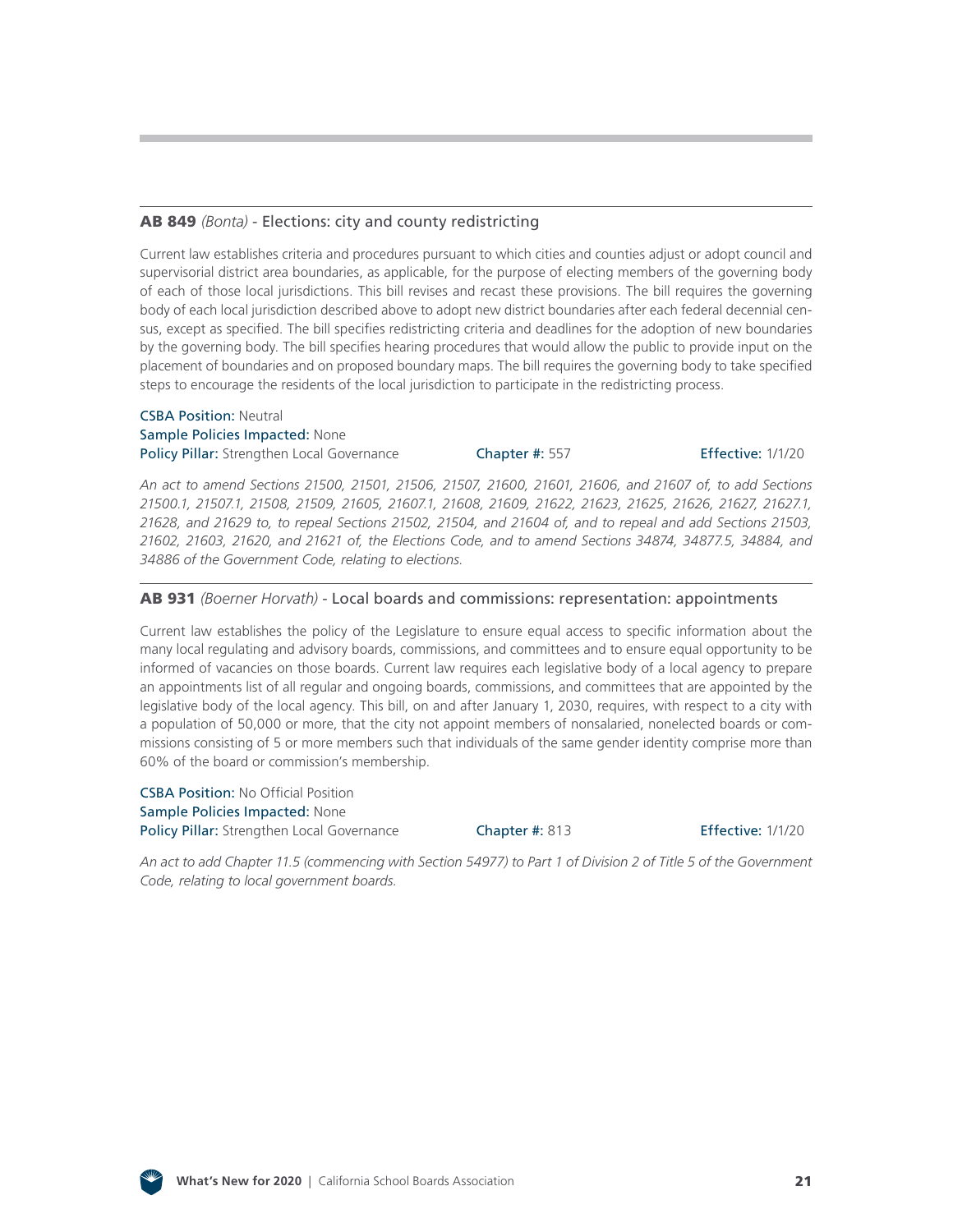#### AB 849 *(Bonta)* [- Elections: city and county redistricting](http://leginfo.legislature.ca.gov/faces/billNavClient.xhtml?bill_id=201920200AB849)

Current law establishes criteria and procedures pursuant to which cities and counties adjust or adopt council and supervisorial district area boundaries, as applicable, for the purpose of electing members of the governing body of each of those local jurisdictions. This bill revises and recast these provisions. The bill requires the governing body of each local jurisdiction described above to adopt new district boundaries after each federal decennial census, except as specified. The bill specifies redistricting criteria and deadlines for the adoption of new boundaries by the governing body. The bill specifies hearing procedures that would allow the public to provide input on the placement of boundaries and on proposed boundary maps. The bill requires the governing body to take specified steps to encourage the residents of the local jurisdiction to participate in the redistricting process.

#### CSBA Position: Neutral Sample Policies Impacted: None Policy Pillar: Strengthen Local Governance Chapter #: 557 Effective: 1/1/20

*An act to amend Sections 21500, 21501, 21506, 21507, 21600, 21601, 21606, and 21607 of, to add Sections 21500.1, 21507.1, 21508, 21509, 21605, 21607.1, 21608, 21609, 21622, 21623, 21625, 21626, 21627, 21627.1, 21628, and 21629 to, to repeal Sections 21502, 21504, and 21604 of, and to repeal and add Sections 21503, 21602, 21603, 21620, and 21621 of, the Elections Code, and to amend Sections 34874, 34877.5, 34884, and 34886 of the Government Code, relating to elections.*

#### AB 931 *(Boerner Horvath)* [- Local boards and commissions: representation: appointments](http://leginfo.legislature.ca.gov/faces/billNavClient.xhtml?bill_id=201920200AB931)

Current law establishes the policy of the Legislature to ensure equal access to specific information about the many local regulating and advisory boards, commissions, and committees and to ensure equal opportunity to be informed of vacancies on those boards. Current law requires each legislative body of a local agency to prepare an appointments list of all regular and ongoing boards, commissions, and committees that are appointed by the legislative body of the local agency. This bill, on and after January 1, 2030, requires, with respect to a city with a population of 50,000 or more, that the city not appoint members of nonsalaried, nonelected boards or commissions consisting of 5 or more members such that individuals of the same gender identity comprise more than 60% of the board or commission's membership.

CSBA Position: No Official Position Sample Policies Impacted: None Policy Pillar: Strengthen Local Governance Chapter #: 813 Effective: 1/1/20

*An act to add Chapter 11.5 (commencing with Section 54977) to Part 1 of Division 2 of Title 5 of the Government Code, relating to local government boards.*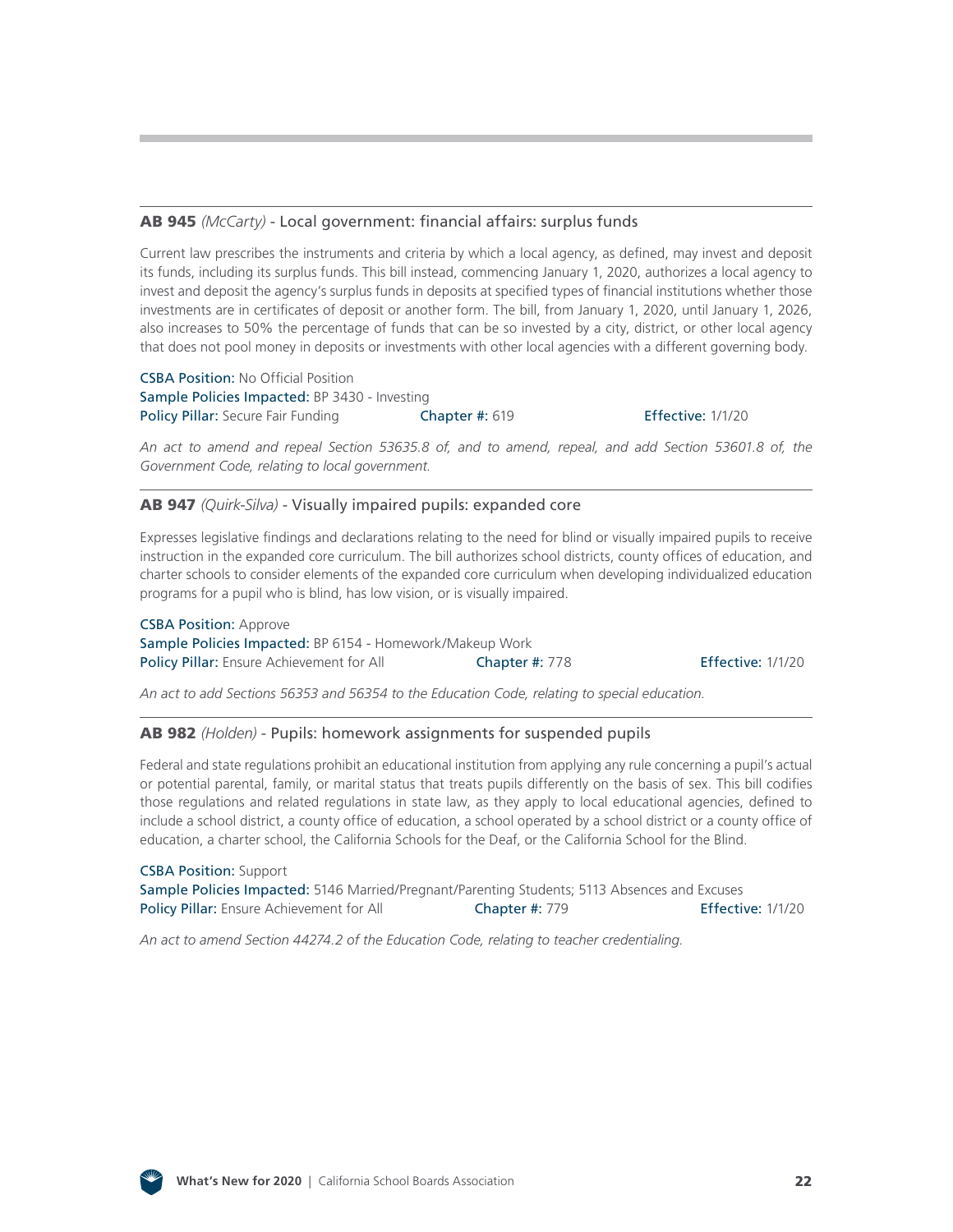#### AB 945 *(McCarty)* [- Local government: financial affairs: surplus funds](http://leginfo.legislature.ca.gov/faces/billNavClient.xhtml?bill_id=201920200AB945)

Current law prescribes the instruments and criteria by which a local agency, as defined, may invest and deposit its funds, including its surplus funds. This bill instead, commencing January 1, 2020, authorizes a local agency to invest and deposit the agency's surplus funds in deposits at specified types of financial institutions whether those investments are in certificates of deposit or another form. The bill, from January 1, 2020, until January 1, 2026, also increases to 50% the percentage of funds that can be so invested by a city, district, or other local agency that does not pool money in deposits or investments with other local agencies with a different governing body.

CSBA Position: No Official Position Sample Policies Impacted: BP 3430 - Investing Policy Pillar: Secure Fair Funding Chapter #: 619 Effective: 1/1/20

*An act to amend and repeal Section 53635.8 of, and to amend, repeal, and add Section 53601.8 of, the Government Code, relating to local government.*

#### AB 947 *(Quirk-Silva)* [- Visually impaired pupils: expanded core](http://leginfo.legislature.ca.gov/faces/billNavClient.xhtml?bill_id=201920200AB947)

Expresses legislative findings and declarations relating to the need for blind or visually impaired pupils to receive instruction in the expanded core curriculum. The bill authorizes school districts, county offices of education, and charter schools to consider elements of the expanded core curriculum when developing individualized education programs for a pupil who is blind, has low vision, or is visually impaired.

CSBA Position: Approve Sample Policies Impacted: BP 6154 - Homework/Makeup Work Policy Pillar: Ensure Achievement for All Chapter #: 778 Effective: 1/1/20

*An act to add Sections 56353 and 56354 to the Education Code, relating to special education.*

#### AB 982 *(Holden)* [- Pupils: homework assignments for suspended pupils](http://leginfo.legislature.ca.gov/faces/billNavClient.xhtml?bill_id=201920200AB982)

Federal and state regulations prohibit an educational institution from applying any rule concerning a pupil's actual or potential parental, family, or marital status that treats pupils differently on the basis of sex. This bill codifies those regulations and related regulations in state law, as they apply to local educational agencies, defined to include a school district, a county office of education, a school operated by a school district or a county office of education, a charter school, the California Schools for the Deaf, or the California School for the Blind.

CSBA Position: Support Sample Policies Impacted: 5146 Married/Pregnant/Parenting Students; 5113 Absences and Excuses Policy Pillar: Ensure Achievement for All **Chapter #: 779** Effective: 1/1/20

*An act to amend Section 44274.2 of the Education Code, relating to teacher credentialing.*

![](_page_21_Picture_14.jpeg)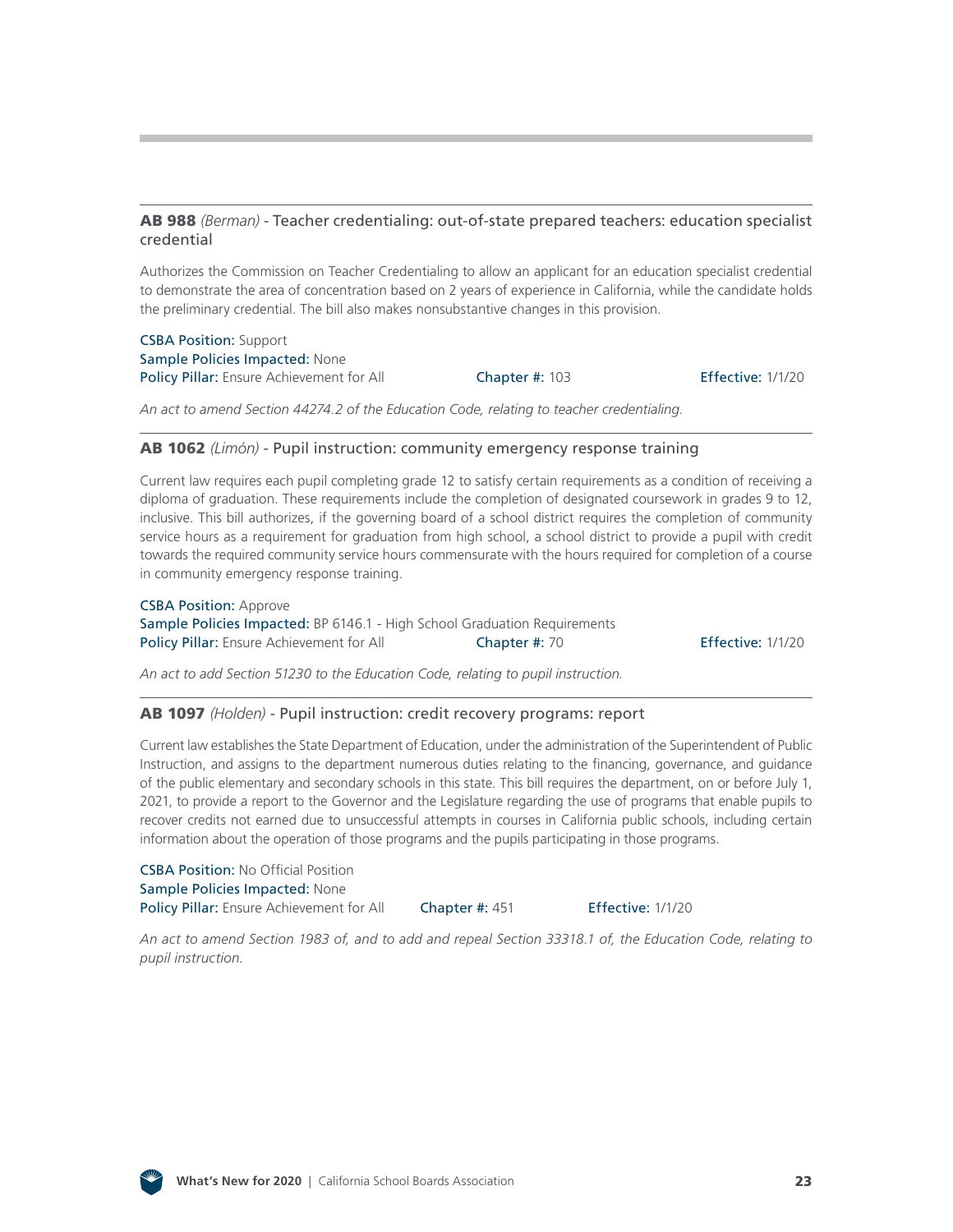#### AB 988 *(Berman)* [- Teacher credentialing: out-of-state prepared teachers: education specialist](http://leginfo.legislature.ca.gov/faces/billNavClient.xhtml?bill_id=201920200AB988)  credential

Authorizes the Commission on Teacher Credentialing to allow an applicant for an education specialist credential to demonstrate the area of concentration based on 2 years of experience in California, while the candidate holds the preliminary credential. The bill also makes nonsubstantive changes in this provision.

CSBA Position: Support Sample Policies Impacted: None Policy Pillar: Ensure Achievement for All **Chapter #: 103** Effective: 1/1/20

*An act to amend Section 44274.2 of the Education Code, relating to teacher credentialing.*

#### AB 1062 *(Limón)* [- Pupil instruction: community emergency response training](http://leginfo.legislature.ca.gov/faces/billNavClient.xhtml?bill_id=201920200AB1062)

Current law requires each pupil completing grade 12 to satisfy certain requirements as a condition of receiving a diploma of graduation. These requirements include the completion of designated coursework in grades 9 to 12, inclusive. This bill authorizes, if the governing board of a school district requires the completion of community service hours as a requirement for graduation from high school, a school district to provide a pupil with credit towards the required community service hours commensurate with the hours required for completion of a course in community emergency response training.

CSBA Position: Approve Sample Policies Impacted: BP 6146.1 - High School Graduation Requirements Policy Pillar: Ensure Achievement for All Chapter #: 70 Effective: 1/1/20

*An act to add Section 51230 to the Education Code, relating to pupil instruction.*

#### AB 1097 *(Holden)* [- Pupil instruction: credit recovery programs: report](http://leginfo.legislature.ca.gov/faces/billNavClient.xhtml?bill_id=201920200AB1097)

Current law establishes the State Department of Education, under the administration of the Superintendent of Public Instruction, and assigns to the department numerous duties relating to the financing, governance, and guidance of the public elementary and secondary schools in this state. This bill requires the department, on or before July 1, 2021, to provide a report to the Governor and the Legislature regarding the use of programs that enable pupils to recover credits not earned due to unsuccessful attempts in courses in California public schools, including certain information about the operation of those programs and the pupils participating in those programs.

CSBA Position: No Official Position Sample Policies Impacted: None Policy Pillar: Ensure Achievement for All Chapter #: 451 Effective: 1/1/20

*An act to amend Section 1983 of, and to add and repeal Section 33318.1 of, the Education Code, relating to pupil instruction.*

![](_page_22_Picture_15.jpeg)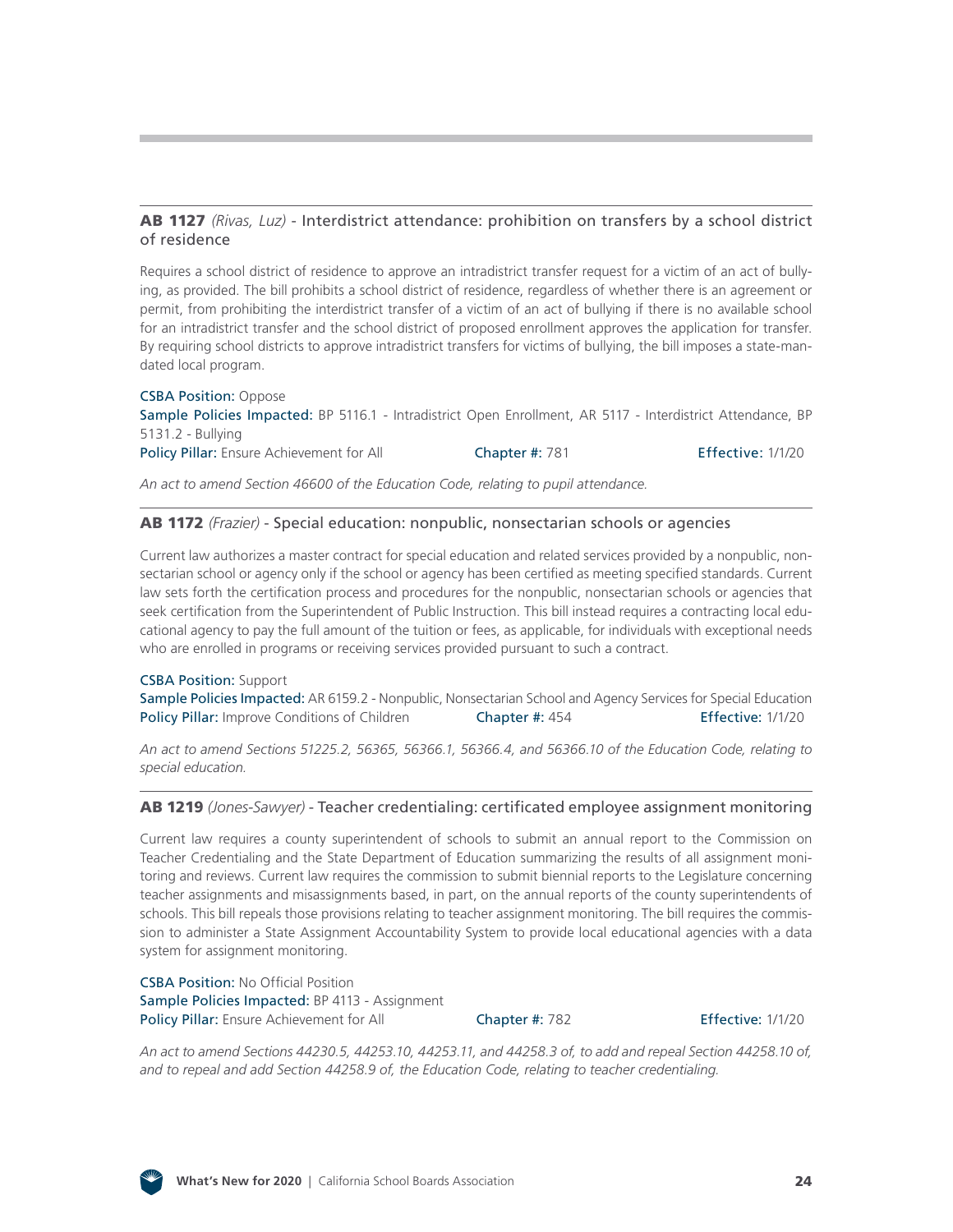#### AB 1127 *(Rivas, Luz)* [- Interdistrict attendance: prohibition on transfers by a school district](http://leginfo.legislature.ca.gov/faces/billNavClient.xhtml?bill_id=201920200AB1127) of residence

Requires a school district of residence to approve an intradistrict transfer request for a victim of an act of bullying, as provided. The bill prohibits a school district of residence, regardless of whether there is an agreement or permit, from prohibiting the interdistrict transfer of a victim of an act of bullying if there is no available school for an intradistrict transfer and the school district of proposed enrollment approves the application for transfer. By requiring school districts to approve intradistrict transfers for victims of bullying, the bill imposes a state-mandated local program.

#### CSBA Position: Oppose Sample Policies Impacted: BP 5116.1 - Intradistrict Open Enrollment, AR 5117 - Interdistrict Attendance, BP 5131.2 - Bullying Policy Pillar: Ensure Achievement for All Chapter #: 781 Effective: 1/1/20

*An act to amend Section 46600 of the Education Code, relating to pupil attendance.*

#### AB 1172 *(Frazier)* [- Special education: nonpublic, nonsectarian schools or agencies](http://leginfo.legislature.ca.gov/faces/billNavClient.xhtml?bill_id=201920200AB1172)

Current law authorizes a master contract for special education and related services provided by a nonpublic, nonsectarian school or agency only if the school or agency has been certified as meeting specified standards. Current law sets forth the certification process and procedures for the nonpublic, nonsectarian schools or agencies that seek certification from the Superintendent of Public Instruction. This bill instead requires a contracting local educational agency to pay the full amount of the tuition or fees, as applicable, for individuals with exceptional needs who are enrolled in programs or receiving services provided pursuant to such a contract.

#### CSBA Position: Support

Sample Policies Impacted: AR 6159.2 - Nonpublic, Nonsectarian School and Agency Services for Special Education Policy Pillar: Improve Conditions of Children Chapter #: 454 Effective: 1/1/20

*An act to amend Sections 51225.2, 56365, 56366.1, 56366.4, and 56366.10 of the Education Code, relating to special education.*

#### AB 1219 *(Jones-Sawyer)* [- Teacher credentialing: certificated employee assignment monitoring](http://leginfo.legislature.ca.gov/faces/billNavClient.xhtml?bill_id=201920200AB1219)

Current law requires a county superintendent of schools to submit an annual report to the Commission on Teacher Credentialing and the State Department of Education summarizing the results of all assignment monitoring and reviews. Current law requires the commission to submit biennial reports to the Legislature concerning teacher assignments and misassignments based, in part, on the annual reports of the county superintendents of schools. This bill repeals those provisions relating to teacher assignment monitoring. The bill requires the commission to administer a State Assignment Accountability System to provide local educational agencies with a data system for assignment monitoring.

CSBA Position: No Official Position Sample Policies Impacted: BP 4113 - Assignment Policy Pillar: Ensure Achievement for All Chapter #: 782 Effective: 1/1/20

*An act to amend Sections 44230.5, 44253.10, 44253.11, and 44258.3 of, to add and repeal Section 44258.10 of, and to repeal and add Section 44258.9 of, the Education Code, relating to teacher credentialing.*

![](_page_23_Picture_15.jpeg)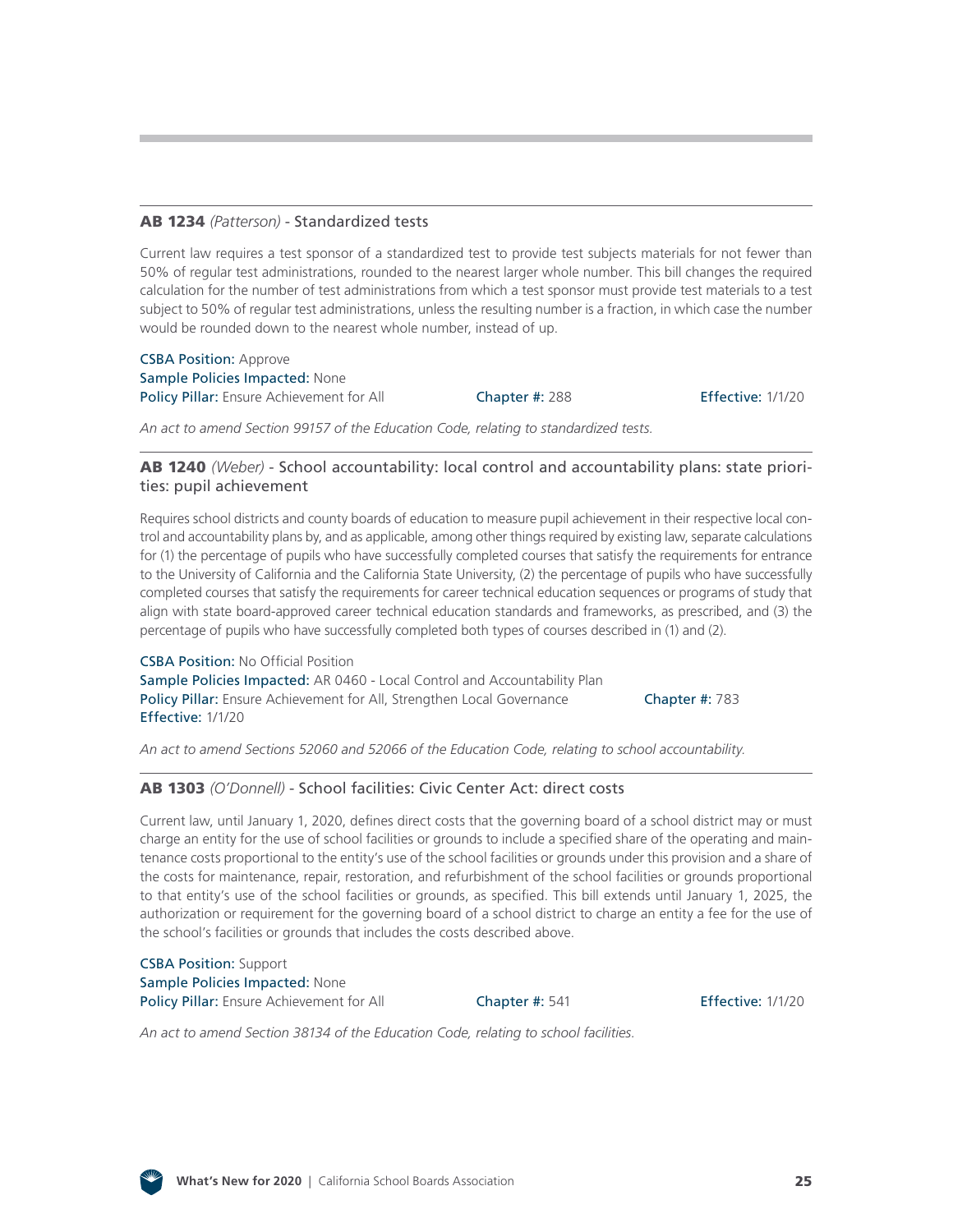#### AB 1234 *(Patterson)* [- Standardized tests](http://leginfo.legislature.ca.gov/faces/billNavClient.xhtml?bill_id=201920200AB1234)

Current law requires a test sponsor of a standardized test to provide test subjects materials for not fewer than 50% of regular test administrations, rounded to the nearest larger whole number. This bill changes the required calculation for the number of test administrations from which a test sponsor must provide test materials to a test subject to 50% of regular test administrations, unless the resulting number is a fraction, in which case the number would be rounded down to the nearest whole number, instead of up.

CSBA Position: Approve Sample Policies Impacted: None Policy Pillar: Ensure Achievement for All Chapter #: 288 Effective: 1/1/20

*An act to amend Section 99157 of the Education Code, relating to standardized tests.*

#### AB 1240 *(Weber)* [- School accountability: local control and accountability plans: state priori](http://leginfo.legislature.ca.gov/faces/billNavClient.xhtml?bill_id=201920200AB1240)ties: pupil achievement

Requires school districts and county boards of education to measure pupil achievement in their respective local control and accountability plans by, and as applicable, among other things required by existing law, separate calculations for (1) the percentage of pupils who have successfully completed courses that satisfy the requirements for entrance to the University of California and the California State University, (2) the percentage of pupils who have successfully completed courses that satisfy the requirements for career technical education sequences or programs of study that align with state board-approved career technical education standards and frameworks, as prescribed, and (3) the percentage of pupils who have successfully completed both types of courses described in (1) and (2).

CSBA Position: No Official Position Sample Policies Impacted: AR 0460 - Local Control and Accountability Plan Policy Pillar: Ensure Achievement for All, Strengthen Local Governance Chapter #: 783 Effective: 1/1/20

*An act to amend Sections 52060 and 52066 of the Education Code, relating to school accountability.*

#### AB 1303 *(O'Donnell)* [- School facilities: Civic Center Act: direct costs](http://leginfo.legislature.ca.gov/faces/billNavClient.xhtml?bill_id=201920200AB1303)

Current law, until January 1, 2020, defines direct costs that the governing board of a school district may or must charge an entity for the use of school facilities or grounds to include a specified share of the operating and maintenance costs proportional to the entity's use of the school facilities or grounds under this provision and a share of the costs for maintenance, repair, restoration, and refurbishment of the school facilities or grounds proportional to that entity's use of the school facilities or grounds, as specified. This bill extends until January 1, 2025, the authorization or requirement for the governing board of a school district to charge an entity a fee for the use of the school's facilities or grounds that includes the costs described above.

CSBA Position: Support Sample Policies Impacted: None Policy Pillar: Ensure Achievement for All **Chapter #: 541** Effective: 1/1/20

*An act to amend Section 38134 of the Education Code, relating to school facilities.*

![](_page_24_Picture_17.jpeg)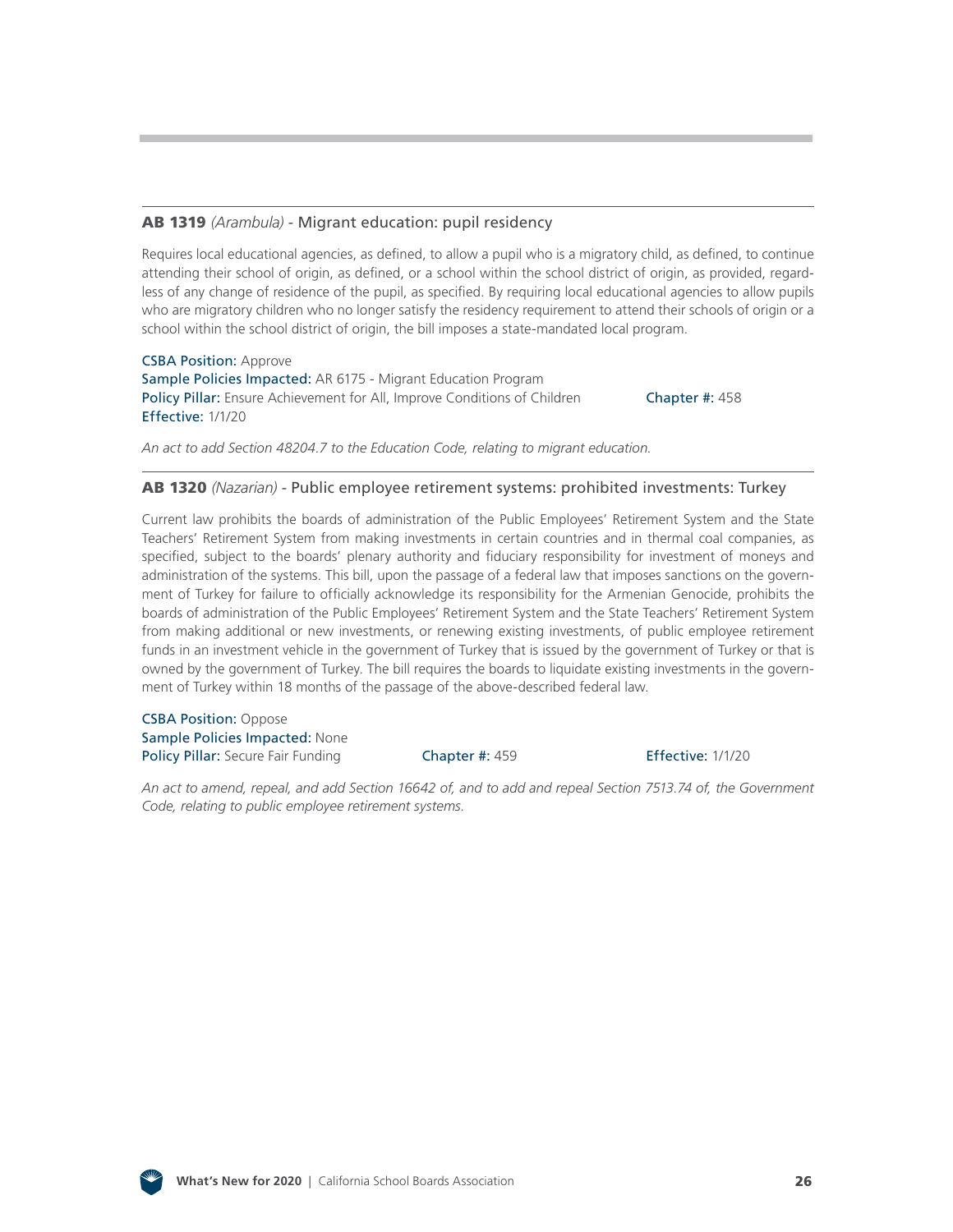#### AB 1319 *(Arambula)* [- Migrant education: pupil residency](http://leginfo.legislature.ca.gov/faces/billNavClient.xhtml?bill_id=201920200AB1319)

Requires local educational agencies, as defined, to allow a pupil who is a migratory child, as defined, to continue attending their school of origin, as defined, or a school within the school district of origin, as provided, regardless of any change of residence of the pupil, as specified. By requiring local educational agencies to allow pupils who are migratory children who no longer satisfy the residency requirement to attend their schools of origin or a school within the school district of origin, the bill imposes a state-mandated local program.

CSBA Position: Approve Sample Policies Impacted: AR 6175 - Migrant Education Program Policy Pillar: Ensure Achievement for All, Improve Conditions of Children Chapter #: 458 Effective: 1/1/20

*An act to add Section 48204.7 to the Education Code, relating to migrant education.*

#### AB 1320 *(Nazarian)* [- Public employee retirement systems: prohibited investments: Turkey](http://leginfo.legislature.ca.gov/faces/billNavClient.xhtml?bill_id=201920200AB1320)

Current law prohibits the boards of administration of the Public Employees' Retirement System and the State Teachers' Retirement System from making investments in certain countries and in thermal coal companies, as specified, subject to the boards' plenary authority and fiduciary responsibility for investment of moneys and administration of the systems. This bill, upon the passage of a federal law that imposes sanctions on the government of Turkey for failure to officially acknowledge its responsibility for the Armenian Genocide, prohibits the boards of administration of the Public Employees' Retirement System and the State Teachers' Retirement System from making additional or new investments, or renewing existing investments, of public employee retirement funds in an investment vehicle in the government of Turkey that is issued by the government of Turkey or that is owned by the government of Turkey. The bill requires the boards to liquidate existing investments in the government of Turkey within 18 months of the passage of the above-described federal law.

CSBA Position: Oppose Sample Policies Impacted: None Policy Pillar: Secure Fair Funding Chapter #: 459 Effective: 1/1/20

*An act to amend, repeal, and add Section 16642 of, and to add and repeal Section 7513.74 of, the Government Code, relating to public employee retirement systems.*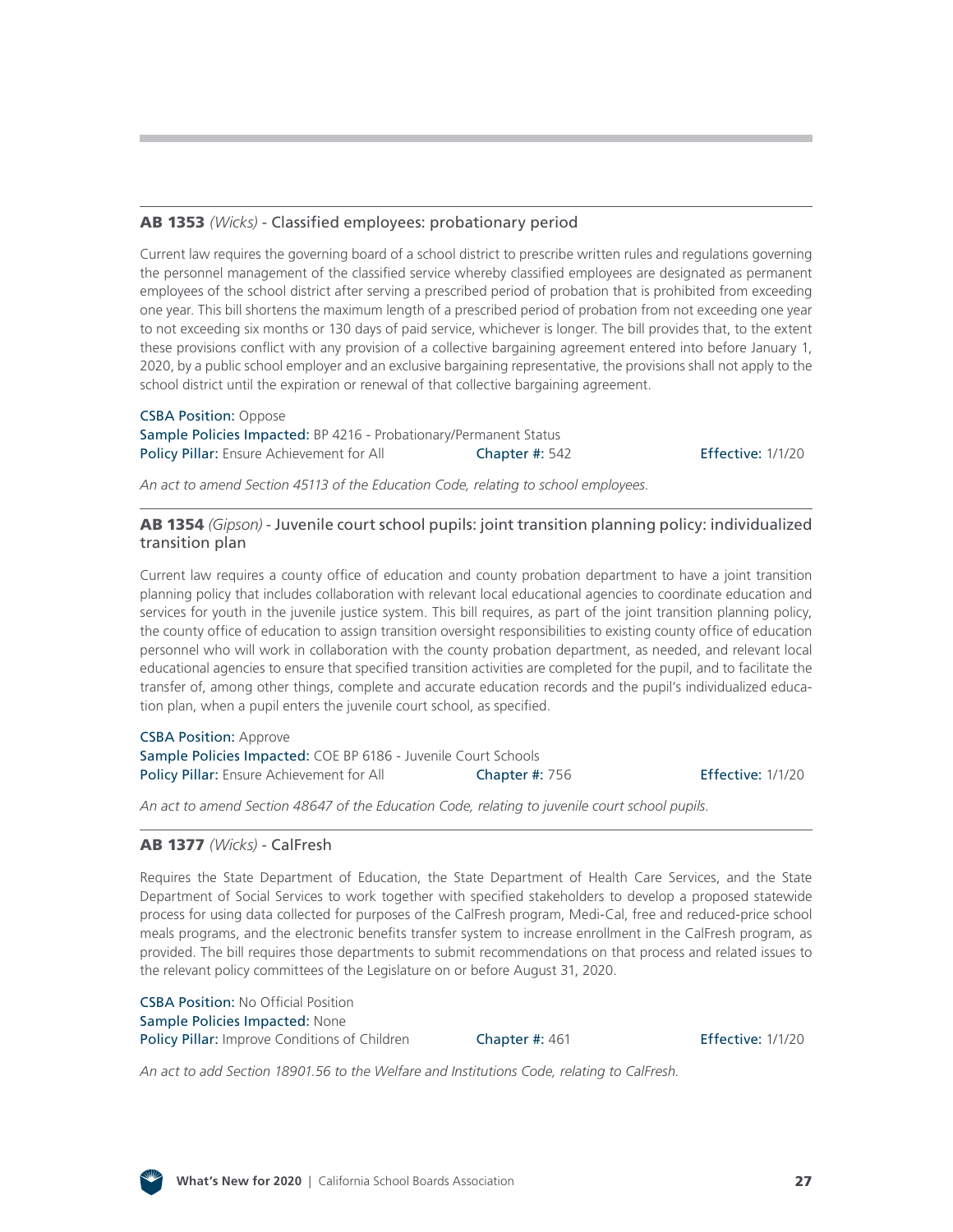#### AB 1353 *(Wicks)* [- Classified employees: probationary period](http://leginfo.legislature.ca.gov/faces/billNavClient.xhtml?bill_id=201920200AB1353)

Current law requires the governing board of a school district to prescribe written rules and regulations governing the personnel management of the classified service whereby classified employees are designated as permanent employees of the school district after serving a prescribed period of probation that is prohibited from exceeding one year. This bill shortens the maximum length of a prescribed period of probation from not exceeding one year to not exceeding six months or 130 days of paid service, whichever is longer. The bill provides that, to the extent these provisions conflict with any provision of a collective bargaining agreement entered into before January 1, 2020, by a public school employer and an exclusive bargaining representative, the provisions shall not apply to the school district until the expiration or renewal of that collective bargaining agreement.

#### CSBA Position: Oppose Sample Policies Impacted: BP 4216 - Probationary/Permanent Status Policy Pillar: Ensure Achievement for All Chapter #: 542 Effective: 1/1/20

*An act to amend Section 45113 of the Education Code, relating to school employees.*

#### AB 1354 *(Gipson)* [- Juvenile court school pupils: joint transition planning policy: individualized](http://leginfo.legislature.ca.gov/faces/billNavClient.xhtml?bill_id=201920200AB1354) transition plan

Current law requires a county office of education and county probation department to have a joint transition planning policy that includes collaboration with relevant local educational agencies to coordinate education and services for youth in the juvenile justice system. This bill requires, as part of the joint transition planning policy, the county office of education to assign transition oversight responsibilities to existing county office of education personnel who will work in collaboration with the county probation department, as needed, and relevant local educational agencies to ensure that specified transition activities are completed for the pupil, and to facilitate the transfer of, among other things, complete and accurate education records and the pupil's individualized education plan, when a pupil enters the juvenile court school, as specified.

## CSBA Position: Approve

Sample Policies Impacted: COE BP 6186 - Juvenile Court Schools Policy Pillar: Ensure Achievement for All **Chapter #: 756** Effective: 1/1/20

*An act to amend Section 48647 of the Education Code, relating to juvenile court school pupils.*

#### AB 1377 *(Wicks)* [- CalFresh](http://leginfo.legislature.ca.gov/faces/billNavClient.xhtml?bill_id=201920200AB1377)

Requires the State Department of Education, the State Department of Health Care Services, and the State Department of Social Services to work together with specified stakeholders to develop a proposed statewide process for using data collected for purposes of the CalFresh program, Medi-Cal, free and reduced-price school meals programs, and the electronic benefits transfer system to increase enrollment in the CalFresh program, as provided. The bill requires those departments to submit recommendations on that process and related issues to the relevant policy committees of the Legislature on or before August 31, 2020.

CSBA Position: No Official Position Sample Policies Impacted: None Policy Pillar: Improve Conditions of Children Chapter #: 461 Effective: 1/1/20

*An act to add Section 18901.56 to the Welfare and Institutions Code, relating to CalFresh.*

![](_page_26_Picture_19.jpeg)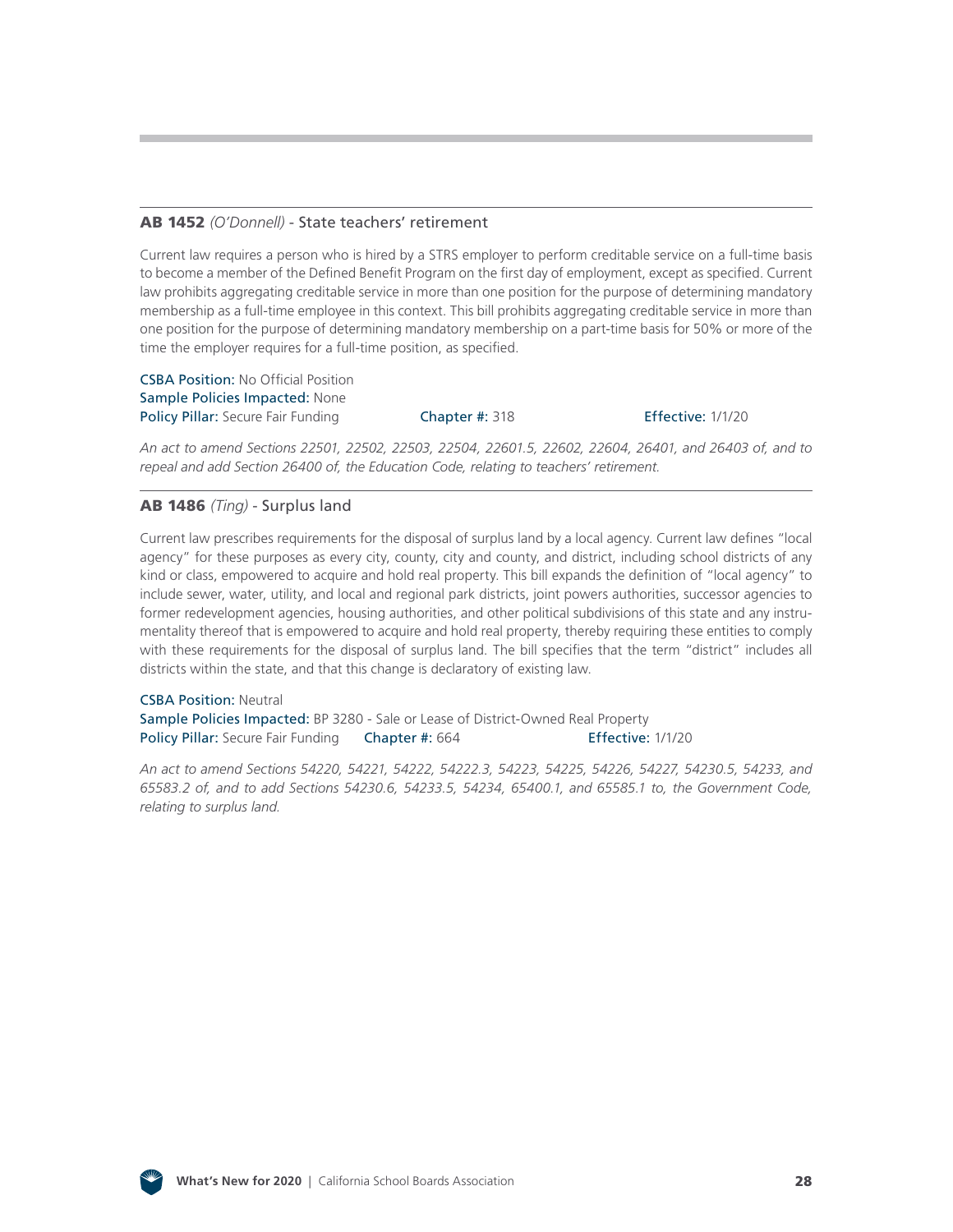#### AB 1452 *(O'Donnell)* [- State teachers' retirement](http://leginfo.legislature.ca.gov/faces/billNavClient.xhtml?bill_id=201920200AB1452)

Current law requires a person who is hired by a STRS employer to perform creditable service on a full-time basis to become a member of the Defined Benefit Program on the first day of employment, except as specified. Current law prohibits aggregating creditable service in more than one position for the purpose of determining mandatory membership as a full-time employee in this context. This bill prohibits aggregating creditable service in more than one position for the purpose of determining mandatory membership on a part-time basis for 50% or more of the time the employer requires for a full-time position, as specified.

CSBA Position: No Official Position Sample Policies Impacted: None Policy Pillar: Secure Fair Funding Chapter #: 318 Effective: 1/1/20

*An act to amend Sections 22501, 22502, 22503, 22504, 22601.5, 22602, 22604, 26401, and 26403 of, and to repeal and add Section 26400 of, the Education Code, relating to teachers' retirement.*

#### AB 1486 *(Ting)* [- Surplus land](http://leginfo.legislature.ca.gov/faces/billNavClient.xhtml?bill_id=201920200AB1486)

Current law prescribes requirements for the disposal of surplus land by a local agency. Current law defines "local agency" for these purposes as every city, county, city and county, and district, including school districts of any kind or class, empowered to acquire and hold real property. This bill expands the definition of "local agency" to include sewer, water, utility, and local and regional park districts, joint powers authorities, successor agencies to former redevelopment agencies, housing authorities, and other political subdivisions of this state and any instrumentality thereof that is empowered to acquire and hold real property, thereby requiring these entities to comply with these requirements for the disposal of surplus land. The bill specifies that the term "district" includes all districts within the state, and that this change is declaratory of existing law.

CSBA Position: Neutral Sample Policies Impacted: BP 3280 - Sale or Lease of District-Owned Real Property Policy Pillar: Secure Fair Funding Chapter #: 664 Effective: 1/1/20

*An act to amend Sections 54220, 54221, 54222, 54222.3, 54223, 54225, 54226, 54227, 54230.5, 54233, and 65583.2 of, and to add Sections 54230.6, 54233.5, 54234, 65400.1, and 65585.1 to, the Government Code, relating to surplus land.*

![](_page_27_Picture_10.jpeg)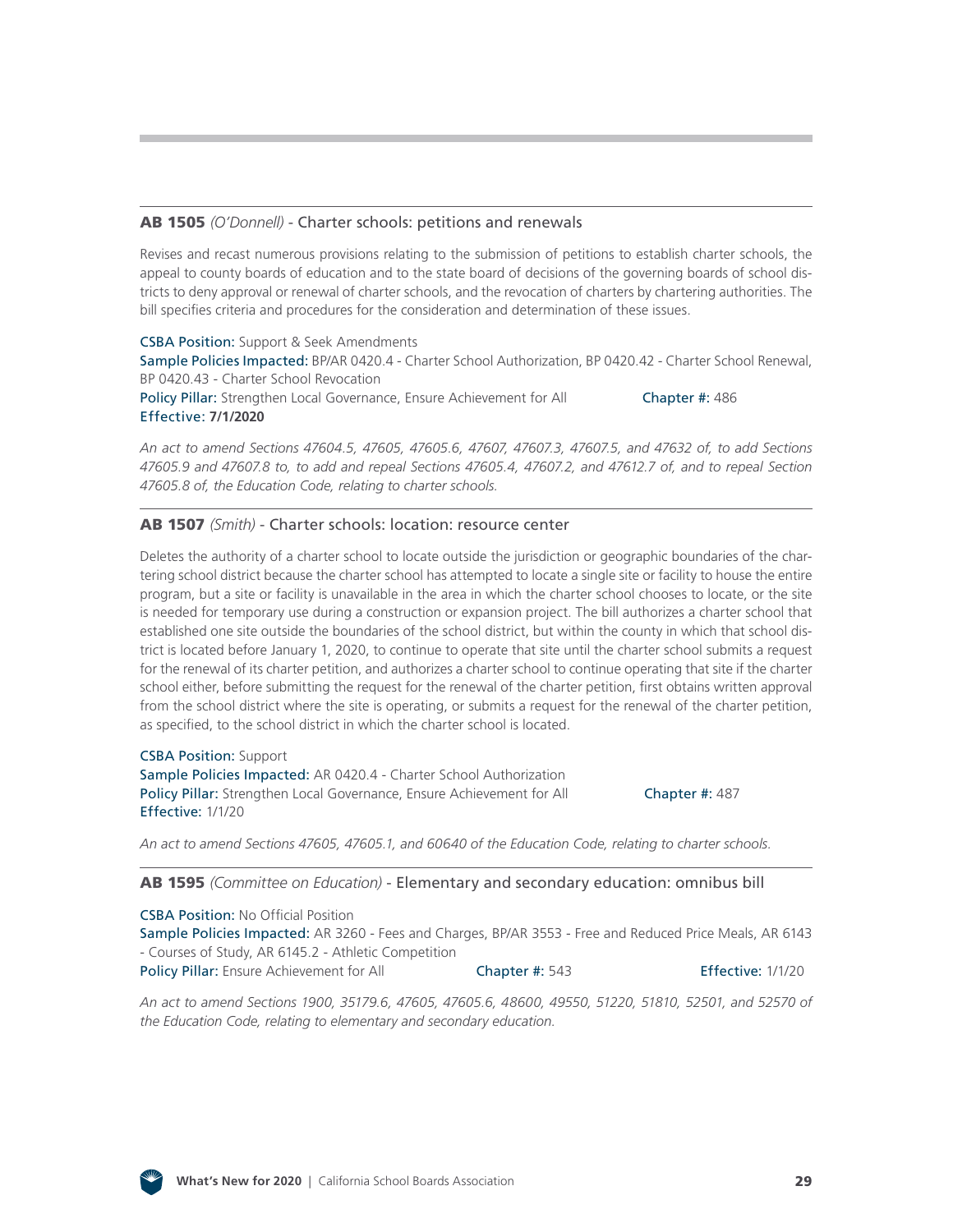#### AB 1505 *(O'Donnell)* [- Charter schools: petitions and](http://leginfo.legislature.ca.gov/faces/billNavClient.xhtml?bill_id=201920200AB1505) renewals

Revises and recast numerous provisions relating to the submission of petitions to establish charter schools, the appeal to county boards of education and to the state board of decisions of the governing boards of school districts to deny approval or renewal of charter schools, and the revocation of charters by chartering authorities. The bill specifies criteria and procedures for the consideration and determination of these issues.

CSBA Position: Support & Seek Amendments Sample Policies Impacted: BP/AR 0420.4 - Charter School Authorization, BP 0420.42 - Charter School Renewal, BP 0420.43 - Charter School Revocation Policy Pillar: Strengthen Local Governance, Ensure Achievement for All **Chapter #:** 486

*An act to amend Sections 47604.5, 47605, 47605.6, 47607, 47607.3, 47607.5, and 47632 of, to add Sections 47605.9 and 47607.8 to, to add and repeal Sections 47605.4, 47607.2, and 47612.7 of, and to repeal Section 47605.8 of, the Education Code, relating to charter schools.*

#### AB 1507 *(Smith)* [- Charter schools: location: resource center](http://leginfo.legislature.ca.gov/faces/billNavClient.xhtml?bill_id=201920200AB1507)

Effective: **7/1/2020**

Deletes the authority of a charter school to locate outside the jurisdiction or geographic boundaries of the chartering school district because the charter school has attempted to locate a single site or facility to house the entire program, but a site or facility is unavailable in the area in which the charter school chooses to locate, or the site is needed for temporary use during a construction or expansion project. The bill authorizes a charter school that established one site outside the boundaries of the school district, but within the county in which that school district is located before January 1, 2020, to continue to operate that site until the charter school submits a request for the renewal of its charter petition, and authorizes a charter school to continue operating that site if the charter school either, before submitting the request for the renewal of the charter petition, first obtains written approval from the school district where the site is operating, or submits a request for the renewal of the charter petition, as specified, to the school district in which the charter school is located.

CSBA Position: Support Sample Policies Impacted: AR 0420.4 - Charter School Authorization Policy Pillar: Strengthen Local Governance, Ensure Achievement for All **Chapter #: 487** Effective: 1/1/20

*An act to amend Sections 47605, 47605.1, and 60640 of the Education Code, relating to charter schools.*

#### AB 1595 *(Committee on Education)* [- Elementary and secondary education: omnibus bill](http://leginfo.legislature.ca.gov/faces/billNavClient.xhtml?bill_id=201920200AB1595)

CSBA Position: No Official Position Sample Policies Impacted: AR 3260 - Fees and Charges, BP/AR 3553 - Free and Reduced Price Meals, AR 6143 - Courses of Study, AR 6145.2 - Athletic Competition Policy Pillar: Ensure Achievement for All **Chapter #: 543** Effective: 1/1/20

*An act to amend Sections 1900, 35179.6, 47605, 47605.6, 48600, 49550, 51220, 51810, 52501, and 52570 of the Education Code, relating to elementary and secondary education.*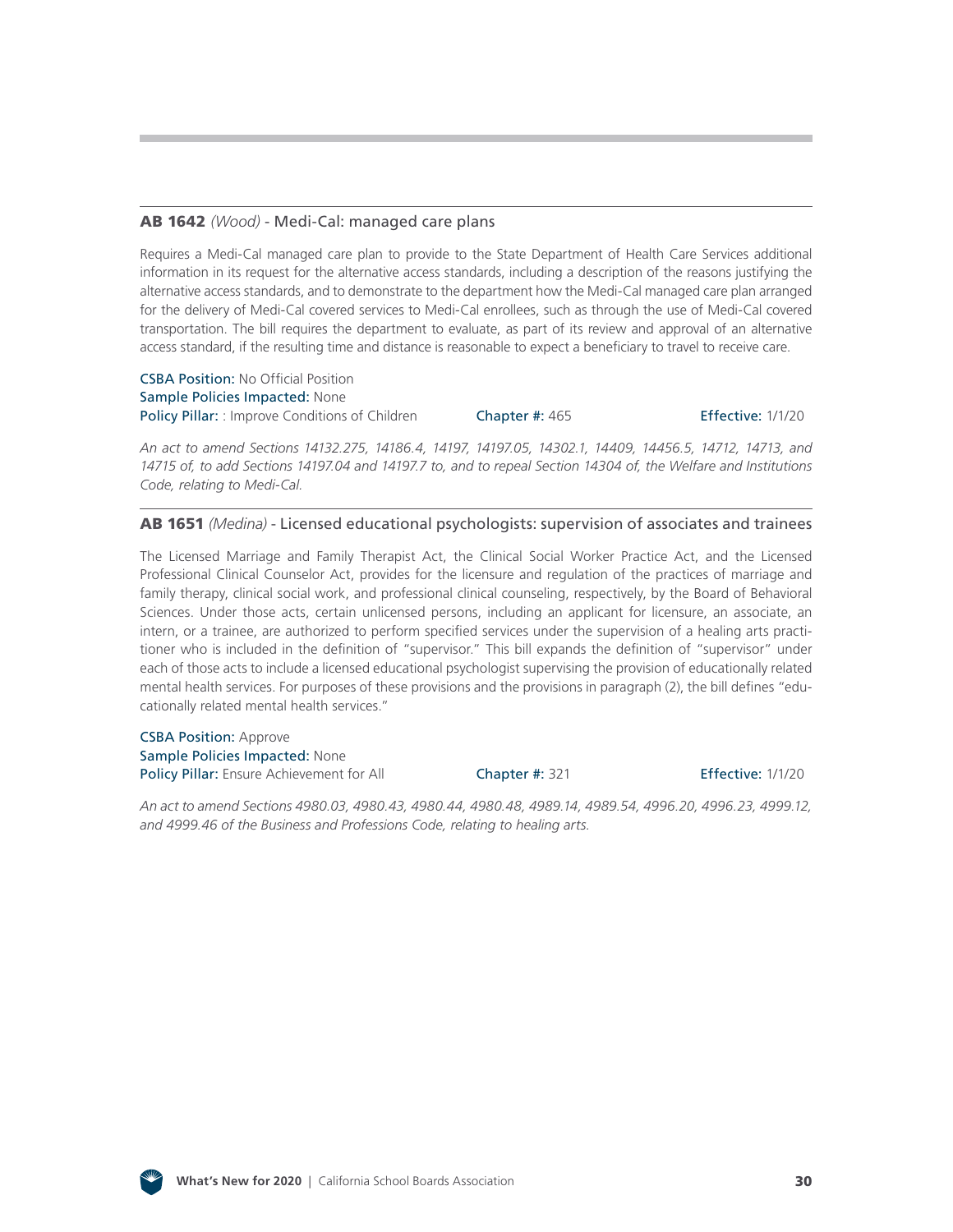#### AB 1642 *(Wood)* [- Medi-Cal: managed care plans](http://leginfo.legislature.ca.gov/faces/billNavClient.xhtml?bill_id=201920200AB1642)

Requires a Medi-Cal managed care plan to provide to the State Department of Health Care Services additional information in its request for the alternative access standards, including a description of the reasons justifying the alternative access standards, and to demonstrate to the department how the Medi-Cal managed care plan arranged for the delivery of Medi-Cal covered services to Medi-Cal enrollees, such as through the use of Medi-Cal covered transportation. The bill requires the department to evaluate, as part of its review and approval of an alternative access standard, if the resulting time and distance is reasonable to expect a beneficiary to travel to receive care.

CSBA Position: No Official Position Sample Policies Impacted: None Policy Pillar: : Improve Conditions of Children Chapter #: 465 Effective: 1/1/20

*An act to amend Sections 14132.275, 14186.4, 14197, 14197.05, 14302.1, 14409, 14456.5, 14712, 14713, and 14715 of, to add Sections 14197.04 and 14197.7 to, and to repeal Section 14304 of, the Welfare and Institutions Code, relating to Medi-Cal.*

#### AB 1651 *(Medina)* [- Licensed educational psychologists: supervision of associates and trainees](http://leginfo.legislature.ca.gov/faces/billNavClient.xhtml?bill_id=201920200AB1651)

The Licensed Marriage and Family Therapist Act, the Clinical Social Worker Practice Act, and the Licensed Professional Clinical Counselor Act, provides for the licensure and regulation of the practices of marriage and family therapy, clinical social work, and professional clinical counseling, respectively, by the Board of Behavioral Sciences. Under those acts, certain unlicensed persons, including an applicant for licensure, an associate, an intern, or a trainee, are authorized to perform specified services under the supervision of a healing arts practitioner who is included in the definition of "supervisor." This bill expands the definition of "supervisor" under each of those acts to include a licensed educational psychologist supervising the provision of educationally related mental health services. For purposes of these provisions and the provisions in paragraph (2), the bill defines "educationally related mental health services."

CSBA Position: Approve Sample Policies Impacted: None Policy Pillar: Ensure Achievement for All **Chapter #: 321** Effective: 1/1/20

*An act to amend Sections 4980.03, 4980.43, 4980.44, 4980.48, 4989.14, 4989.54, 4996.20, 4996.23, 4999.12, and 4999.46 of the Business and Professions Code, relating to healing arts.*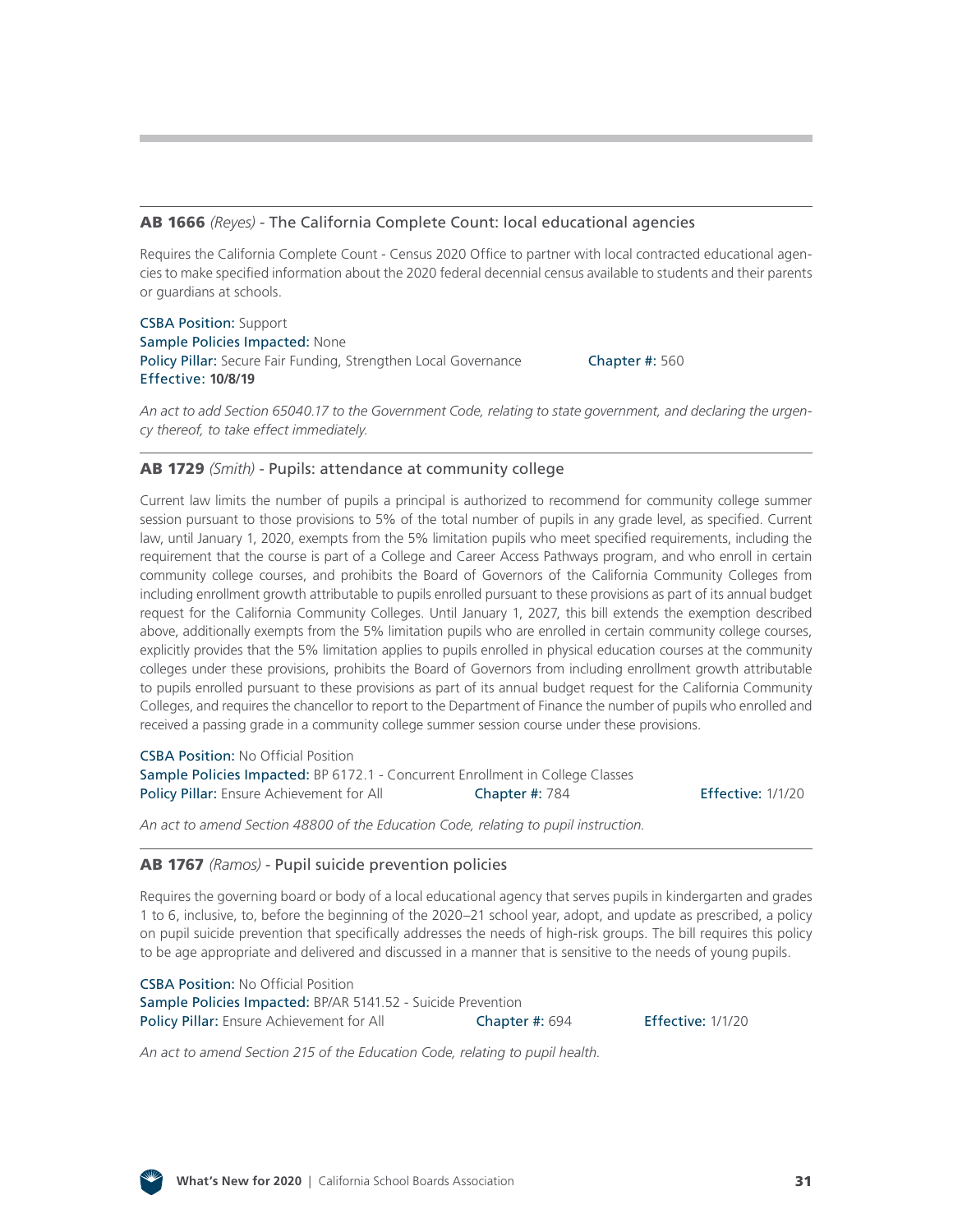#### AB 1666 *(Reyes)* [- The California Complete Count: local educational agencies](http://leginfo.legislature.ca.gov/faces/billNavClient.xhtml?bill_id=201920200AB1666)

Requires the California Complete Count - Census 2020 Office to partner with local contracted educational agencies to make specified information about the 2020 federal decennial census available to students and their parents or guardians at schools.

CSBA Position: Support Sample Policies Impacted: None Policy Pillar: Secure Fair Funding, Strengthen Local Governance Effective: **10/8/19**

Chapter #: 560

*An act to add Section 65040.17 to the Government Code, relating to state government, and declaring the urgency thereof, to take effect immediately.*

#### AB 1729 *(Smith)* [- Pupils: attendance at community college](http://leginfo.legislature.ca.gov/faces/billNavClient.xhtml?bill_id=201920200AB1729)

Current law limits the number of pupils a principal is authorized to recommend for community college summer session pursuant to those provisions to 5% of the total number of pupils in any grade level, as specified. Current law, until January 1, 2020, exempts from the 5% limitation pupils who meet specified requirements, including the requirement that the course is part of a College and Career Access Pathways program, and who enroll in certain community college courses, and prohibits the Board of Governors of the California Community Colleges from including enrollment growth attributable to pupils enrolled pursuant to these provisions as part of its annual budget request for the California Community Colleges. Until January 1, 2027, this bill extends the exemption described above, additionally exempts from the 5% limitation pupils who are enrolled in certain community college courses, explicitly provides that the 5% limitation applies to pupils enrolled in physical education courses at the community colleges under these provisions, prohibits the Board of Governors from including enrollment growth attributable to pupils enrolled pursuant to these provisions as part of its annual budget request for the California Community Colleges, and requires the chancellor to report to the Department of Finance the number of pupils who enrolled and received a passing grade in a community college summer session course under these provisions.

**CSBA Position: No Official Position** Sample Policies Impacted: BP 6172.1 - Concurrent Enrollment in College Classes Policy Pillar: Ensure Achievement for All Chapter #: 784

Effective: 1/1/20

*An act to amend Section 48800 of the Education Code, relating to pupil instruction.*

#### AB 1767 *(Ramos)* [- Pupil suicide prevention policies](http://leginfo.legislature.ca.gov/faces/billNavClient.xhtml?bill_id=201920200AB1767)

Requires the governing board or body of a local educational agency that serves pupils in kindergarten and grades 1 to 6, inclusive, to, before the beginning of the 2020–21 school year, adopt, and update as prescribed, a policy on pupil suicide prevention that specifically addresses the needs of high-risk groups. The bill requires this policy to be age appropriate and delivered and discussed in a manner that is sensitive to the needs of young pupils.

CSBA Position: No Official Position Sample Policies Impacted: BP/AR 5141.52 - Suicide Prevention Policy Pillar: Ensure Achievement for All **Chapter #: 694** Effective: 1/1/20

*An act to amend Section 215 of the Education Code, relating to pupil health.*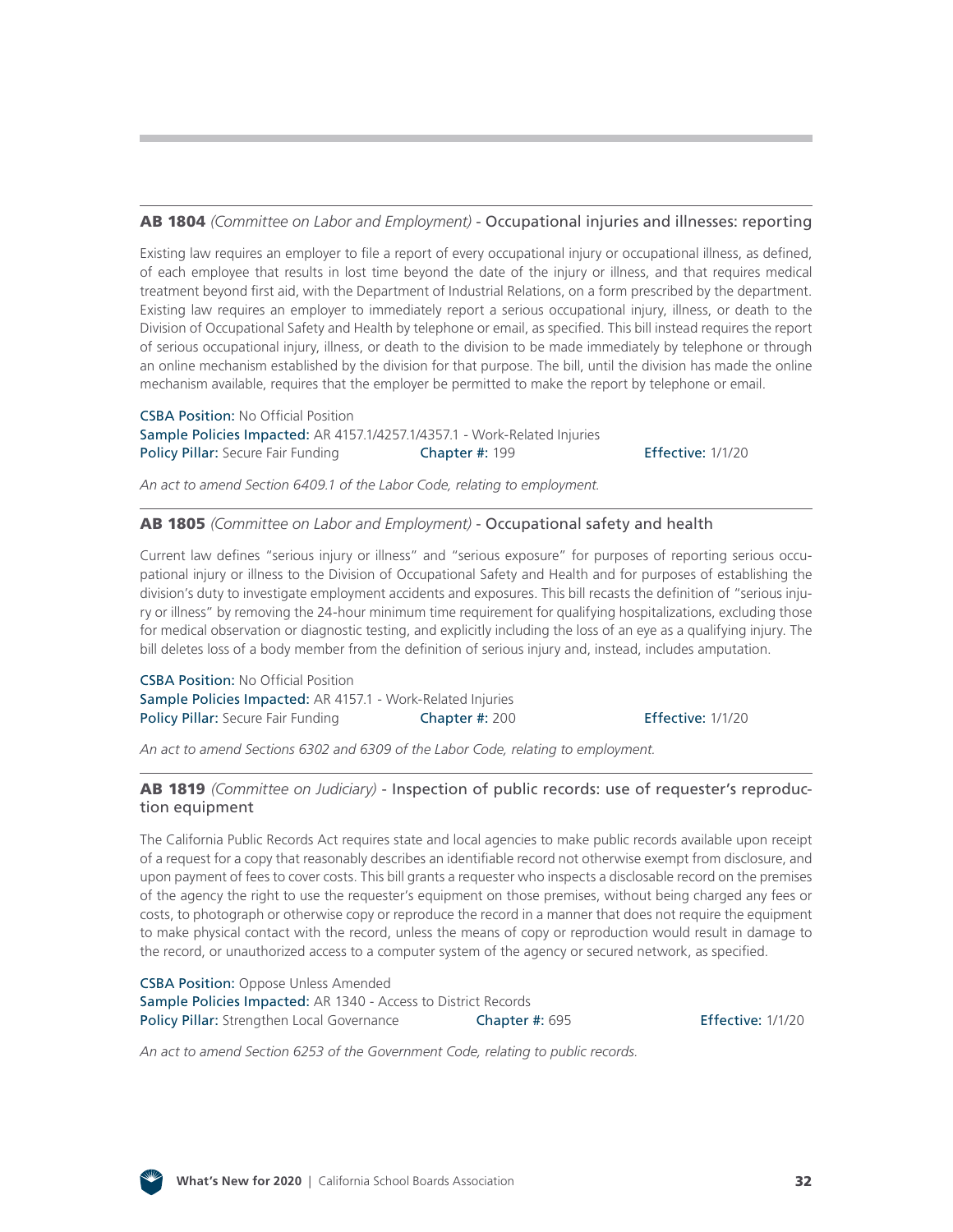#### AB 1804 *(Committee on Labor and Employment)* [- Occupational injuries and illnesses: reporting](http://leginfo.legislature.ca.gov/faces/billNavClient.xhtml?bill_id=201920200AB1804)

Existing law requires an employer to file a report of every occupational injury or occupational illness, as defined, of each employee that results in lost time beyond the date of the injury or illness, and that requires medical treatment beyond first aid, with the Department of Industrial Relations, on a form prescribed by the department. Existing law requires an employer to immediately report a serious occupational injury, illness, or death to the Division of Occupational Safety and Health by telephone or email, as specified. This bill instead requires the report of serious occupational injury, illness, or death to the division to be made immediately by telephone or through an online mechanism established by the division for that purpose. The bill, until the division has made the online mechanism available, requires that the employer be permitted to make the report by telephone or email.

CSBA Position: No Official Position Sample Policies Impacted: AR 4157.1/4257.1/4357.1 - Work-Related Injuries Policy Pillar: Secure Fair Funding **Chapter #: 199 Fffective: 1/1/20** Effective: 1/1/20

*An act to amend Section 6409.1 of the Labor Code, relating to employment.*

#### AB 1805 *[\(Committee on Labor and Employment\)](http://leginfo.legislature.ca.gov/faces/billNavClient.xhtml?bill_id=201920200AB1805)* - Occupational safety and health

Current law defines "serious injury or illness" and "serious exposure" for purposes of reporting serious occupational injury or illness to the Division of Occupational Safety and Health and for purposes of establishing the division's duty to investigate employment accidents and exposures. This bill recasts the definition of "serious injury or illness" by removing the 24-hour minimum time requirement for qualifying hospitalizations, excluding those for medical observation or diagnostic testing, and explicitly including the loss of an eye as a qualifying injury. The bill deletes loss of a body member from the definition of serious injury and, instead, includes amputation.

CSBA Position: No Official Position Sample Policies Impacted: AR 4157.1 - Work-Related Injuries Policy Pillar: Secure Fair Funding **Chapter #: 200** Effective: 1/1/20

*An act to amend Sections 6302 and 6309 of the Labor Code, relating to employment.*

#### AB 1819 *(Committee on Judiciary)* [- Inspection of public records: use of requester's reproduc](http://leginfo.legislature.ca.gov/faces/billNavClient.xhtml?bill_id=201920200AB1819)tion equipment

The California Public Records Act requires state and local agencies to make public records available upon receipt of a request for a copy that reasonably describes an identifiable record not otherwise exempt from disclosure, and upon payment of fees to cover costs. This bill grants a requester who inspects a disclosable record on the premises of the agency the right to use the requester's equipment on those premises, without being charged any fees or costs, to photograph or otherwise copy or reproduce the record in a manner that does not require the equipment to make physical contact with the record, unless the means of copy or reproduction would result in damage to the record, or unauthorized access to a computer system of the agency or secured network, as specified.

CSBA Position: Oppose Unless Amended Sample Policies Impacted: AR 1340 - Access to District Records Policy Pillar: Strengthen Local Governance Chapter #: 695 Effective: 1/1/20

*An act to amend Section 6253 of the Government Code, relating to public records.*

![](_page_31_Picture_16.jpeg)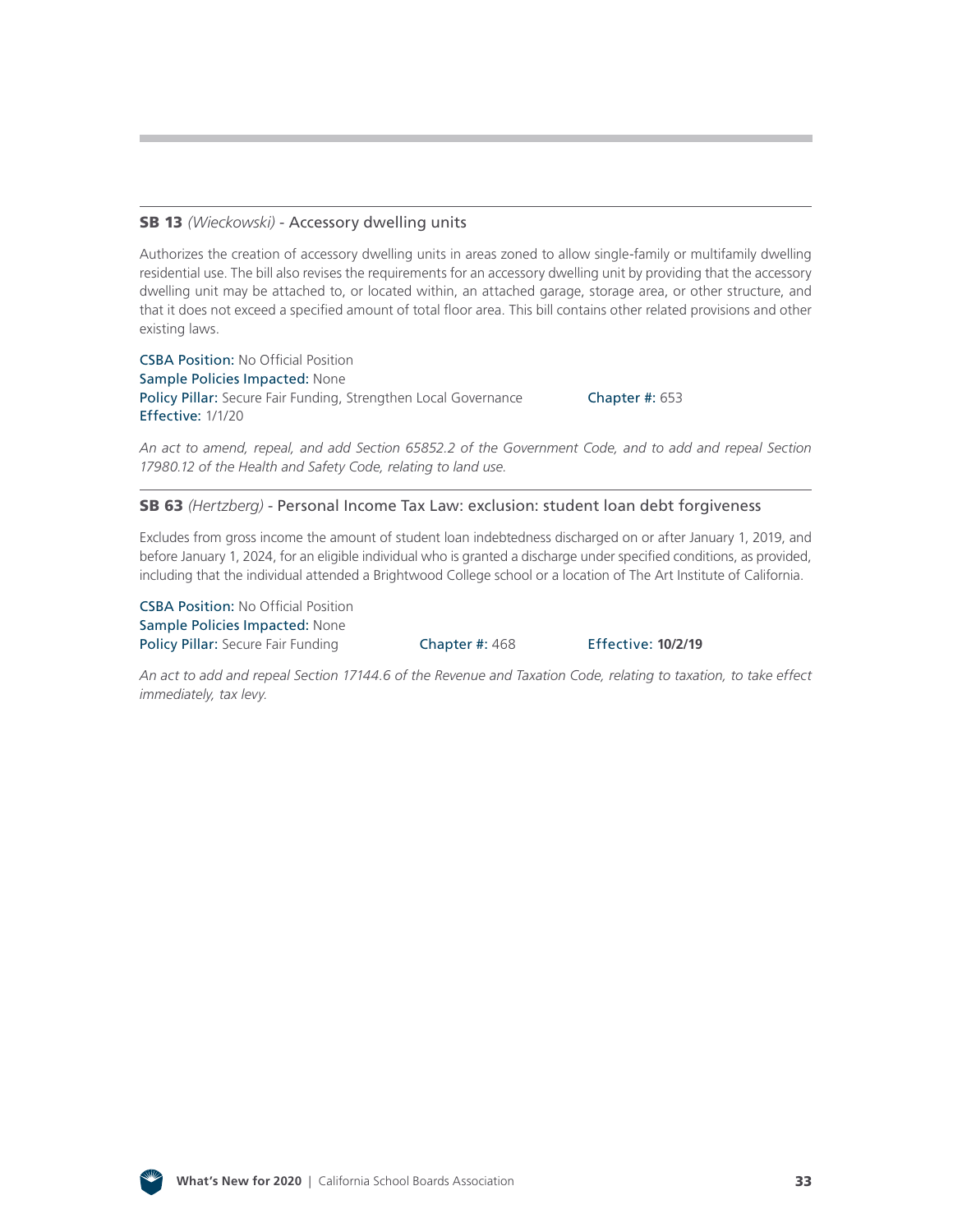#### SB 13 *(Wieckowski)* [- Accessory dwelling units](http://leginfo.legislature.ca.gov/faces/billNavClient.xhtml?bill_id=201920200SB13)

Authorizes the creation of accessory dwelling units in areas zoned to allow single-family or multifamily dwelling residential use. The bill also revises the requirements for an accessory dwelling unit by providing that the accessory dwelling unit may be attached to, or located within, an attached garage, storage area, or other structure, and that it does not exceed a specified amount of total floor area. This bill contains other related provisions and other existing laws.

CSBA Position: No Official Position Sample Policies Impacted: None Policy Pillar: Secure Fair Funding, Strengthen Local Governance Chapter #: 653 Effective: 1/1/20

*An act to amend, repeal, and add Section 65852.2 of the Government Code, and to add and repeal Section 17980.12 of the Health and Safety Code, relating to land use.*

SB 63 *(Hertzberg)* [- Personal Income Tax Law: exclusion: student loan debt forgiveness](http://leginfo.legislature.ca.gov/faces/billNavClient.xhtml?bill_id=201920200SB63)

Excludes from gross income the amount of student loan indebtedness discharged on or after January 1, 2019, and before January 1, 2024, for an eligible individual who is granted a discharge under specified conditions, as provided, including that the individual attended a Brightwood College school or a location of The Art Institute of California.

CSBA Position: No Official Position Sample Policies Impacted: None Policy Pillar: Secure Fair Funding Chapter #: 468 Effective: **10/2/19**

*An act to add and repeal Section 17144.6 of the Revenue and Taxation Code, relating to taxation, to take effect immediately, tax levy.*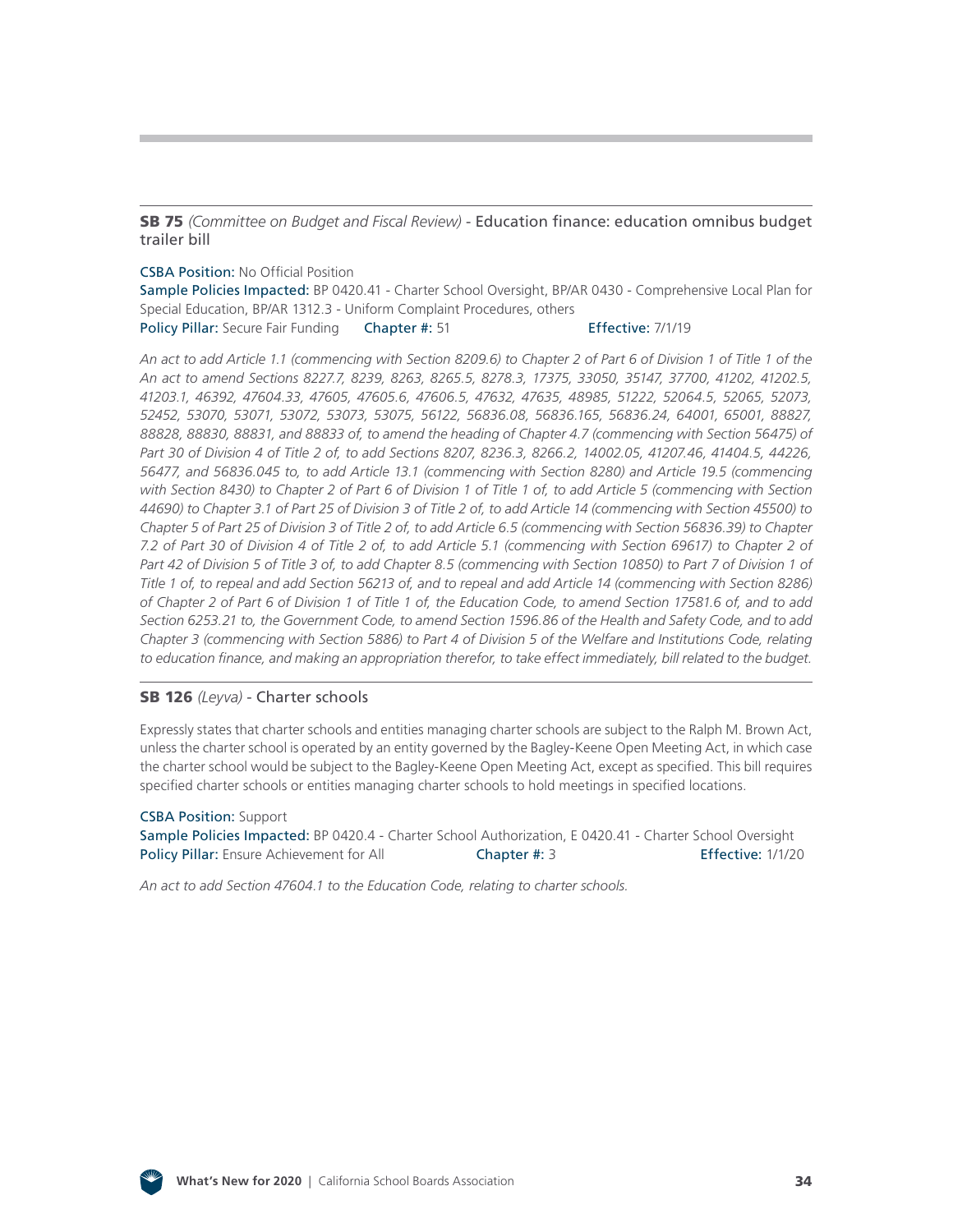SB 75 *(Committee on Budget and Fiscal Review)* [- Education finance: education omnibus budget](http://leginfo.legislature.ca.gov/faces/billNavClient.xhtml?bill_id=201920200SB75)  trailer bill

#### CSBA Position: No Official Position

Sample Policies Impacted: BP 0420.41 - Charter School Oversight, BP/AR 0430 - Comprehensive Local Plan for Special Education, BP/AR 1312.3 - Uniform Complaint Procedures, others

Policy Pillar: Secure Fair Funding Chapter #: 51 Effective: 7/1/19

*An act to add Article 1.1 (commencing with Section 8209.6) to Chapter 2 of Part 6 of Division 1 of Title 1 of the An act to amend Sections 8227.7, 8239, 8263, 8265.5, 8278.3, 17375, 33050, 35147, 37700, 41202, 41202.5, 41203.1, 46392, 47604.33, 47605, 47605.6, 47606.5, 47632, 47635, 48985, 51222, 52064.5, 52065, 52073, 52452, 53070, 53071, 53072, 53073, 53075, 56122, 56836.08, 56836.165, 56836.24, 64001, 65001, 88827, 88828, 88830, 88831, and 88833 of, to amend the heading of Chapter 4.7 (commencing with Section 56475) of Part 30 of Division 4 of Title 2 of, to add Sections 8207, 8236.3, 8266.2, 14002.05, 41207.46, 41404.5, 44226, 56477, and 56836.045 to, to add Article 13.1 (commencing with Section 8280) and Article 19.5 (commencing with Section 8430) to Chapter 2 of Part 6 of Division 1 of Title 1 of, to add Article 5 (commencing with Section 44690) to Chapter 3.1 of Part 25 of Division 3 of Title 2 of, to add Article 14 (commencing with Section 45500) to Chapter 5 of Part 25 of Division 3 of Title 2 of, to add Article 6.5 (commencing with Section 56836.39) to Chapter 7.2 of Part 30 of Division 4 of Title 2 of, to add Article 5.1 (commencing with Section 69617) to Chapter 2 of*  Part 42 of Division 5 of Title 3 of, to add Chapter 8.5 (commencing with Section 10850) to Part 7 of Division 1 of *Title 1 of, to repeal and add Section 56213 of, and to repeal and add Article 14 (commencing with Section 8286) of Chapter 2 of Part 6 of Division 1 of Title 1 of, the Education Code, to amend Section 17581.6 of, and to add Section 6253.21 to, the Government Code, to amend Section 1596.86 of the Health and Safety Code, and to add Chapter 3 (commencing with Section 5886) to Part 4 of Division 5 of the Welfare and Institutions Code, relating to education finance, and making an appropriation therefor, to take effect immediately, bill related to the budget.*

#### SB 126 *(Leyva)* [- Charter schools](http://leginfo.legislature.ca.gov/faces/billNavClient.xhtml?bill_id=201920200SB126)

Expressly states that charter schools and entities managing charter schools are subject to the Ralph M. Brown Act, unless the charter school is operated by an entity governed by the Bagley-Keene Open Meeting Act, in which case the charter school would be subject to the Bagley-Keene Open Meeting Act, except as specified. This bill requires specified charter schools or entities managing charter schools to hold meetings in specified locations.

#### CSBA Position: Support

Sample Policies Impacted: BP 0420.4 - Charter School Authorization, E 0420.41 - Charter School Oversight Policy Pillar: Ensure Achievement for All **Chapter #: 3** Effective: 1/1/20

*An act to add Section 47604.1 to the Education Code, relating to charter schools.*

![](_page_33_Picture_10.jpeg)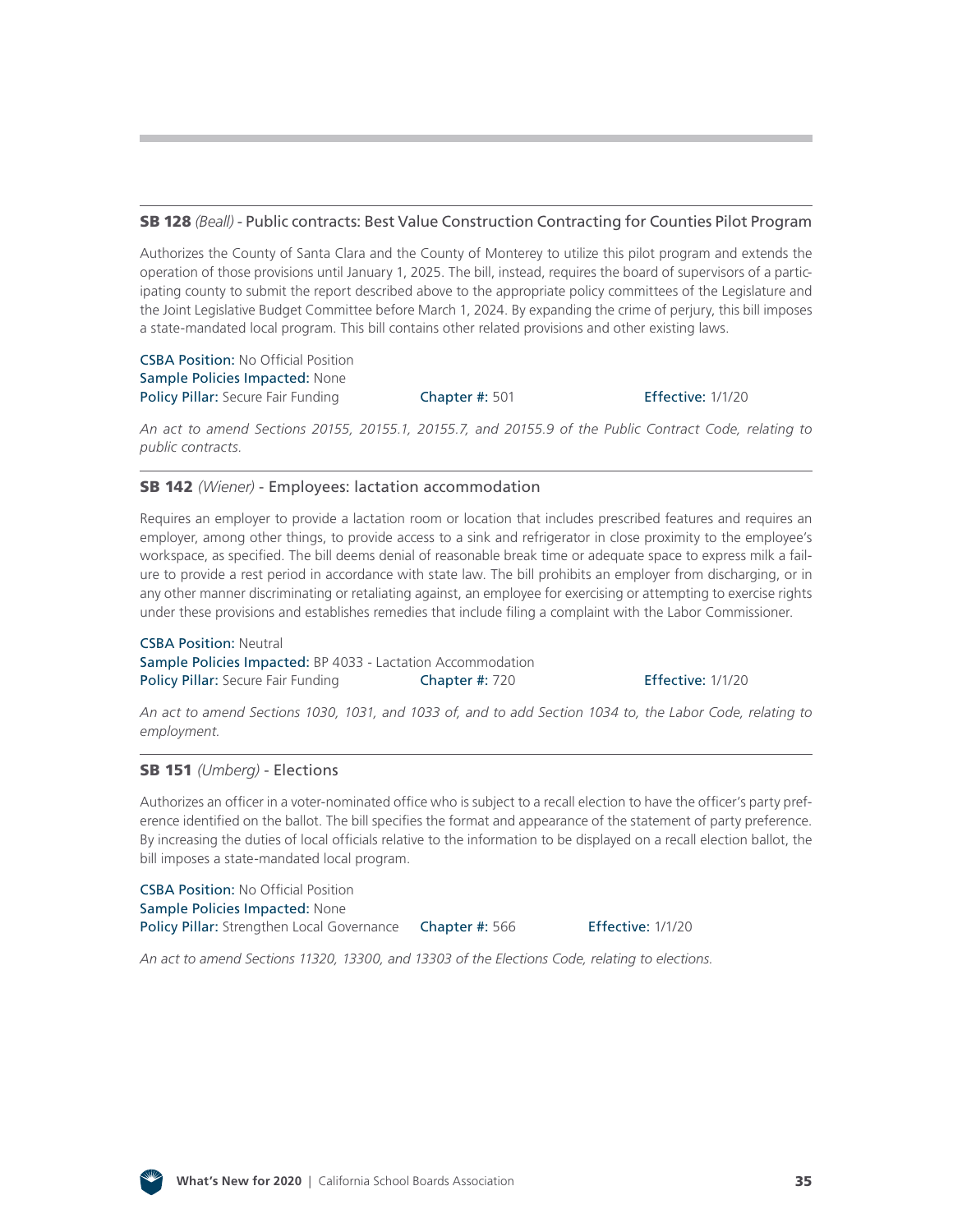#### SB 128 *(Beall)* [- Public contracts: Best Value Construction Contracting for Counties Pilot Program](http://leginfo.legislature.ca.gov/faces/billNavClient.xhtml?bill_id=201920200SB128)

Authorizes the County of Santa Clara and the County of Monterey to utilize this pilot program and extends the operation of those provisions until January 1, 2025. The bill, instead, requires the board of supervisors of a participating county to submit the report described above to the appropriate policy committees of the Legislature and the Joint Legislative Budget Committee before March 1, 2024. By expanding the crime of perjury, this bill imposes a state-mandated local program. This bill contains other related provisions and other existing laws.

CSBA Position: No Official Position Sample Policies Impacted: None Policy Pillar: Secure Fair Funding **Chapter #: 501** Effective: 1/1/20

*An act to amend Sections 20155, 20155.1, 20155.7, and 20155.9 of the Public Contract Code, relating to public contracts.*

#### SB 142 *(Wiener)* [- Employees: lactation accommodation](http://leginfo.legislature.ca.gov/faces/billNavClient.xhtml?bill_id=201920200SB142)

Requires an employer to provide a lactation room or location that includes prescribed features and requires an employer, among other things, to provide access to a sink and refrigerator in close proximity to the employee's workspace, as specified. The bill deems denial of reasonable break time or adequate space to express milk a failure to provide a rest period in accordance with state law. The bill prohibits an employer from discharging, or in any other manner discriminating or retaliating against, an employee for exercising or attempting to exercise rights under these provisions and establishes remedies that include filing a complaint with the Labor Commissioner.

CSBA Position: Neutral Sample Policies Impacted: BP 4033 - Lactation Accommodation Policy Pillar: Secure Fair Funding **Chapter #: 720 Effective: 1/1/20** 

*An act to amend Sections 1030, 1031, and 1033 of, and to add Section 1034 to, the Labor Code, relating to employment.*

#### SB 151 *(Umberg)* [- Elections](http://leginfo.legislature.ca.gov/faces/billNavClient.xhtml?bill_id=201920200SB151)

Authorizes an officer in a voter-nominated office who is subject to a recall election to have the officer's party preference identified on the ballot. The bill specifies the format and appearance of the statement of party preference. By increasing the duties of local officials relative to the information to be displayed on a recall election ballot, the bill imposes a state-mandated local program.

CSBA Position: No Official Position Sample Policies Impacted: None Policy Pillar: Strengthen Local Governance Chapter #: 566 Effective: 1/1/20

*An act to amend Sections 11320, 13300, and 13303 of the Elections Code, relating to elections.*

![](_page_34_Picture_17.jpeg)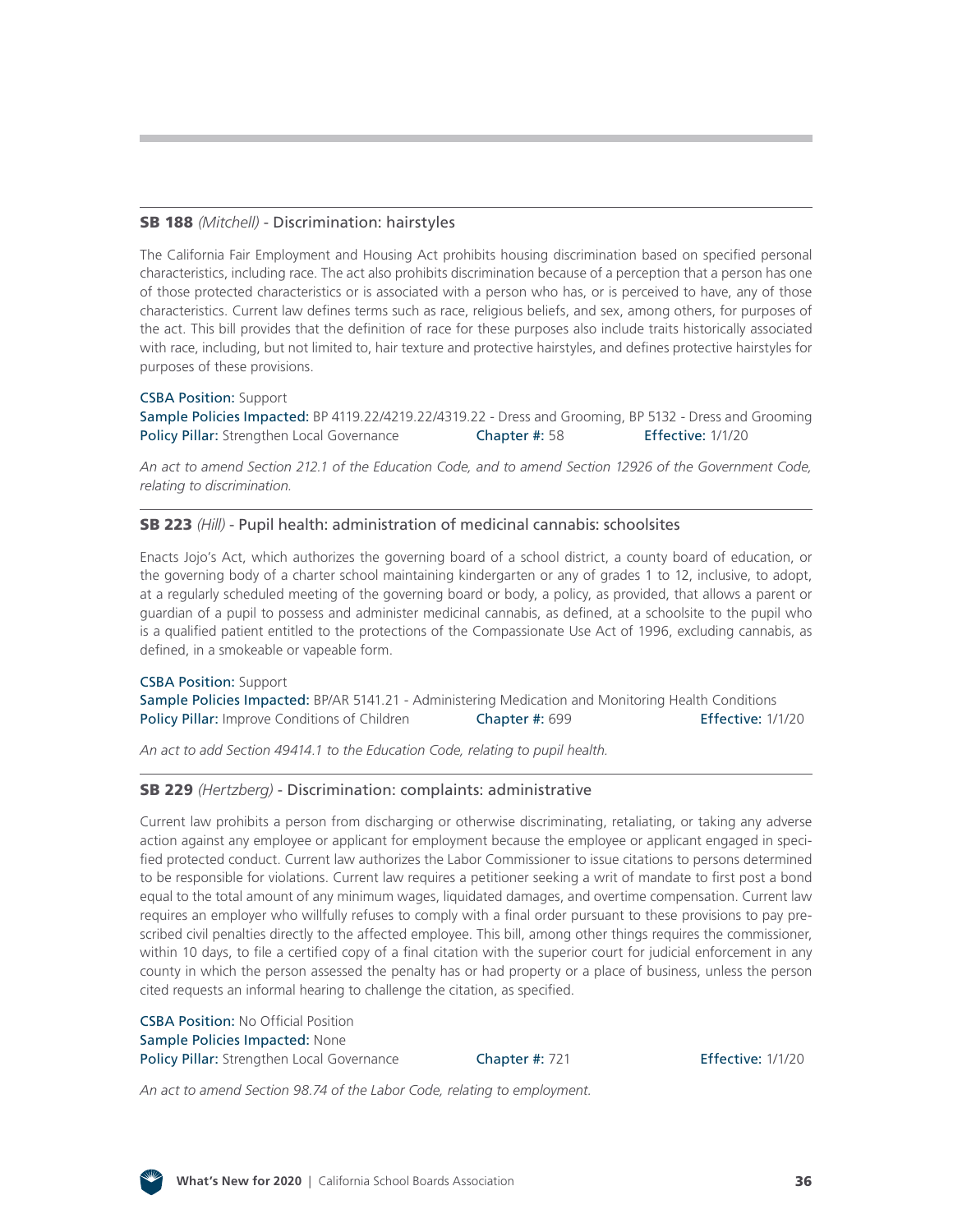#### SB 188 *(Mitchell)* [- Discrimination: hairstyles](http://leginfo.legislature.ca.gov/faces/billNavClient.xhtml?bill_id=201920200SB188)

The California Fair Employment and Housing Act prohibits housing discrimination based on specified personal characteristics, including race. The act also prohibits discrimination because of a perception that a person has one of those protected characteristics or is associated with a person who has, or is perceived to have, any of those characteristics. Current law defines terms such as race, religious beliefs, and sex, among others, for purposes of the act. This bill provides that the definition of race for these purposes also include traits historically associated with race, including, but not limited to, hair texture and protective hairstyles, and defines protective hairstyles for purposes of these provisions.

#### CSBA Position: Support

Sample Policies Impacted: BP 4119.22/4219.22/4319.22 - Dress and Grooming, BP 5132 - Dress and Grooming Policy Pillar: Strengthen Local Governance **Chapter #: 58** Effective: 1/1/20

*An act to amend Section 212.1 of the Education Code, and to amend Section 12926 of the Government Code, relating to discrimination.*

#### SB 223 *(Hill)* [- Pupil health: administration of medicinal cannabis: schoolsites](http://leginfo.legislature.ca.gov/faces/billNavClient.xhtml?bill_id=201920200SB223)

Enacts Jojo's Act, which authorizes the governing board of a school district, a county board of education, or the governing body of a charter school maintaining kindergarten or any of grades 1 to 12, inclusive, to adopt, at a regularly scheduled meeting of the governing board or body, a policy, as provided, that allows a parent or guardian of a pupil to possess and administer medicinal cannabis, as defined, at a schoolsite to the pupil who is a qualified patient entitled to the protections of the Compassionate Use Act of 1996, excluding cannabis, as defined, in a smokeable or vapeable form.

CSBA Position: Support Sample Policies Impacted: BP/AR 5141.21 - Administering Medication and Monitoring Health Conditions Policy Pillar: Improve Conditions of Children Chapter #: 699 Effective: 1/1/20

*An act to add Section 49414.1 to the Education Code, relating to pupil health.*

#### SB 229 *(Hertzberg)* [- Discrimination: complaints: administrative](http://leginfo.legislature.ca.gov/faces/billNavClient.xhtml?bill_id=201920200SB229)

Current law prohibits a person from discharging or otherwise discriminating, retaliating, or taking any adverse action against any employee or applicant for employment because the employee or applicant engaged in specified protected conduct. Current law authorizes the Labor Commissioner to issue citations to persons determined to be responsible for violations. Current law requires a petitioner seeking a writ of mandate to first post a bond equal to the total amount of any minimum wages, liquidated damages, and overtime compensation. Current law requires an employer who willfully refuses to comply with a final order pursuant to these provisions to pay prescribed civil penalties directly to the affected employee. This bill, among other things requires the commissioner, within 10 days, to file a certified copy of a final citation with the superior court for judicial enforcement in any county in which the person assessed the penalty has or had property or a place of business, unless the person cited requests an informal hearing to challenge the citation, as specified.

CSBA Position: No Official Position Sample Policies Impacted: None Policy Pillar: Strengthen Local Governance **Chapter #: 721** Effective: 1/1/20

*An act to amend Section 98.74 of the Labor Code, relating to employment.*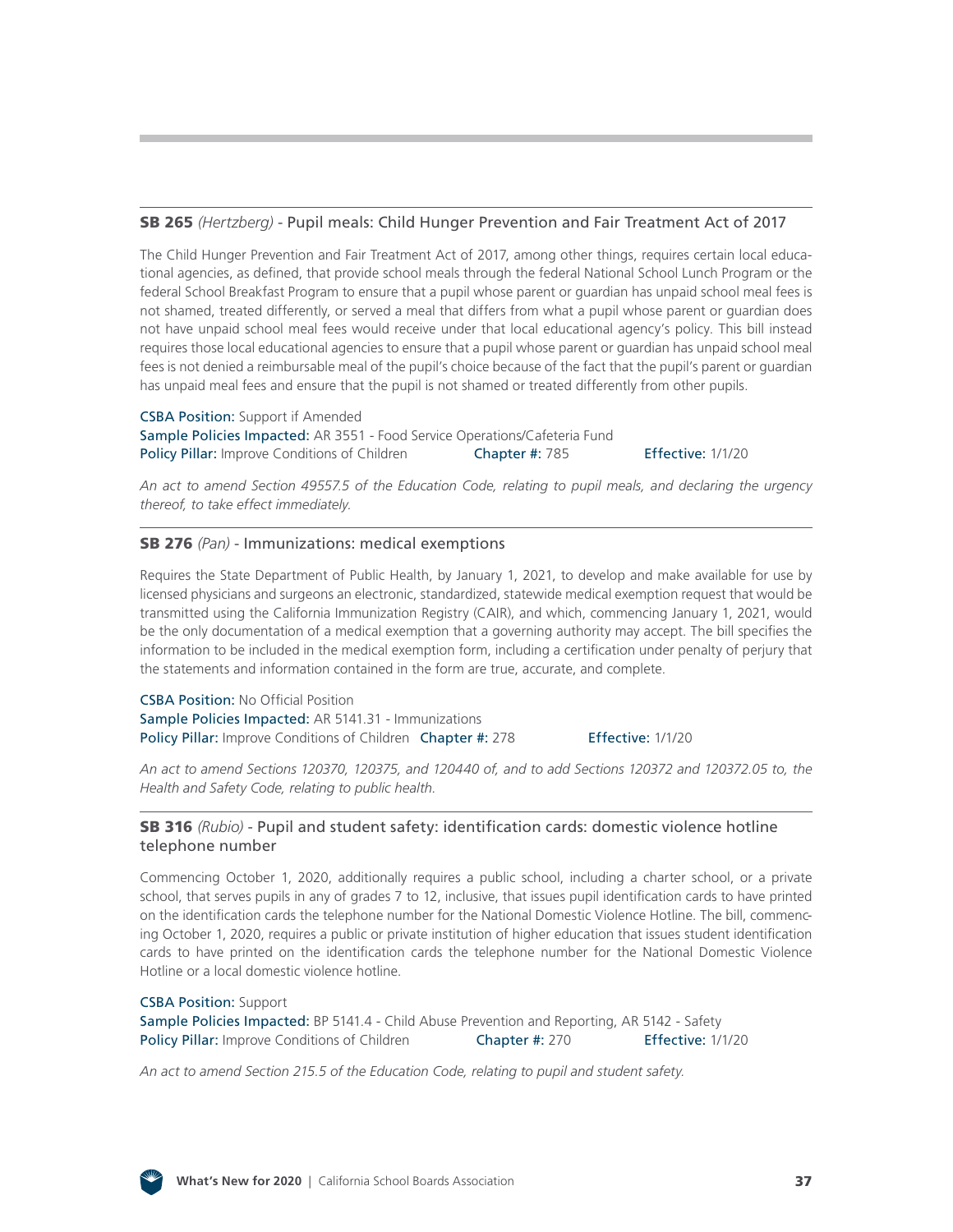#### SB 265 *(Hertzberg)* [- Pupil meals: Child Hunger Prevention and Fair Treatment Act of 2017](http://leginfo.legislature.ca.gov/faces/billNavClient.xhtml?bill_id=201920200SB265)

The Child Hunger Prevention and Fair Treatment Act of 2017, among other things, requires certain local educational agencies, as defined, that provide school meals through the federal National School Lunch Program or the federal School Breakfast Program to ensure that a pupil whose parent or guardian has unpaid school meal fees is not shamed, treated differently, or served a meal that differs from what a pupil whose parent or guardian does not have unpaid school meal fees would receive under that local educational agency's policy. This bill instead requires those local educational agencies to ensure that a pupil whose parent or guardian has unpaid school meal fees is not denied a reimbursable meal of the pupil's choice because of the fact that the pupil's parent or guardian has unpaid meal fees and ensure that the pupil is not shamed or treated differently from other pupils.

**CSBA Position:** Support if Amended Sample Policies Impacted: AR 3551 - Food Service Operations/Cafeteria Fund Policy Pillar: Improve Conditions of Children Chapter #: 785

Effective: 1/1/20

*An act to amend Section 49557.5 of the Education Code, relating to pupil meals, and declaring the urgency thereof, to take effect immediately.*

#### SB 276 *(Pan)* [- Immunizations: medical exemptions](http://leginfo.legislature.ca.gov/faces/billNavClient.xhtml?bill_id=201920200SB276)

Requires the State Department of Public Health, by January 1, 2021, to develop and make available for use by licensed physicians and surgeons an electronic, standardized, statewide medical exemption request that would be transmitted using the California Immunization Registry (CAIR), and which, commencing January 1, 2021, would be the only documentation of a medical exemption that a governing authority may accept. The bill specifies the information to be included in the medical exemption form, including a certification under penalty of perjury that the statements and information contained in the form are true, accurate, and complete.

CSBA Position: No Official Position Sample Policies Impacted: AR 5141.31 - Immunizations Policy Pillar: Improve Conditions of Children Chapter #: 278 Effective: 1/1/20

*An act to amend Sections 120370, 120375, and 120440 of, and to add Sections 120372 and 120372.05 to, the Health and Safety Code, relating to public health.*

#### SB 316 *(Rubio)* [- Pupil and student safety: identification cards: domestic violence hotline](http://leginfo.legislature.ca.gov/faces/billNavClient.xhtml?bill_id=201920200SB316) telephone number

Commencing October 1, 2020, additionally requires a public school, including a charter school, or a private school, that serves pupils in any of grades 7 to 12, inclusive, that issues pupil identification cards to have printed on the identification cards the telephone number for the National Domestic Violence Hotline. The bill, commencing October 1, 2020, requires a public or private institution of higher education that issues student identification cards to have printed on the identification cards the telephone number for the National Domestic Violence Hotline or a local domestic violence hotline.

#### CSBA Position: Support Sample Policies Impacted: BP 5141.4 - Child Abuse Prevention and Reporting, AR 5142 - Safety Policy Pillar: Improve Conditions of Children **Chapter #: 270** Effective: 1/1/20

*An act to amend Section 215.5 of the Education Code, relating to pupil and student safety.*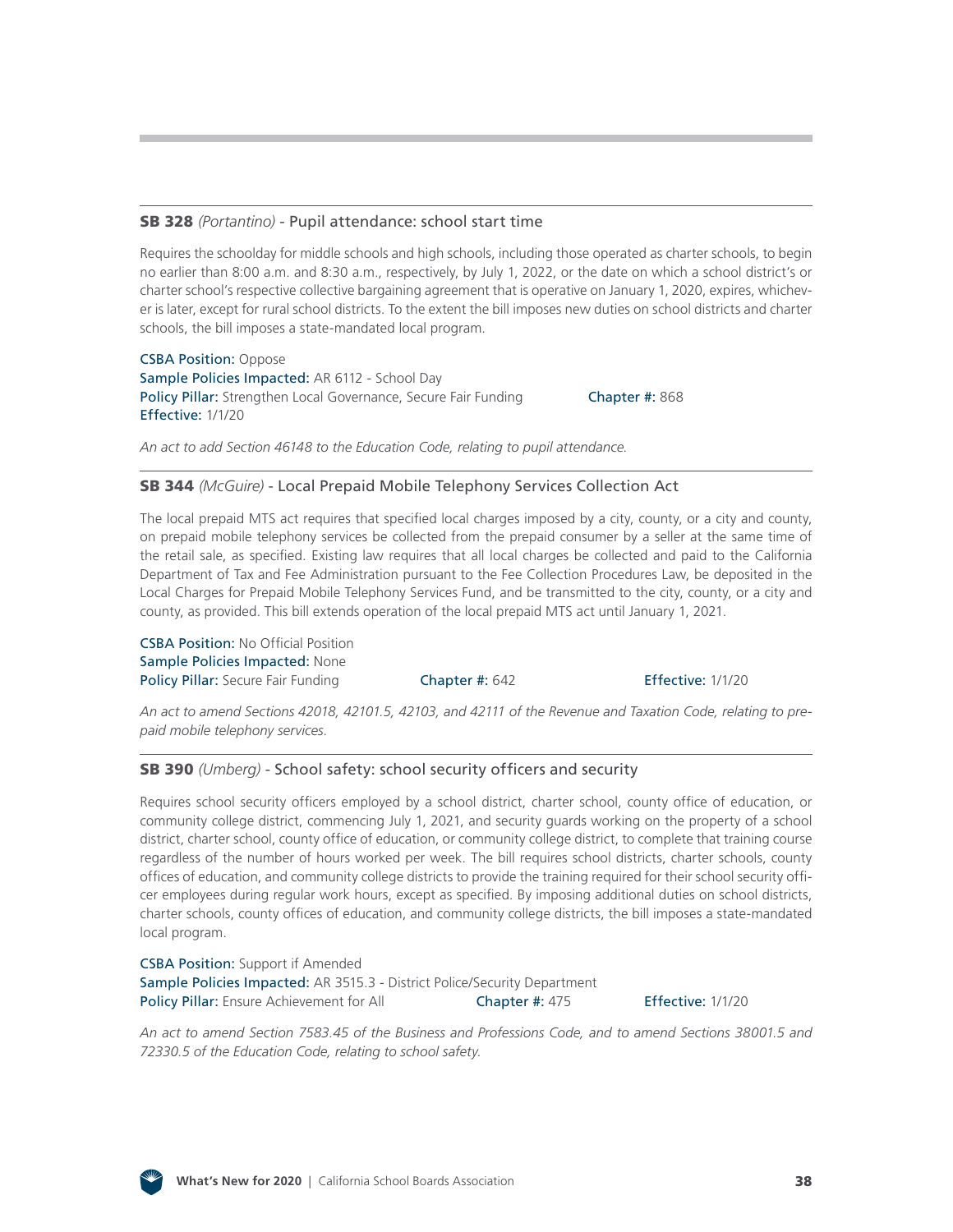#### SB 328 *(Portantino)* [- Pupil attendance: school start time](http://leginfo.legislature.ca.gov/faces/billNavClient.xhtml?bill_id=201920200SB328)

Requires the schoolday for middle schools and high schools, including those operated as charter schools, to begin no earlier than 8:00 a.m. and 8:30 a.m., respectively, by July 1, 2022, or the date on which a school district's or charter school's respective collective bargaining agreement that is operative on January 1, 2020, expires, whichever is later, except for rural school districts. To the extent the bill imposes new duties on school districts and charter schools, the bill imposes a state-mandated local program.

CSBA Position: Oppose Sample Policies Impacted: AR 6112 - School Day Policy Pillar: Strengthen Local Governance, Secure Fair Funding **Chapter #: 868** Effective: 1/1/20

*An act to add Section 46148 to the Education Code, relating to pupil attendance.*

#### SB 344 *(McGuire)* [- Local Prepaid Mobile Telephony Services Collection Act](http://leginfo.legislature.ca.gov/faces/billNavClient.xhtml?bill_id=201920200SB344)

The local prepaid MTS act requires that specified local charges imposed by a city, county, or a city and county, on prepaid mobile telephony services be collected from the prepaid consumer by a seller at the same time of the retail sale, as specified. Existing law requires that all local charges be collected and paid to the California Department of Tax and Fee Administration pursuant to the Fee Collection Procedures Law, be deposited in the Local Charges for Prepaid Mobile Telephony Services Fund, and be transmitted to the city, county, or a city and county, as provided. This bill extends operation of the local prepaid MTS act until January 1, 2021.

CSBA Position: No Official Position Sample Policies Impacted: None Policy Pillar: Secure Fair Funding Chapter #: 642 Effective: 1/1/20

*An act to amend Sections 42018, 42101.5, 42103, and 42111 of the Revenue and Taxation Code, relating to prepaid mobile telephony services.*

#### SB 390 *(Umberg)* [- School safety: school security officers and security](http://leginfo.legislature.ca.gov/faces/billNavClient.xhtml?bill_id=201920200SB390)

Requires school security officers employed by a school district, charter school, county office of education, or community college district, commencing July 1, 2021, and security guards working on the property of a school district, charter school, county office of education, or community college district, to complete that training course regardless of the number of hours worked per week. The bill requires school districts, charter schools, county offices of education, and community college districts to provide the training required for their school security officer employees during regular work hours, except as specified. By imposing additional duties on school districts, charter schools, county offices of education, and community college districts, the bill imposes a state-mandated local program.

CSBA Position: Support if Amended Sample Policies Impacted: AR 3515.3 - District Police/Security Department Policy Pillar: Ensure Achievement for All **Chapter #: 475** Effective: 1/1/20

*An act to amend Section 7583.45 of the Business and Professions Code, and to amend Sections 38001.5 and 72330.5 of the Education Code, relating to school safety.*

![](_page_37_Figure_16.jpeg)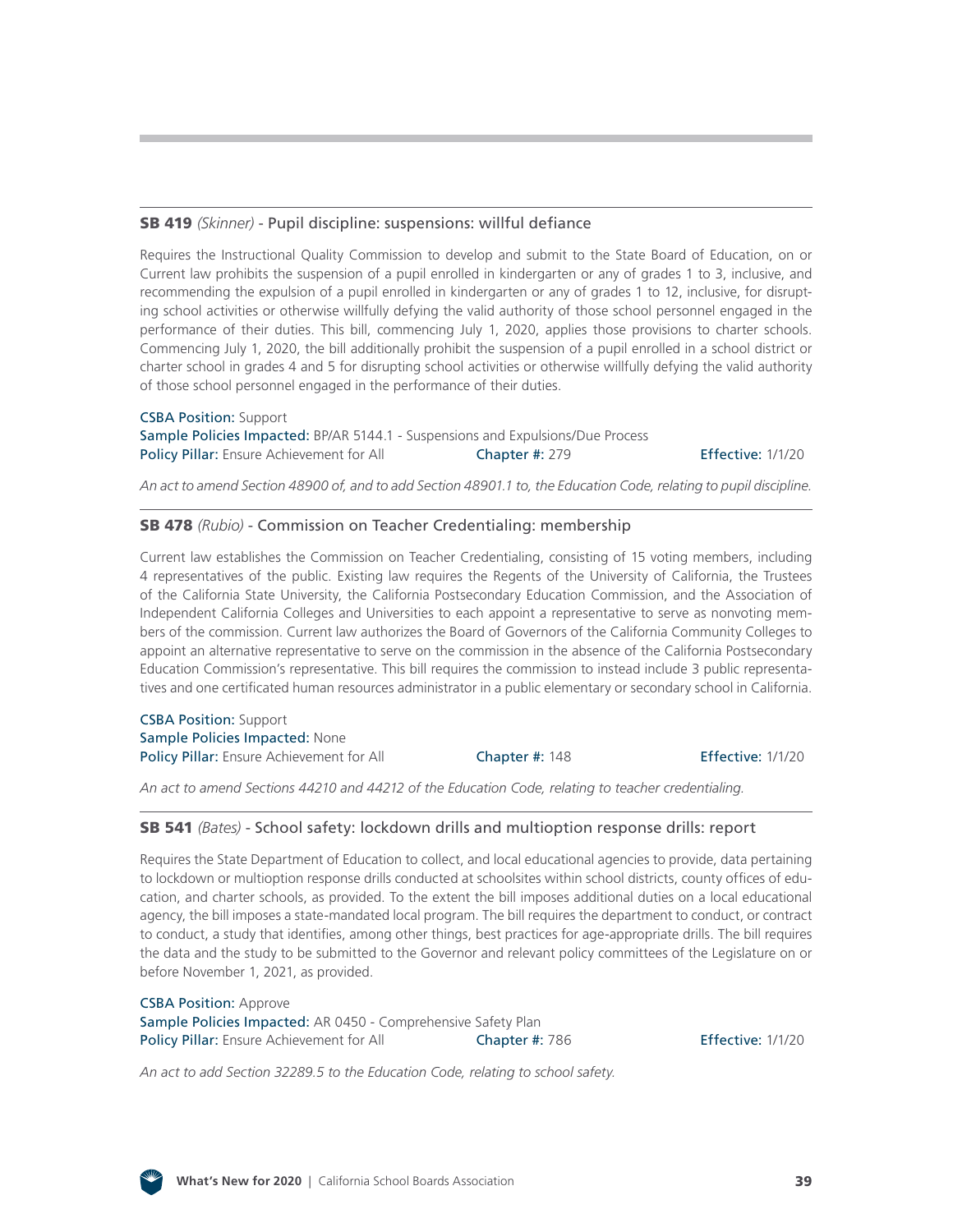## SB 419 *(Skinner)* [- Pupil discipline: suspensions: willful defiance](http://leginfo.legislature.ca.gov/faces/billNavClient.xhtml?bill_id=201920200SB419)

Requires the Instructional Quality Commission to develop and submit to the State Board of Education, on or Current law prohibits the suspension of a pupil enrolled in kindergarten or any of grades 1 to 3, inclusive, and recommending the expulsion of a pupil enrolled in kindergarten or any of grades 1 to 12, inclusive, for disrupting school activities or otherwise willfully defying the valid authority of those school personnel engaged in the performance of their duties. This bill, commencing July 1, 2020, applies those provisions to charter schools. Commencing July 1, 2020, the bill additionally prohibit the suspension of a pupil enrolled in a school district or charter school in grades 4 and 5 for disrupting school activities or otherwise willfully defying the valid authority of those school personnel engaged in the performance of their duties.

CSBA Position: Support Sample Policies Impacted: BP/AR 5144.1 - Suspensions and Expulsions/Due Process Policy Pillar: Ensure Achievement for All Chapter #: 279 Effective: 1/1/20

*An act to amend Section 48900 of, and to add Section 48901.1 to, the Education Code, relating to pupil discipline.*

#### SB 478 *(Rubio)* [- Commission on Teacher Credentialing: membership](http://leginfo.legislature.ca.gov/faces/billNavClient.xhtml?bill_id=201920200SB478)

Current law establishes the Commission on Teacher Credentialing, consisting of 15 voting members, including 4 representatives of the public. Existing law requires the Regents of the University of California, the Trustees of the California State University, the California Postsecondary Education Commission, and the Association of Independent California Colleges and Universities to each appoint a representative to serve as nonvoting members of the commission. Current law authorizes the Board of Governors of the California Community Colleges to appoint an alternative representative to serve on the commission in the absence of the California Postsecondary Education Commission's representative. This bill requires the commission to instead include 3 public representatives and one certificated human resources administrator in a public elementary or secondary school in California.

CSBA Position: Support Sample Policies Impacted: None Policy Pillar: Ensure Achievement for All **Chapter #: 148 Effective: 1/1/20** 

*An act to amend Sections 44210 and 44212 of the Education Code, relating to teacher credentialing.*

#### SB 541 *(Bates)* [- School safety: lockdown drills and multioption response drills: report](http://leginfo.legislature.ca.gov/faces/billNavClient.xhtml?bill_id=201920200SB541)

Requires the State Department of Education to collect, and local educational agencies to provide, data pertaining to lockdown or multioption response drills conducted at schoolsites within school districts, county offices of education, and charter schools, as provided. To the extent the bill imposes additional duties on a local educational agency, the bill imposes a state-mandated local program. The bill requires the department to conduct, or contract to conduct, a study that identifies, among other things, best practices for age-appropriate drills. The bill requires the data and the study to be submitted to the Governor and relevant policy committees of the Legislature on or before November 1, 2021, as provided.

CSBA Position: Approve Sample Policies Impacted: AR 0450 - Comprehensive Safety Plan Policy Pillar: Ensure Achievement for All Chapter #: 786 Ffective: 1/1/20

*An act to add Section 32289.5 to the Education Code, relating to school safety.*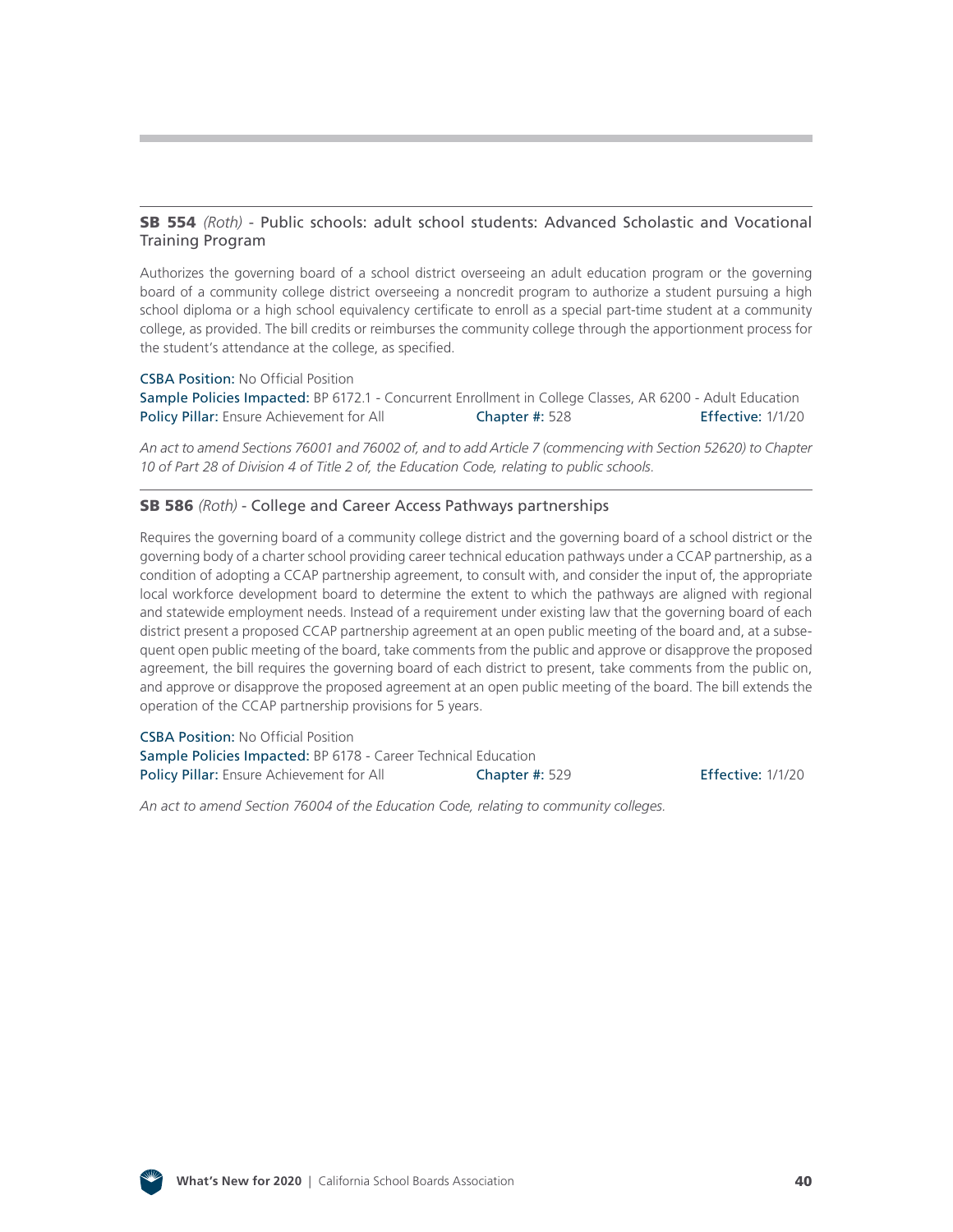#### SB 554 *(Roth)* [- Public schools: adult school students: Advanced Scholastic and Vocational](http://leginfo.legislature.ca.gov/faces/billNavClient.xhtml?bill_id=201920200SB554) Training Program

Authorizes the governing board of a school district overseeing an adult education program or the governing board of a community college district overseeing a noncredit program to authorize a student pursuing a high school diploma or a high school equivalency certificate to enroll as a special part-time student at a community college, as provided. The bill credits or reimburses the community college through the apportionment process for the student's attendance at the college, as specified.

#### CSBA Position: No Official Position

Sample Policies Impacted: BP 6172.1 - Concurrent Enrollment in College Classes, AR 6200 - Adult Education Policy Pillar: Ensure Achievement for All **Chapter #: 528** Effective: 1/1/20

*An act to amend Sections 76001 and 76002 of, and to add Article 7 (commencing with Section 52620) to Chapter 10 of Part 28 of Division 4 of Title 2 of, the Education Code, relating to public schools.*

#### SB 586 *(Roth)* [- College and Career Access Pathways partnerships](http://leginfo.legislature.ca.gov/faces/billNavClient.xhtml?bill_id=201920200SB586)

Requires the governing board of a community college district and the governing board of a school district or the governing body of a charter school providing career technical education pathways under a CCAP partnership, as a condition of adopting a CCAP partnership agreement, to consult with, and consider the input of, the appropriate local workforce development board to determine the extent to which the pathways are aligned with regional and statewide employment needs. Instead of a requirement under existing law that the governing board of each district present a proposed CCAP partnership agreement at an open public meeting of the board and, at a subsequent open public meeting of the board, take comments from the public and approve or disapprove the proposed agreement, the bill requires the governing board of each district to present, take comments from the public on, and approve or disapprove the proposed agreement at an open public meeting of the board. The bill extends the operation of the CCAP partnership provisions for 5 years.

CSBA Position: No Official Position Sample Policies Impacted: BP 6178 - Career Technical Education Policy Pillar: Ensure Achievement for All Chapter #: 529 Effective: 1/1/20

*An act to amend Section 76004 of the Education Code, relating to community colleges.*

![](_page_39_Figure_10.jpeg)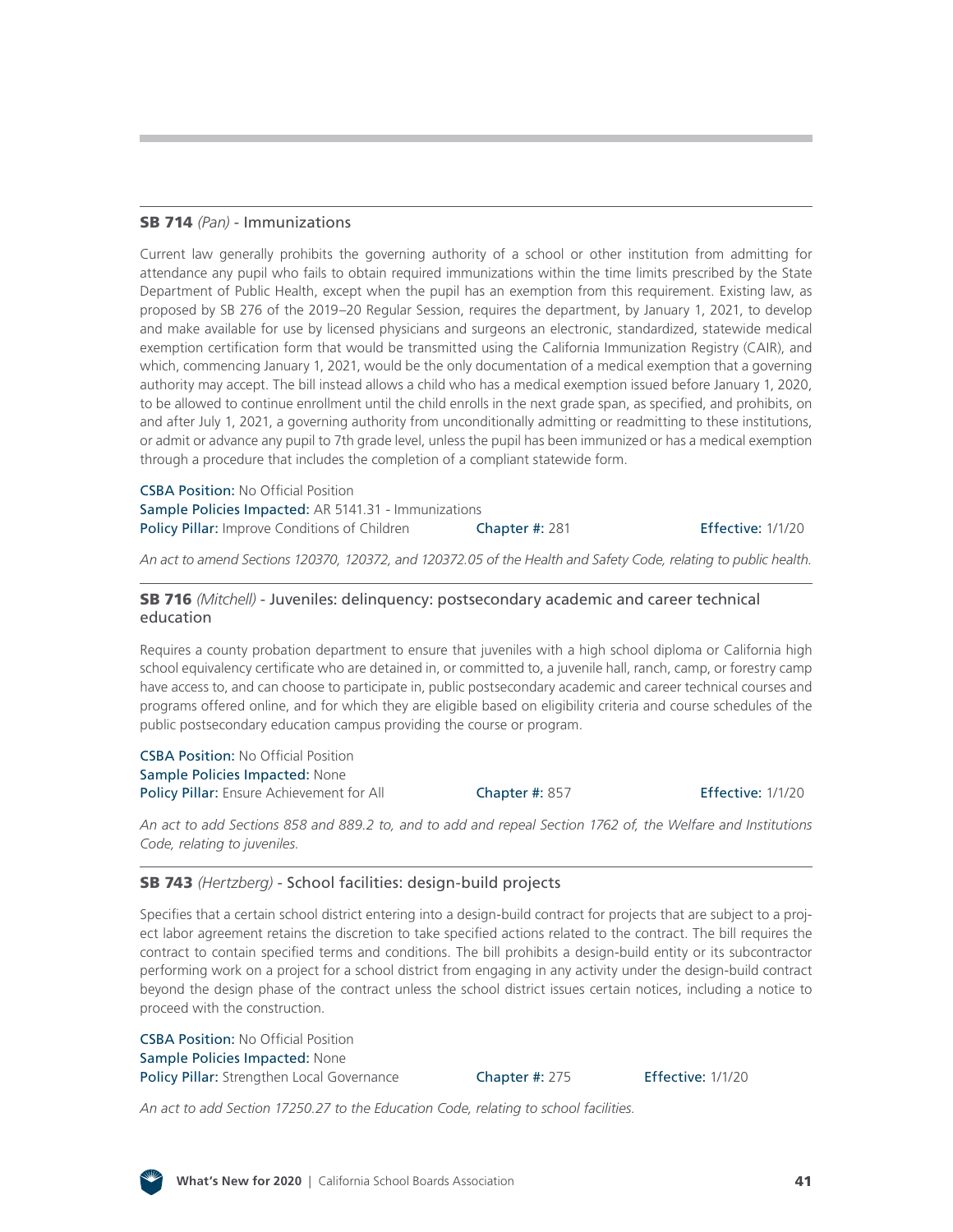#### SB 714 *(Pan)* [- Immunizations](http://leginfo.legislature.ca.gov/faces/billNavClient.xhtml?bill_id=201920200SB714)

Current law generally prohibits the governing authority of a school or other institution from admitting for attendance any pupil who fails to obtain required immunizations within the time limits prescribed by the State Department of Public Health, except when the pupil has an exemption from this requirement. Existing law, as proposed by SB 276 of the 2019–20 Regular Session, requires the department, by January 1, 2021, to develop and make available for use by licensed physicians and surgeons an electronic, standardized, statewide medical exemption certification form that would be transmitted using the California Immunization Registry (CAIR), and which, commencing January 1, 2021, would be the only documentation of a medical exemption that a governing authority may accept. The bill instead allows a child who has a medical exemption issued before January 1, 2020, to be allowed to continue enrollment until the child enrolls in the next grade span, as specified, and prohibits, on and after July 1, 2021, a governing authority from unconditionally admitting or readmitting to these institutions, or admit or advance any pupil to 7th grade level, unless the pupil has been immunized or has a medical exemption through a procedure that includes the completion of a compliant statewide form.

CSBA Position: No Official Position Sample Policies Impacted: AR 5141.31 - Immunizations Policy Pillar: Improve Conditions of Children Chapter #: 281 Effective: 1/1/20

*An act to amend Sections 120370, 120372, and 120372.05 of the Health and Safety Code, relating to public health.*

#### SB 716 *(Mitchell)* [- Juveniles: delinquency: postsecondary academic and career technical](http://leginfo.legislature.ca.gov/faces/billNavClient.xhtml?bill_id=201920200SB716)  education

Requires a county probation department to ensure that juveniles with a high school diploma or California high school equivalency certificate who are detained in, or committed to, a juvenile hall, ranch, camp, or forestry camp have access to, and can choose to participate in, public postsecondary academic and career technical courses and programs offered online, and for which they are eligible based on eligibility criteria and course schedules of the public postsecondary education campus providing the course or program.

CSBA Position: No Official Position Sample Policies Impacted: None Policy Pillar: Ensure Achievement for All Chapter #: 857 Fffective: 1/1/20

*An act to add Sections 858 and 889.2 to, and to add and repeal Section 1762 of, the Welfare and Institutions Code, relating to juveniles.*

#### SB 743 *(Hertzberg)* [- School facilities: design-build projects](http://leginfo.legislature.ca.gov/faces/billNavClient.xhtml?bill_id=201920200SB743)

Specifies that a certain school district entering into a design-build contract for projects that are subject to a project labor agreement retains the discretion to take specified actions related to the contract. The bill requires the contract to contain specified terms and conditions. The bill prohibits a design-build entity or its subcontractor performing work on a project for a school district from engaging in any activity under the design-build contract beyond the design phase of the contract unless the school district issues certain notices, including a notice to proceed with the construction.

CSBA Position: No Official Position Sample Policies Impacted: None Policy Pillar: Strengthen Local Governance Chapter #: 275 Effective: 1/1/20

*An act to add Section 17250.27 to the Education Code, relating to school facilities.*

![](_page_40_Picture_17.jpeg)